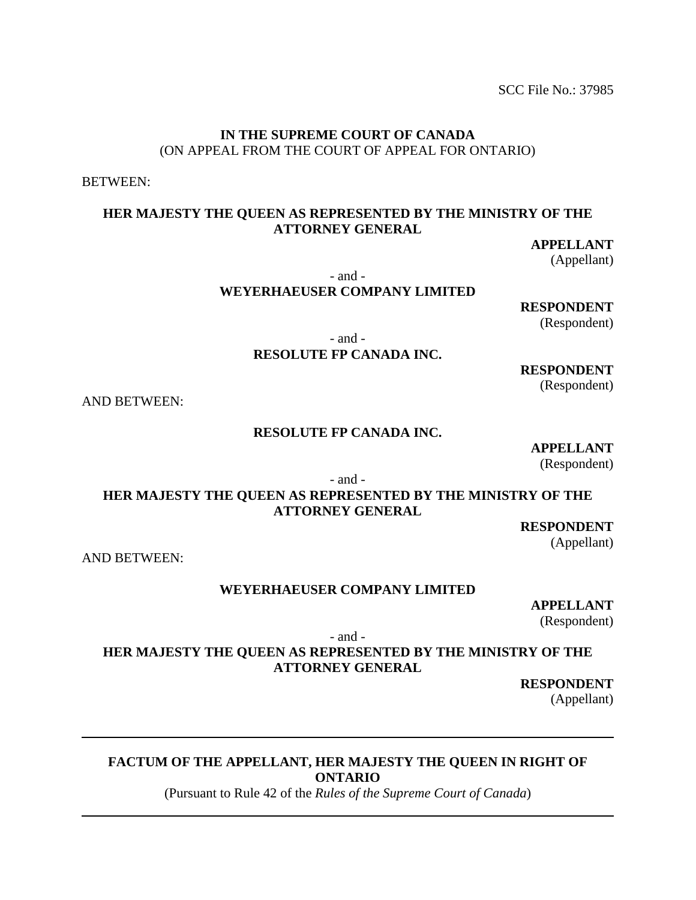SCC File No.: 37985

### **IN THE SUPREME COURT OF CANADA** (ON APPEAL FROM THE COURT OF APPEAL FOR ONTARIO)

BETWEEN:

# **HER MAJESTY THE QUEEN AS REPRESENTED BY THE MINISTRY OF THE ATTORNEY GENERAL**

**APPELLANT** (Appellant)

- and -

# **WEYERHAEUSER COMPANY LIMITED**

**RESPONDENT**

(Respondent)

- and - **RESOLUTE FP CANADA INC.**

**RESPONDENT**

(Respondent)

AND BETWEEN:

# **RESOLUTE FP CANADA INC.**

**APPELLANT** (Respondent)

- and -

# **HER MAJESTY THE QUEEN AS REPRESENTED BY THE MINISTRY OF THE ATTORNEY GENERAL**

**RESPONDENT**

(Appellant)

<span id="page-0-0"></span>AND BETWEEN:

# **WEYERHAEUSER COMPANY LIMITED**

**APPELLANT** (Respondent)

- and -

**HER MAJESTY THE QUEEN AS REPRESENTED BY THE MINISTRY OF THE ATTORNEY GENERAL**

> **RESPONDENT** (Appellant)

# **FACTUM OF THE APPELLANT, HER MAJESTY THE QUEEN IN RIGHT OF ONTARIO**

(Pursuant to Rule 42 of the *Rules of the Supreme Court of Canada*)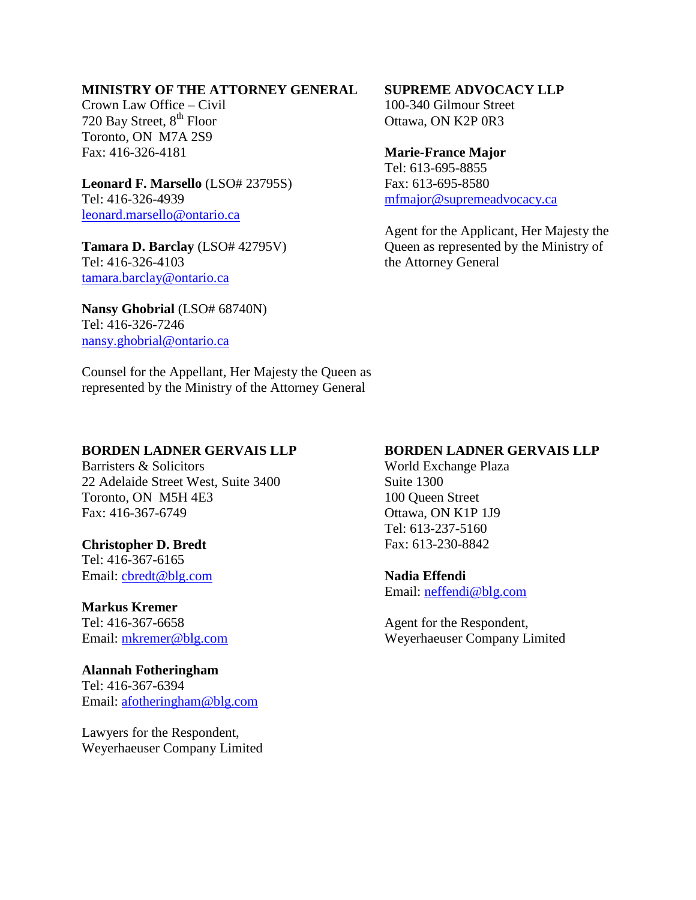# **MINISTRY OF THE ATTORNEY GENERAL**

Crown Law Office – Civil 720 Bay Street, 8<sup>th</sup> Floor Toronto, ON M7A 2S9 Fax: 416-326-4181

**Leonard F. Marsello** (LSO# 23795S) Tel: 416-326-4939 [leonard.marsello@ontario.ca](mailto:leonard.marsello@ontario.ca)

**Tamara D. Barclay** (LSO# 42795V) Tel: 416-326-4103 [tamara.barclay@ontario.ca](mailto:tamara.barclay@ontario.ca)

**Nansy Ghobrial** (LSO# 68740N) Tel: 416-326-7246 [nansy.ghobrial@ontario.ca](mailto:nansy.ghobrial@ontario.ca)

## Counsel for the Appellant, Her Majesty the Queen as represented by the Ministry of the Attorney General

#### **SUPREME ADVOCACY LLP**

100-340 Gilmour Street Ottawa, ON K2P 0R3

#### **Marie-France Major**

Tel: 613-695-8855 Fax: 613-695-8580 [mfmajor@supremeadvocacy.ca](mailto:mfmajor@supremeadvocacy.ca)

Agent for the Applicant, Her Majesty the Queen as represented by the Ministry of the Attorney General

### **BORDEN LADNER GERVAIS LLP**

Barristers & Solicitors 22 Adelaide Street West, Suite 3400 Toronto, ON M5H 4E3 Fax: 416-367-6749

#### **Christopher D. Bredt**

Tel: 416-367-6165 Email: [cbredt@blg.com](mailto:cbredt@blg.com)

# **Markus Kremer**

Tel: 416-367-6658 Email: [mkremer@blg.com](mailto:mkremer@blg.com)

# **Alannah Fotheringham**

Tel: 416-367-6394 Email: [afotheringham@blg.com](mailto:afotheringham@blg.com)

Lawyers for the Respondent, Weyerhaeuser Company Limited

# **BORDEN LADNER GERVAIS LLP**

World Exchange Plaza Suite 1300 100 Queen Street Ottawa, ON K1P 1J9 Tel: 613-237-5160 Fax: 613-230-8842

# **Nadia Effendi**

Email: [neffendi@blg.com](mailto:neffendi@blg.com)

Agent for the Respondent, Weyerhaeuser Company Limited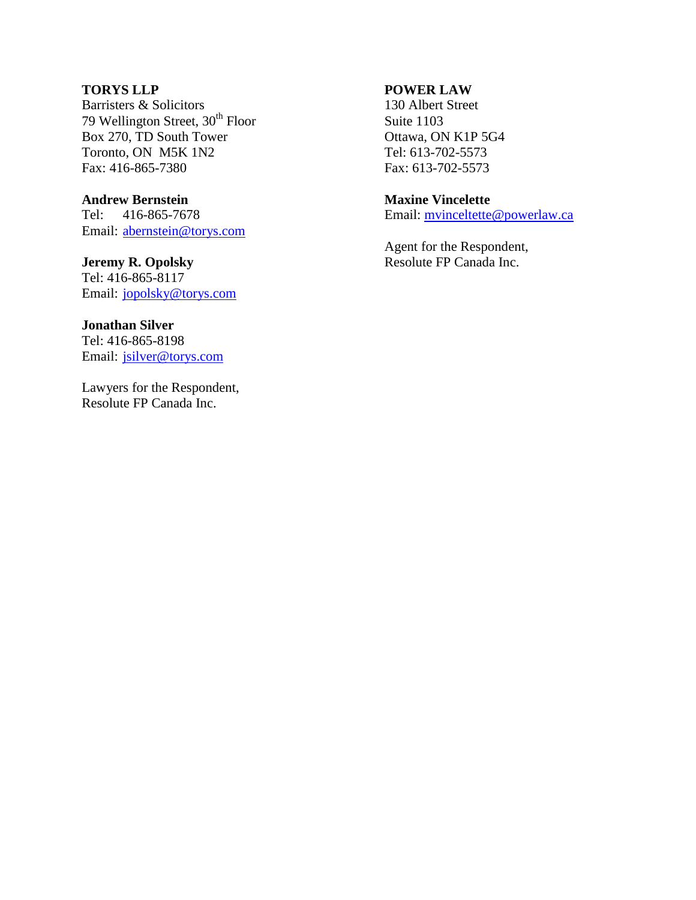# **TORYS LLP**

Barristers & Solicitors 79 Wellington Street, 30<sup>th</sup> Floor Box 270, TD South Tower Toronto, ON M5K 1N2 Fax: 416-865-7380

# **Andrew Bernstein**

Tel: 416-865-7678 Email: [abernstein@torys.com](mailto:abernstein@torys.com)

# **Jeremy R. Opolsky**

Tel: 416-865-8117 Email: [jopolsky@torys.com](mailto:jopolsky@torys.com)

#### **Jonathan Silver**

Tel: 416-865-8198 Email: [jsilver@torys.com](mailto:jsilver@torys.com)

Lawyers for the Respondent, Resolute FP Canada Inc.

# **POWER LAW**

130 Albert Street Suite 1103 Ottawa, ON K1P 5G4 Tel: 613-702-5573 Fax: 613-702-5573

# **Maxine Vincelette**

Email: [mvinceltette@powerlaw.ca](mailto:mvinceltette@powerlaw.ca)

Agent for the Respondent, Resolute FP Canada Inc.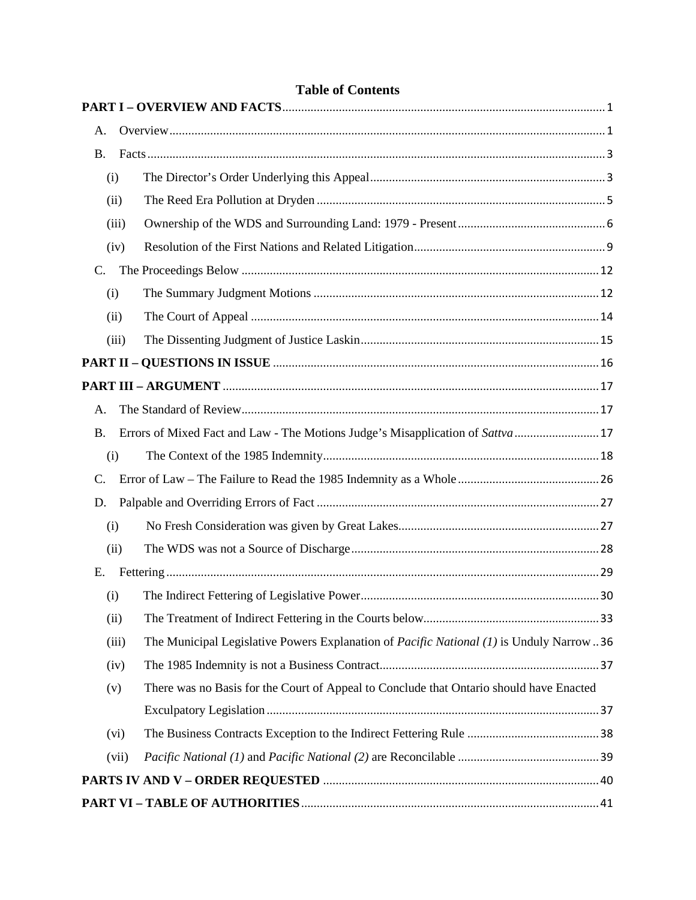| <b>Table of Contents</b> |       |                                                                                                 |  |  |
|--------------------------|-------|-------------------------------------------------------------------------------------------------|--|--|
|                          |       |                                                                                                 |  |  |
| A.                       |       |                                                                                                 |  |  |
| <b>B.</b>                |       |                                                                                                 |  |  |
|                          | (i)   |                                                                                                 |  |  |
|                          | (ii)  |                                                                                                 |  |  |
|                          | (iii) |                                                                                                 |  |  |
|                          | (iv)  |                                                                                                 |  |  |
| C.                       |       |                                                                                                 |  |  |
|                          | (i)   |                                                                                                 |  |  |
|                          | (ii)  |                                                                                                 |  |  |
|                          | (iii) |                                                                                                 |  |  |
|                          |       |                                                                                                 |  |  |
|                          |       |                                                                                                 |  |  |
| А.                       |       |                                                                                                 |  |  |
| <b>B.</b>                |       | Errors of Mixed Fact and Law - The Motions Judge's Misapplication of Sattva  17                 |  |  |
|                          | (i)   |                                                                                                 |  |  |
| C.                       |       |                                                                                                 |  |  |
| D.                       |       |                                                                                                 |  |  |
|                          | (i)   |                                                                                                 |  |  |
|                          | (ii)  |                                                                                                 |  |  |
| Е.                       |       |                                                                                                 |  |  |
|                          | (i)   |                                                                                                 |  |  |
|                          | (ii)  |                                                                                                 |  |  |
|                          | (iii) | The Municipal Legislative Powers Explanation of <i>Pacific National (1)</i> is Unduly Narrow 36 |  |  |
|                          | (iv)  |                                                                                                 |  |  |
|                          | (v)   | There was no Basis for the Court of Appeal to Conclude that Ontario should have Enacted         |  |  |
|                          |       |                                                                                                 |  |  |
|                          | (vi)  |                                                                                                 |  |  |
|                          | (vii) |                                                                                                 |  |  |
|                          |       |                                                                                                 |  |  |
|                          |       |                                                                                                 |  |  |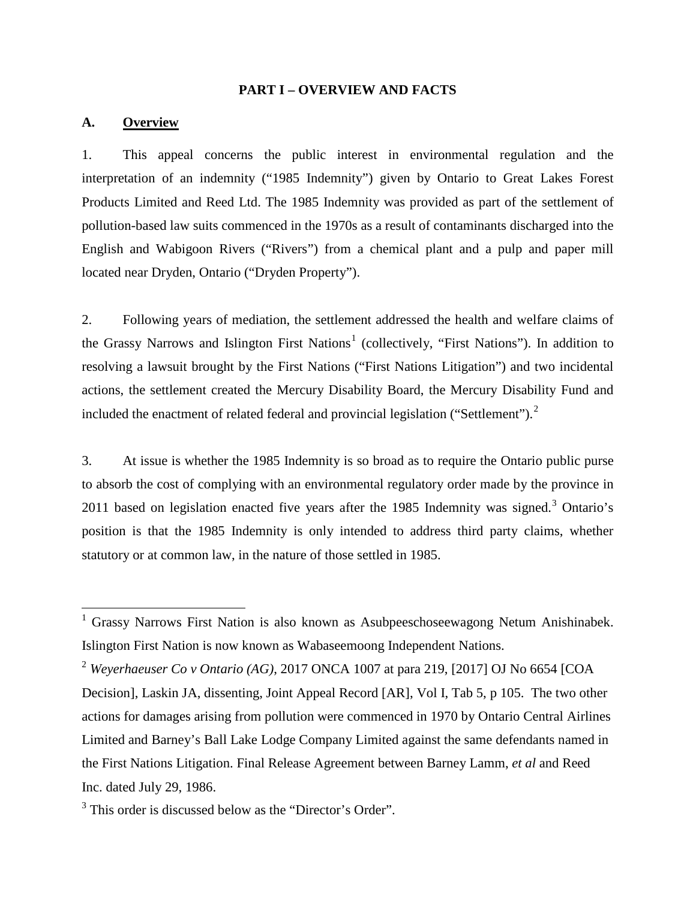#### **PART I – OVERVIEW AND FACTS**

#### <span id="page-4-1"></span><span id="page-4-0"></span>**A. Overview**

1. This appeal concerns the public interest in environmental regulation and the interpretation of an indemnity ("1985 Indemnity") given by Ontario to Great Lakes Forest Products Limited and Reed Ltd. The 1985 Indemnity was provided as part of the settlement of pollution-based law suits commenced in the 1970s as a result of contaminants discharged into the English and Wabigoon Rivers ("Rivers") from a chemical plant and a pulp and paper mill located near Dryden, Ontario ("Dryden Property").

2. Following years of mediation, the settlement addressed the health and welfare claims of the Grassy Narrows and Islington First Nations<sup>[1](#page-0-0)</sup> (collectively, "First Nations"). In addition to resolving a lawsuit brought by the First Nations ("First Nations Litigation") and two incidental actions, the settlement created the Mercury Disability Board, the Mercury Disability Fund and included the enactment of related federal and provincial legislation ("Settlement").<sup>[2](#page-4-2)</sup>

3. At issue is whether the 1985 Indemnity is so broad as to require the Ontario public purse to absorb the cost of complying with an environmental regulatory order made by the province in 2011 based on legislation enacted five years after the 1985 Indemnity was signed.<sup>[3](#page-4-3)</sup> Ontario's position is that the 1985 Indemnity is only intended to address third party claims, whether statutory or at common law, in the nature of those settled in 1985.

<sup>&</sup>lt;sup>1</sup> Grassy Narrows First Nation is also known as Asubpeeschoseewagong Netum Anishinabek. Islington First Nation is now known as Wabaseemoong Independent Nations.

<span id="page-4-2"></span><sup>2</sup> *Weyerhaeuser Co v Ontario (AG)*, 2017 ONCA 1007 at para 219, [2017] OJ No 6654 [COA

<span id="page-4-4"></span>Decision], Laskin JA, dissenting, Joint Appeal Record [AR], Vol I, Tab 5, p 105. The two other actions for damages arising from pollution were commenced in 1970 by Ontario Central Airlines Limited and Barney's Ball Lake Lodge Company Limited against the same defendants named in the First Nations Litigation. Final Release Agreement between Barney Lamm, *et al* and Reed Inc. dated July 29, 1986.

<span id="page-4-3"></span><sup>&</sup>lt;sup>3</sup> This order is discussed below as the "Director's Order".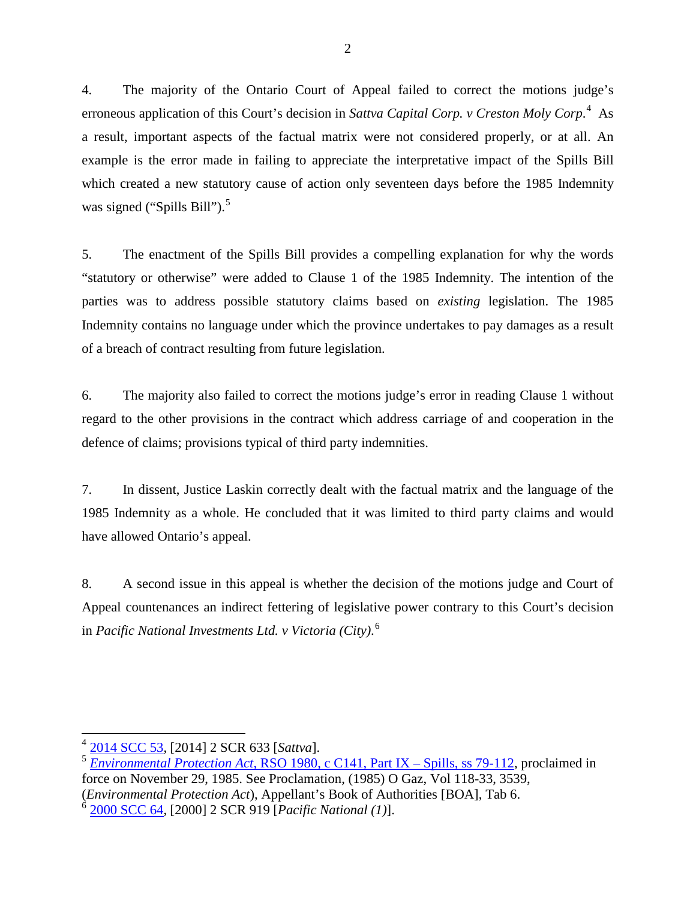4. The majority of the Ontario Court of Appeal failed to correct the motions judge's erroneous application of this Court's decision in *Sattva Capital Corp. v Creston Moly Corp*. [4](#page-4-4) As a result, important aspects of the factual matrix were not considered properly, or at all. An example is the error made in failing to appreciate the interpretative impact of the Spills Bill which created a new statutory cause of action only seventeen days before the 1985 Indemnity was signed ("Spills Bill"). $5$ 

5. The enactment of the Spills Bill provides a compelling explanation for why the words "statutory or otherwise" were added to Clause 1 of the 1985 Indemnity. The intention of the parties was to address possible statutory claims based on *existing* legislation. The 1985 Indemnity contains no language under which the province undertakes to pay damages as a result of a breach of contract resulting from future legislation.

6. The majority also failed to correct the motions judge's error in reading Clause 1 without regard to the other provisions in the contract which address carriage of and cooperation in the defence of claims; provisions typical of third party indemnities.

7. In dissent, Justice Laskin correctly dealt with the factual matrix and the language of the 1985 Indemnity as a whole. He concluded that it was limited to third party claims and would have allowed Ontario's appeal.

8. A second issue in this appeal is whether the decision of the motions judge and Court of Appeal countenances an indirect fettering of legislative power contrary to this Court's decision in *Pacific National Investments Ltd. v Victoria (City)*. [6](#page-5-1)

<sup>4</sup> [2014 SCC 53,](https://www.canlii.org/en/ca/scc/doc/2014/2014scc53/2014scc53.html) [2014] 2 SCR 633 [*Sattva*].

<span id="page-5-0"></span><sup>5</sup> *Environmental Protection Act*[, RSO 1980, c C141, Part IX –](https://heinonline.org/HOL/P?h=hein.psc/rsotar0002&i=1260) Spills, ss 79-112, proclaimed in force on November 29, 1985. See Proclamation, (1985) O Gaz, Vol 118-33, 3539,

<sup>(</sup>*Environmental Protection Act*), Appellant's Book of Authorities [BOA], Tab 6. <sup>6</sup> [2000 SCC 64,](https://www.canlii.org/en/ca/scc/doc/2000/2000scc64/2000scc64.html) [2000] 2 SCR 919 [*Pacific National (1)*].

<span id="page-5-1"></span>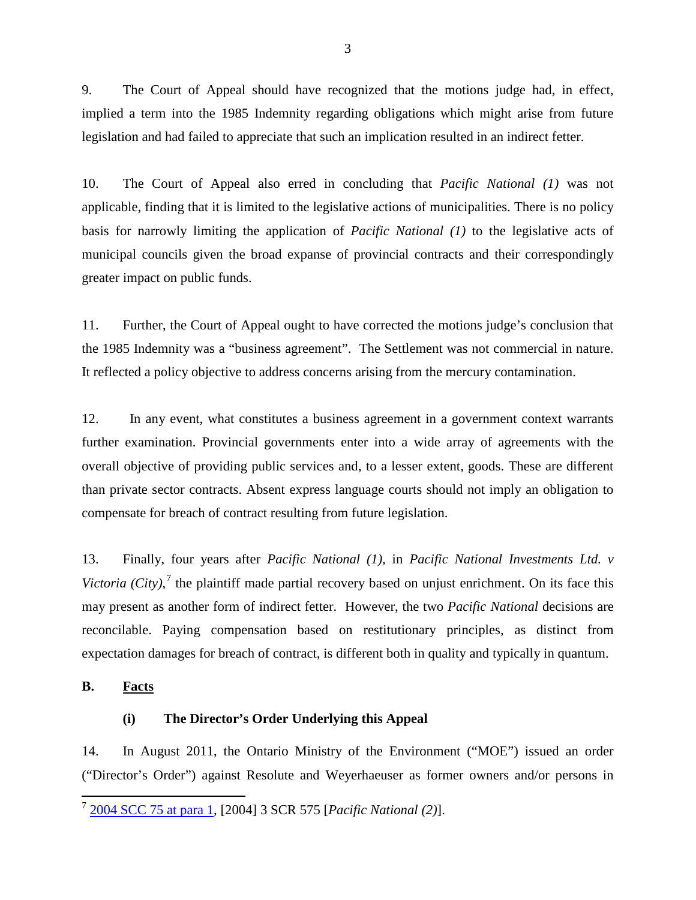9. The Court of Appeal should have recognized that the motions judge had, in effect, implied a term into the 1985 Indemnity regarding obligations which might arise from future legislation and had failed to appreciate that such an implication resulted in an indirect fetter.

10. The Court of Appeal also erred in concluding that *Pacific National (1)* was not applicable, finding that it is limited to the legislative actions of municipalities. There is no policy basis for narrowly limiting the application of *Pacific National (1)* to the legislative acts of municipal councils given the broad expanse of provincial contracts and their correspondingly greater impact on public funds.

11. Further, the Court of Appeal ought to have corrected the motions judge's conclusion that the 1985 Indemnity was a "business agreement". The Settlement was not commercial in nature. It reflected a policy objective to address concerns arising from the mercury contamination.

12. In any event, what constitutes a business agreement in a government context warrants further examination. Provincial governments enter into a wide array of agreements with the overall objective of providing public services and, to a lesser extent, goods. These are different than private sector contracts. Absent express language courts should not imply an obligation to compensate for breach of contract resulting from future legislation.

<span id="page-6-2"></span>13. Finally, four years after *Pacific National (1),* in *Pacific National Investments Ltd. v Victoria* (*City*),<sup>[7](#page-5-1)</sup> the plaintiff made partial recovery based on unjust enrichment. On its face this may present as another form of indirect fetter. However, the two *Pacific National* decisions are reconcilable. Paying compensation based on restitutionary principles, as distinct from expectation damages for breach of contract, is different both in quality and typically in quantum.

<span id="page-6-1"></span><span id="page-6-0"></span>**B. Facts**

# **(i) The Director's Order Underlying this Appeal**

14. In August 2011, the Ontario Ministry of the Environment ("MOE") issued an order ("Director's Order") against Resolute and Weyerhaeuser as former owners and/or persons in

<sup>7</sup> [2004 SCC 75 at para 1,](https://www.canlii.org/en/ca/scc/doc/2004/2004scc75/2004scc75.html#par1) [2004] 3 SCR 575 [*Pacific National (2)*].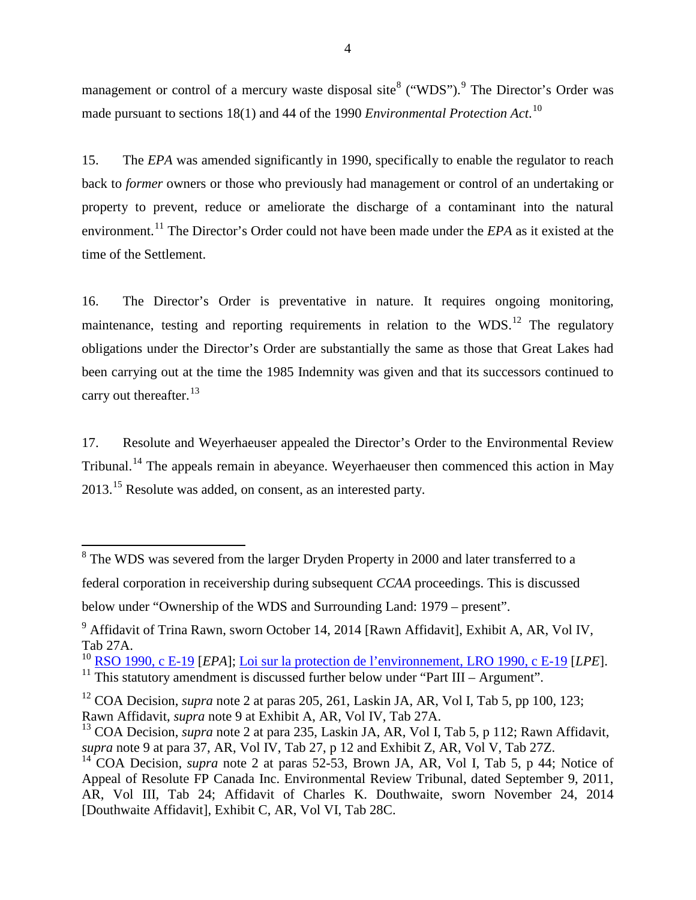management or control of a mercury waste disposal site<sup>[8](#page-6-2)</sup> ("WDS").<sup>[9](#page-7-0)</sup> The Director's Order was made pursuant to sections 18(1) and 44 of the 1990 *Environmental Protection Act*. [10](#page-7-1)

15. The *EPA* was amended significantly in 1990, specifically to enable the regulator to reach back to *former* owners or those who previously had management or control of an undertaking or property to prevent, reduce or ameliorate the discharge of a contaminant into the natural environment.<sup>[11](#page-7-2)</sup> The Director's Order could not have been made under the *EPA* as it existed at the time of the Settlement.

16. The Director's Order is preventative in nature. It requires ongoing monitoring, maintenance, testing and reporting requirements in relation to the WDS.<sup>[12](#page-7-3)</sup> The regulatory obligations under the Director's Order are substantially the same as those that Great Lakes had been carrying out at the time the 1985 Indemnity was given and that its successors continued to carry out thereafter.  $13$ 

17. Resolute and Weyerhaeuser appealed the Director's Order to the Environmental Review Tribunal.<sup>[14](#page-7-5)</sup> The appeals remain in abeyance. Weyerhaeuser then commenced this action in May 2013.[15](#page-7-6) Resolute was added, on consent, as an interested party.

<span id="page-7-2"></span><span id="page-7-1"></span><sup>10</sup> [RSO 1990, c E-19](https://www.ontario.ca/laws/statute/90e19) [*EPA*]; [Loi sur la protection de l'environnement, LRO 1990, c E-19](https://www.ontario.ca/fr/lois/loi/90e19) [*LPE*].  $11$ <sup>11</sup> This statutory amendment is discussed further below under "Part III – Argument".

<span id="page-7-7"></span><span id="page-7-6"></span><sup>&</sup>lt;sup>8</sup> The WDS was severed from the larger Dryden Property in 2000 and later transferred to a federal corporation in receivership during subsequent *CCAA* proceedings. This is discussed below under "Ownership of the WDS and Surrounding Land: 1979 – present".

<span id="page-7-0"></span> $9$  Affidavit of Trina Rawn, sworn October 14, 2014 [Rawn Affidavit], Exhibit A, AR, Vol IV, Tab 27A.

<span id="page-7-3"></span><sup>&</sup>lt;sup>12</sup> COA Decision, *supra* note 2 at paras 205, 261, Laskin JA, AR, Vol I, Tab 5, pp 100, 123; Rawn Affidavit, *supra* note 9 at Exhibit A, AR, Vol IV, Tab 27A.

<span id="page-7-4"></span><sup>13</sup> COA Decision, *supra* note 2 at para 235, Laskin JA, AR, Vol I, Tab 5, p 112; Rawn Affidavit, *supra* note 9 at para 37, AR, Vol IV, Tab 27, p 12 and Exhibit Z, AR, Vol V, Tab 27Z.

<span id="page-7-5"></span><sup>&</sup>lt;sup>14</sup> COA Decision, *supra* note 2 at paras 52-53, Brown JA, AR, Vol I, Tab 5, p 44; Notice of Appeal of Resolute FP Canada Inc. Environmental Review Tribunal, dated September 9, 2011, AR, Vol III, Tab 24; Affidavit of Charles K. Douthwaite, sworn November 24, 2014 [Douthwaite Affidavit], Exhibit C, AR, Vol VI, Tab 28C.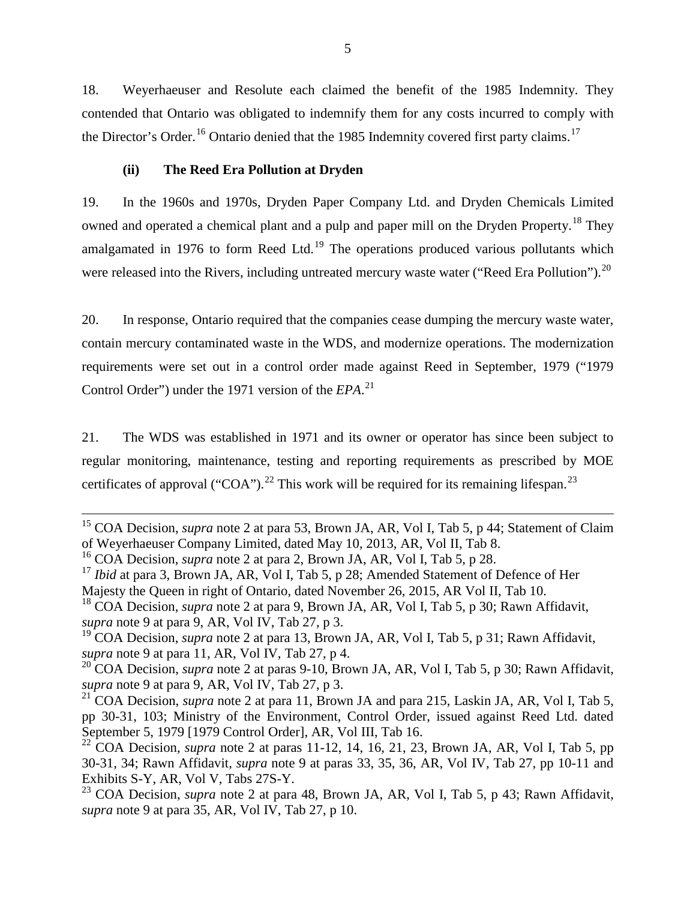18. Weyerhaeuser and Resolute each claimed the benefit of the 1985 Indemnity. They contended that Ontario was obligated to indemnify them for any costs incurred to comply with the Director's Order.<sup>[16](#page-7-7)</sup> Ontario denied that the 1985 Indemnity covered first party claims.<sup>[17](#page-8-1)</sup>

### **(ii) The Reed Era Pollution at Dryden**

<span id="page-8-0"></span>19. In the 1960s and 1970s, Dryden Paper Company Ltd. and Dryden Chemicals Limited owned and operated a chemical plant and a pulp and paper mill on the Dryden Property.<sup>[18](#page-8-2)</sup> They amalgamated in [19](#page-8-3)76 to form Reed Ltd.<sup>19</sup> The operations produced various pollutants which were released into the Rivers, including untreated mercury waste water ("Reed Era Pollution").<sup>[20](#page-8-4)</sup>

20. In response, Ontario required that the companies cease dumping the mercury waste water, contain mercury contaminated waste in the WDS, and modernize operations. The modernization requirements were set out in a control order made against Reed in September, 1979 ("1979 Control Order") under the 1971 version of the *EPA*. [21](#page-8-5)

21. The WDS was established in 1971 and its owner or operator has since been subject to regular monitoring, maintenance, testing and reporting requirements as prescribed by MOE certificates of approval ("COA").<sup>[22](#page-8-6)</sup> This work will be required for its remaining lifespan.<sup>[23](#page-8-7)</sup>

<sup>15</sup> COA Decision, *supra* note 2 at para 53, Brown JA, AR, Vol I, Tab 5, p 44; Statement of Claim of Weyerhaeuser Company Limited, dated May 10, 2013, AR, Vol II, Tab 8.

<sup>16</sup> COA Decision, *supra* note 2 at para 2, Brown JA, AR, Vol I, Tab 5, p 28.

<span id="page-8-8"></span><span id="page-8-1"></span><sup>&</sup>lt;sup>17</sup> *Ibid* at para 3, Brown JA, AR, Vol I, Tab 5, p 28; Amended Statement of Defence of Her Majesty the Queen in right of Ontario, dated November 26, 2015, AR Vol II, Tab 10.

<span id="page-8-2"></span><sup>&</sup>lt;sup>18</sup> COA Decision, *supra* note 2 at para 9, Brown JA, AR, Vol I, Tab 5, p 30; Rawn Affidavit, *supra* note 9 at para 9, AR, Vol IV, Tab 27, p 3.

<span id="page-8-3"></span><sup>&</sup>lt;sup>19</sup> COA Decision, *supra* note 2 at para 13, Brown JA, AR, Vol I, Tab 5, p 31; Rawn Affidavit, *supra* note 9 at para 11, AR, Vol IV, Tab 27, p 4.

<span id="page-8-4"></span><sup>20</sup> COA Decision, *supra* note 2 at paras 9-10, Brown JA, AR, Vol I, Tab 5, p 30; Rawn Affidavit*, supra* note 9 at para 9, AR, Vol IV, Tab 27, p 3.

<span id="page-8-5"></span><sup>&</sup>lt;sup>21</sup> COA Decision, *supra* note 2 at para 11, Brown JA and para 215, Laskin JA, AR, Vol I, Tab 5, pp 30-31, 103; Ministry of the Environment, Control Order, issued against Reed Ltd. dated September 5, 1979 [1979 Control Order], AR, Vol III, Tab 16.

<span id="page-8-6"></span><sup>22</sup> COA Decision, *supra* note 2 at paras 11-12, 14, 16, 21, 23, Brown JA, AR, Vol I, Tab 5, pp 30-31, 34; Rawn Affidavit, *supra* note 9 at paras 33, 35, 36, AR, Vol IV, Tab 27, pp 10-11 and Exhibits S-Y, AR, Vol V, Tabs 27S-Y.

<span id="page-8-7"></span><sup>23</sup> COA Decision, *supra* note 2 at para 48, Brown JA, AR, Vol I, Tab 5, p 43; Rawn Affidavit, *supra* note 9 at para 35, AR, Vol IV, Tab 27, p 10.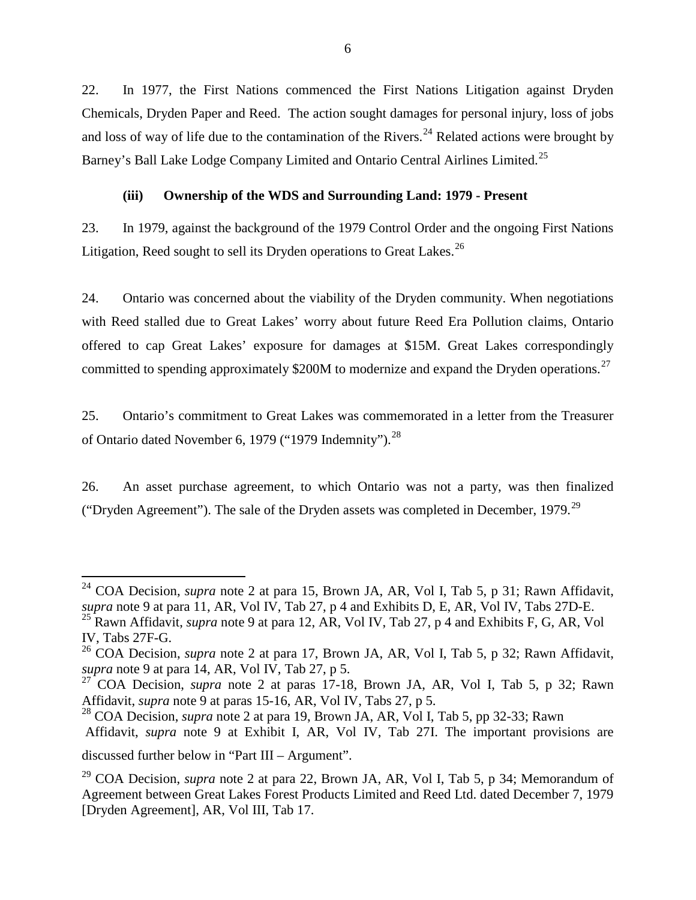22. In 1977, the First Nations commenced the First Nations Litigation against Dryden Chemicals, Dryden Paper and Reed. The action sought damages for personal injury, loss of jobs and loss of way of life due to the contamination of the Rivers.<sup>[24](#page-8-8)</sup> Related actions were brought by Barney's Ball Lake Lodge Company Limited and Ontario Central Airlines Limited.<sup>[25](#page-9-1)</sup>

# **(iii) Ownership of the WDS and Surrounding Land: 1979 - Present**

<span id="page-9-0"></span>23. In 1979, against the background of the 1979 Control Order and the ongoing First Nations Litigation, Reed sought to sell its Dryden operations to Great Lakes.<sup>[26](#page-9-2)</sup>

24. Ontario was concerned about the viability of the Dryden community. When negotiations with Reed stalled due to Great Lakes' worry about future Reed Era Pollution claims, Ontario offered to cap Great Lakes' exposure for damages at \$15M. Great Lakes correspondingly committed to spending approximately \$200M to modernize and expand the Dryden operations.<sup>[27](#page-9-3)</sup>

25. Ontario's commitment to Great Lakes was commemorated in a letter from the Treasurer of Ontario dated November 6, 1979 ("1979 Indemnity").<sup>28</sup>

26. An asset purchase agreement, to which Ontario was not a party, was then finalized ("Dryden Agreement"). The sale of the Dryden assets was completed in December, 1979.<sup>[29](#page-9-5)</sup>

<sup>24</sup> COA Decision, *supra* note 2 at para 15, Brown JA, AR, Vol I, Tab 5, p 31; Rawn Affidavit, *supra* note 9 at para 11, AR, Vol IV, Tab 27, p 4 and Exhibits D, E, AR, Vol IV, Tabs 27D-E. <sup>25</sup> Rawn Affidavit, *supra* note 9 at para 12, AR, Vol IV, Tab 27, p 4 and Exhibits F, G, AR, Vol IV, Tabs 27F-G.

<span id="page-9-2"></span><span id="page-9-1"></span><sup>26</sup> COA Decision, *supra* note 2 at para 17, Brown JA, AR, Vol I, Tab 5, p 32; Rawn Affidavit, *supra* note 9 at para 14, AR, Vol IV, Tab 27, p 5.

<span id="page-9-3"></span><sup>&</sup>lt;sup>27</sup> COA Decision, *supra* note 2 at paras 17-18, Brown JA, AR, Vol I, Tab 5, p 32; Rawn Affidavit, *supra* note 9 at paras 15-16, AR, Vol IV, Tabs 27, p 5.

<span id="page-9-6"></span><span id="page-9-4"></span><sup>28</sup> COA Decision, *supra* note 2 at para 19, Brown JA, AR, Vol I, Tab 5, pp 32-33; Rawn Affidavit, *supra* note 9 at Exhibit I, AR, Vol IV, Tab 27I. The important provisions are

discussed further below in "Part III – Argument".

<span id="page-9-5"></span><sup>29</sup> COA Decision, *supra* note 2 at para 22, Brown JA, AR, Vol I, Tab 5, p 34; Memorandum of Agreement between Great Lakes Forest Products Limited and Reed Ltd. dated December 7, 1979 [Dryden Agreement], AR, Vol III, Tab 17.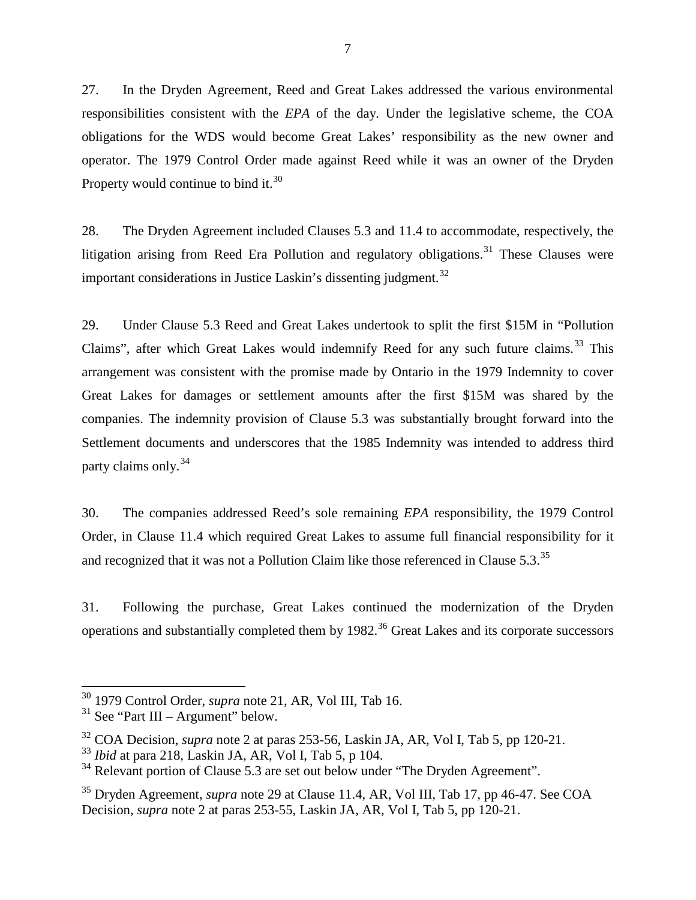27. In the Dryden Agreement, Reed and Great Lakes addressed the various environmental responsibilities consistent with the *EPA* of the day*.* Under the legislative scheme, the COA obligations for the WDS would become Great Lakes' responsibility as the new owner and operator. The 1979 Control Order made against Reed while it was an owner of the Dryden Property would continue to bind it.<sup>[30](#page-9-6)</sup>

28. The Dryden Agreement included Clauses 5.3 and 11.4 to accommodate, respectively, the litigation arising from Reed Era Pollution and regulatory obligations.<sup>[31](#page-10-0)</sup> These Clauses were important considerations in Justice Laskin's dissenting judgment.<sup>[32](#page-10-1)</sup>

29. Under Clause 5.3 Reed and Great Lakes undertook to split the first \$15M in "Pollution Claims", after which Great Lakes would indemnify Reed for any such future claims.<sup>[33](#page-10-2)</sup> This arrangement was consistent with the promise made by Ontario in the 1979 Indemnity to cover Great Lakes for damages or settlement amounts after the first \$15M was shared by the companies. The indemnity provision of Clause 5.3 was substantially brought forward into the Settlement documents and underscores that the 1985 Indemnity was intended to address third party claims only. [34](#page-10-3)

30. The companies addressed Reed's sole remaining *EPA* responsibility, the 1979 Control Order, in Clause 11.4 which required Great Lakes to assume full financial responsibility for it and recognized that it was not a Pollution Claim like those referenced in Clause 5.3.<sup>[35](#page-10-4)</sup>

<span id="page-10-6"></span><span id="page-10-5"></span>31. Following the purchase, Great Lakes continued the modernization of the Dryden operations and substantially completed them by 1982.<sup>[36](#page-10-5)</sup> Great Lakes and its corporate successors

<sup>30</sup> 1979 Control Order, *supra* note 21, AR, Vol III, Tab 16.

<span id="page-10-0"></span> $31$  See "Part III – Argument" below.

<span id="page-10-1"></span><sup>32</sup> COA Decision, *supra* note 2 at paras 253-56, Laskin JA, AR, Vol I, Tab 5, pp 120-21.

<span id="page-10-2"></span><sup>33</sup> *Ibid* at para 218, Laskin JA, AR, Vol I, Tab 5, p 104.

<span id="page-10-3"></span> $34$  Relevant portion of Clause 5.3 are set out below under "The Dryden Agreement".

<span id="page-10-4"></span><sup>35</sup> Dryden Agreement, *supra* note 29 at Clause 11.4, AR, Vol III, Tab 17, pp 46-47. See COA Decision*, supra* note 2 at paras 253-55, Laskin JA, AR, Vol I, Tab 5, pp 120-21.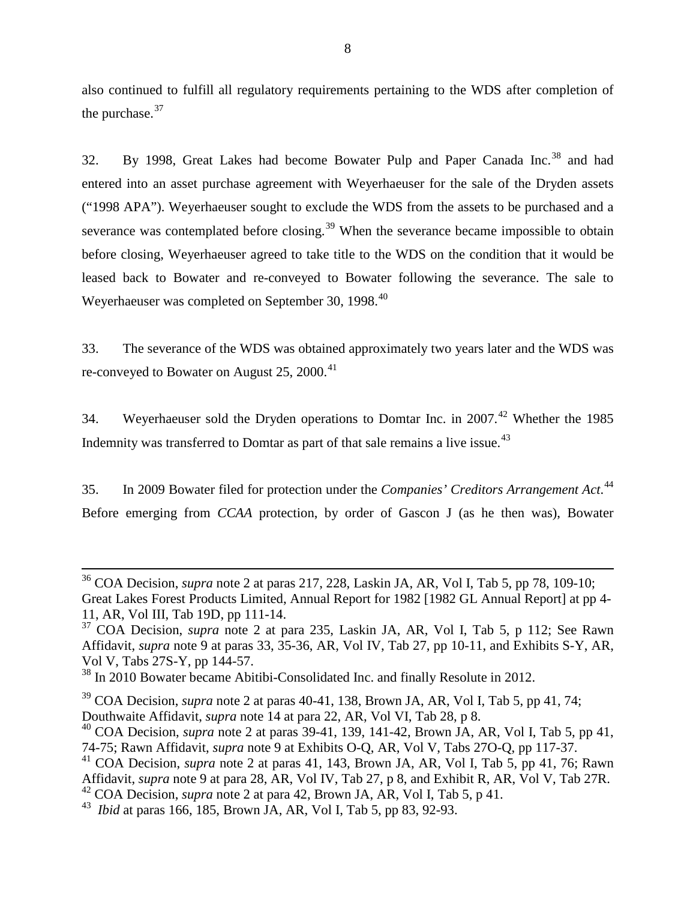also continued to fulfill all regulatory requirements pertaining to the WDS after completion of the purchase.  $37$ 

32. By 1998, Great Lakes had become Bowater Pulp and Paper Canada Inc.<sup>[38](#page-11-0)</sup> and had entered into an asset purchase agreement with Weyerhaeuser for the sale of the Dryden assets ("1998 APA"). Weyerhaeuser sought to exclude the WDS from the assets to be purchased and a severance was contemplated before closing.<sup>[39](#page-11-1)</sup> When the severance became impossible to obtain before closing, Weyerhaeuser agreed to take title to the WDS on the condition that it would be leased back to Bowater and re-conveyed to Bowater following the severance. The sale to Weyerhaeuser was completed on September 30, 1998.<sup>[40](#page-11-2)</sup>

33. The severance of the WDS was obtained approximately two years later and the WDS was re-conveyed to Bowater on August 25, 2000.<sup>[41](#page-11-3)</sup>

34. Weyerhaeuser sold the Dryden operations to Domtar Inc. in 2007.<sup>[42](#page-11-4)</sup> Whether the 1985 Indemnity was transferred to Domtar as part of that sale remains a live issue.<sup>[43](#page-11-5)</sup>

35. In 2009 Bowater filed for protection under the *Companies' Creditors Arrangement Act*. [44](#page-11-6) Before emerging from *CCAA* protection, by order of Gascon J (as he then was), Bowater

<sup>36</sup> COA Decision, *supra* note 2 at paras 217, 228, Laskin JA, AR, Vol I, Tab 5, pp 78, 109-10; Great Lakes Forest Products Limited, Annual Report for 1982 [1982 GL Annual Report] at pp 4- 11, AR, Vol III, Tab 19D, pp 111-14.

<span id="page-11-7"></span><span id="page-11-6"></span><sup>37</sup> COA Decision, *supra* note 2 at para 235, Laskin JA, AR, Vol I, Tab 5, p 112; See Rawn Affidavit, *supra* note 9 at paras 33, 35-36, AR, Vol IV, Tab 27, pp 10-11, and Exhibits S-Y, AR, Vol V, Tabs 27S-Y, pp 144-57.

<span id="page-11-0"></span><sup>&</sup>lt;sup>38</sup> In 2010 Bowater became Abitibi-Consolidated Inc. and finally Resolute in 2012.

<span id="page-11-1"></span><sup>39</sup> COA Decision, *supra* note 2 at paras 40-41, 138, Brown JA, AR, Vol I, Tab 5, pp 41, 74; Douthwaite Affidavit, *supra* note 14 at para 22, AR, Vol VI, Tab 28, p 8.

<span id="page-11-2"></span><sup>40</sup> COA Decision, *supra* note 2 at paras 39-41, 139, 141-42, Brown JA, AR, Vol I, Tab 5, pp 41, 74-75; Rawn Affidavit, *supra* note 9 at Exhibits O-Q, AR, Vol V, Tabs 27O-Q, pp 117-37.

<span id="page-11-3"></span><sup>41</sup> COA Decision, *supra* note 2 at paras 41, 143, Brown JA, AR, Vol I, Tab 5, pp 41, 76; Rawn Affidavit, *supra* note 9 at para 28, AR, Vol IV, Tab 27, p 8, and Exhibit R, AR, Vol V, Tab 27R.

<span id="page-11-4"></span><sup>42</sup> COA Decision, *supra* note 2 at para 42, Brown JA, AR, Vol I, Tab 5, p 41.

<span id="page-11-5"></span><sup>43</sup> *Ibid* at paras 166, 185, Brown JA, AR, Vol I, Tab 5, pp 83, 92-93.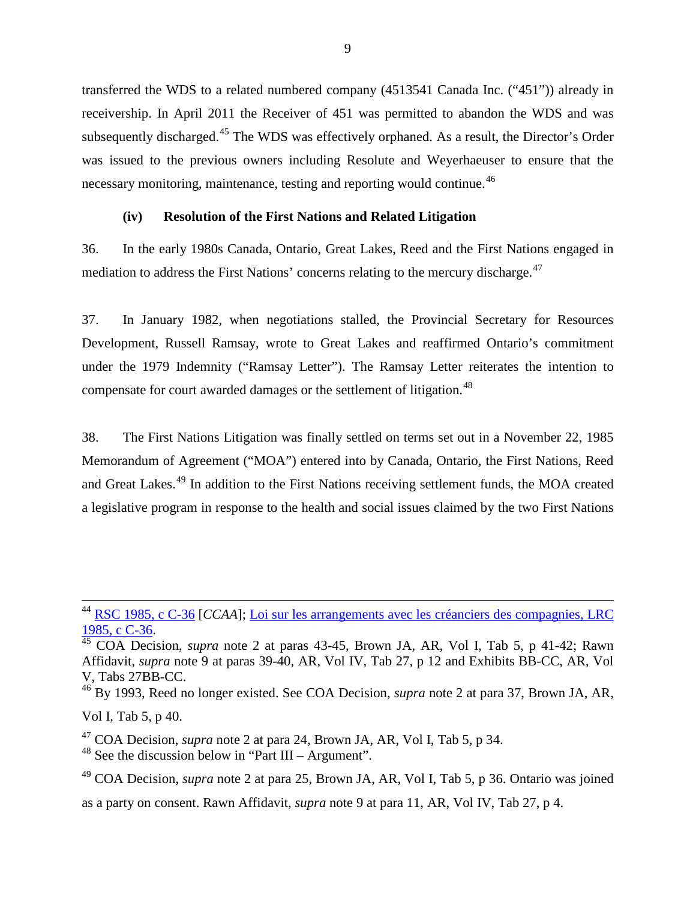transferred the WDS to a related numbered company (4513541 Canada Inc. ("451")) already in receivership. In April 2011 the Receiver of 451 was permitted to abandon the WDS and was subsequently discharged.<sup>[45](#page-11-7)</sup> The WDS was effectively orphaned. As a result, the Director's Order was issued to the previous owners including Resolute and Weyerhaeuser to ensure that the necessary monitoring, maintenance, testing and reporting would continue.<sup>[46](#page-12-1)</sup>

#### **(iv) Resolution of the First Nations and Related Litigation**

<span id="page-12-0"></span>36. In the early 1980s Canada, Ontario, Great Lakes, Reed and the First Nations engaged in mediation to address the First Nations' concerns relating to the mercury discharge.<sup>[47](#page-12-2)</sup>

37. In January 1982, when negotiations stalled, the Provincial Secretary for Resources Development, Russell Ramsay, wrote to Great Lakes and reaffirmed Ontario's commitment under the 1979 Indemnity ("Ramsay Letter"). The Ramsay Letter reiterates the intention to compensate for court awarded damages or the settlement of litigation.<sup>[48](#page-12-3)</sup>

38. The First Nations Litigation was finally settled on terms set out in a November 22, 1985 Memorandum of Agreement ("MOA") entered into by Canada, Ontario, the First Nations, Reed and Great Lakes.<sup>[49](#page-12-4)</sup> In addition to the First Nations receiving settlement funds, the MOA created a legislative program in response to the health and social issues claimed by the two First Nations

<sup>44</sup> [RSC 1985, c C-36](http://laws-lois.justice.gc.ca/eng/acts/C-36/FullText.html) [*CCAA*]; [Loi sur les arrangements avec les créanciers des compagnies, LRC](http://laws-lois.justice.gc.ca/fra/lois/C-36/TexteComplet.html)  [1985, c C-36.](http://laws-lois.justice.gc.ca/fra/lois/C-36/TexteComplet.html) <sup>45</sup> COA Decision, *supra* note 2 at paras 43-45, Brown JA, AR, Vol I, Tab 5, p 41-42; Rawn

<span id="page-12-5"></span>Affidavit, *supra* note 9 at paras 39-40, AR, Vol IV, Tab 27, p 12 and Exhibits BB-CC, AR, Vol V, Tabs 27BB-CC.

<span id="page-12-1"></span><sup>46</sup> By 1993, Reed no longer existed. See COA Decision, *supra* note 2 at para 37, Brown JA, AR,

Vol I, Tab 5, p 40.

<span id="page-12-2"></span><sup>47</sup> COA Decision, *supra* note 2 at para 24, Brown JA, AR, Vol I, Tab 5, p 34.

<span id="page-12-3"></span> $48$  See the discussion below in "Part III – Argument".

<span id="page-12-4"></span><sup>49</sup> COA Decision, *supra* note 2 at para 25, Brown JA, AR, Vol I, Tab 5, p 36. Ontario was joined

as a party on consent. Rawn Affidavit, *supra* note 9 at para 11, AR, Vol IV, Tab 27, p 4.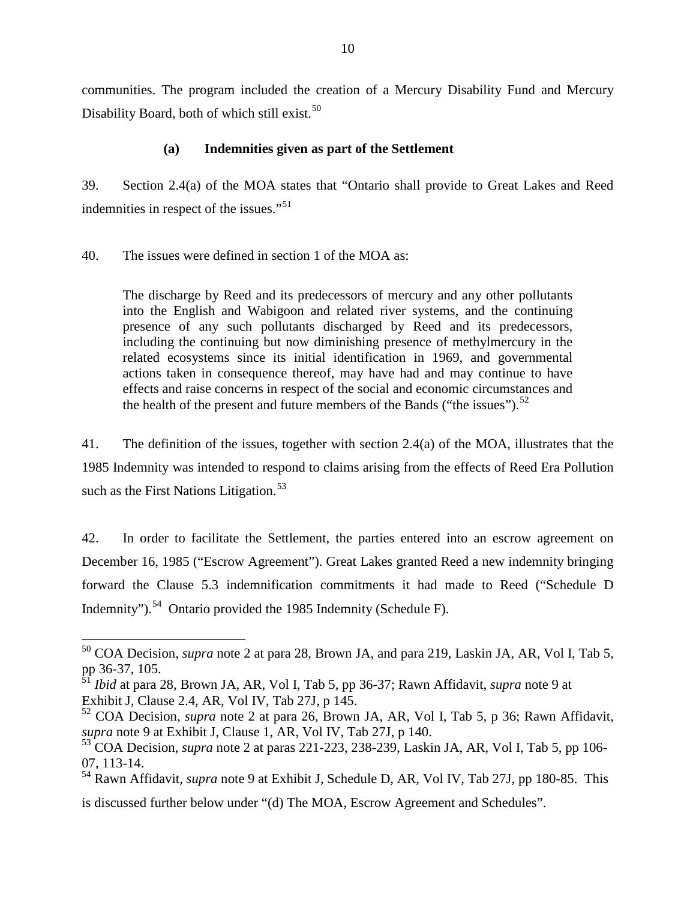communities. The program included the creation of a Mercury Disability Fund and Mercury Disability Board, both of which still exist. $50$ 

# **(a) Indemnities given as part of the Settlement**

39. Section 2.4(a) of the MOA states that "Ontario shall provide to Great Lakes and Reed indemnities in respect of the issues."<sup>[51](#page-13-0)</sup>

40. The issues were defined in section 1 of the MOA as:

The discharge by Reed and its predecessors of mercury and any other pollutants into the English and Wabigoon and related river systems, and the continuing presence of any such pollutants discharged by Reed and its predecessors, including the continuing but now diminishing presence of methylmercury in the related ecosystems since its initial identification in 1969, and governmental actions taken in consequence thereof, may have had and may continue to have effects and raise concerns in respect of the social and economic circumstances and the health of the present and future members of the Bands ("the issues").<sup>[52](#page-13-1)</sup>

41. The definition of the issues, together with section 2.4(a) of the MOA, illustrates that the 1985 Indemnity was intended to respond to claims arising from the effects of Reed Era Pollution such as the First Nations Litigation.<sup>[53](#page-13-2)</sup>

42. In order to facilitate the Settlement, the parties entered into an escrow agreement on December 16, 1985 ("Escrow Agreement"). Great Lakes granted Reed a new indemnity bringing forward the Clause 5.3 indemnification commitments it had made to Reed ("Schedule D Indemnity").<sup>[54](#page-13-3)</sup> Ontario provided the 1985 Indemnity (Schedule F).

<span id="page-13-4"></span><sup>50</sup> COA Decision, *supra* note 2 at para 28, Brown JA, and para 219, Laskin JA, AR, Vol I, Tab 5, pp 36-37, 105.

<span id="page-13-0"></span><sup>51</sup> *Ibid* at para 28, Brown JA, AR, Vol I, Tab 5, pp 36-37; Rawn Affidavit, *supra* note 9 at Exhibit J, Clause 2.4, AR, Vol IV, Tab 27J, p 145.

<span id="page-13-1"></span><sup>52</sup> COA Decision, *supra* note 2 at para 26, Brown JA, AR, Vol I, Tab 5, p 36; Rawn Affidavit, *supra* note 9 at Exhibit J, Clause 1, AR, Vol IV, Tab 27J, p 140.

<span id="page-13-2"></span><sup>53</sup> COA Decision, *supra* note 2 at paras 221-223, 238-239, Laskin JA, AR, Vol I, Tab 5, pp 106- 07, 113-14.

<span id="page-13-3"></span><sup>54</sup> Rawn Affidavit, *supra* note 9 at Exhibit J, Schedule D, AR, Vol IV, Tab 27J, pp 180-85. This

is discussed further below under "(d) The MOA, Escrow Agreement and Schedules".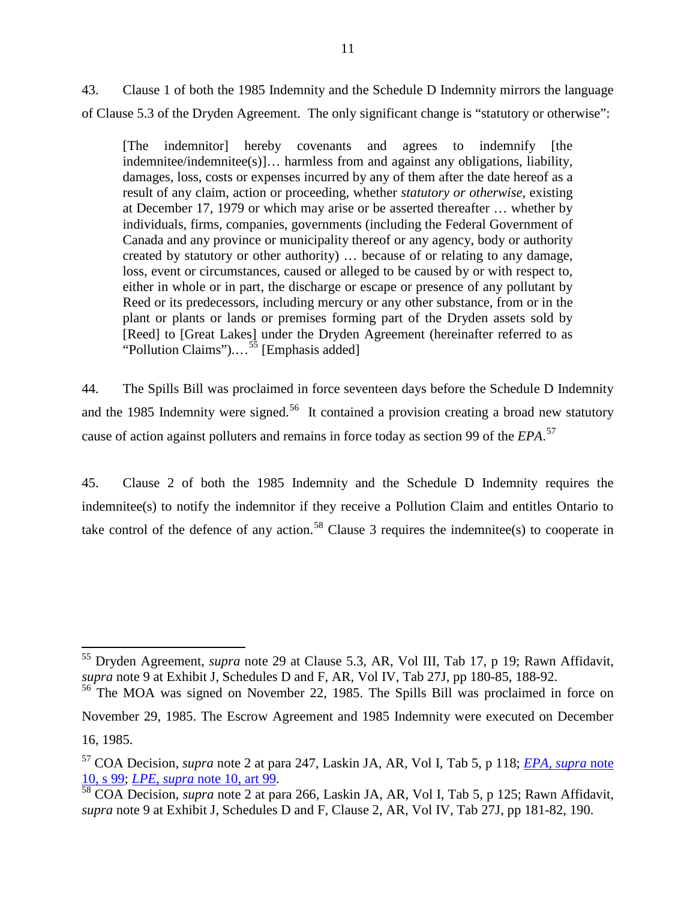43. Clause 1 of both the 1985 Indemnity and the Schedule D Indemnity mirrors the language of Clause 5.3 of the Dryden Agreement. The only significant change is "statutory or otherwise":

[The indemnitor] hereby covenants and agrees to indemnify [the indemnitee/indemnitee(s)]… harmless from and against any obligations, liability, damages, loss, costs or expenses incurred by any of them after the date hereof as a result of any claim, action or proceeding, whether *statutory or otherwise*, existing at December 17, 1979 or which may arise or be asserted thereafter … whether by individuals, firms, companies, governments (including the Federal Government of Canada and any province or municipality thereof or any agency, body or authority created by statutory or other authority) … because of or relating to any damage, loss, event or circumstances, caused or alleged to be caused by or with respect to, either in whole or in part, the discharge or escape or presence of any pollutant by Reed or its predecessors, including mercury or any other substance, from or in the plant or plants or lands or premises forming part of the Dryden assets sold by [Reed] to [Great Lakes] under the Dryden Agreement (hereinafter referred to as "Pollution Claims").... $^{55}$  $^{55}$  $^{55}$  [Emphasis added]

44. The Spills Bill was proclaimed in force seventeen days before the Schedule D Indemnity and the 1985 Indemnity were signed.<sup>[56](#page-14-0)</sup> It contained a provision creating a broad new statutory cause of action against polluters and remains in force today as section 99 of the *EPA*. [57](#page-14-1)

45. Clause 2 of both the 1985 Indemnity and the Schedule D Indemnity requires the indemnitee(s) to notify the indemnitor if they receive a Pollution Claim and entitles Ontario to take control of the defence of any action.<sup>[58](#page-14-2)</sup> Clause 3 requires the indemnitee(s) to cooperate in

<span id="page-14-3"></span><sup>55</sup> Dryden Agreement, *supra* note 29 at Clause 5.3, AR, Vol III, Tab 17, p 19; Rawn Affidavit, *supra* note 9 at Exhibit J, Schedules D and F, AR, Vol IV, Tab 27J, pp 180-85, 188-92.

<span id="page-14-0"></span><sup>&</sup>lt;sup>56</sup> The MOA was signed on November 22, 1985. The Spills Bill was proclaimed in force on November 29, 1985. The Escrow Agreement and 1985 Indemnity were executed on December 16, 1985.

<span id="page-14-1"></span><sup>57</sup> COA Decision, *supra* note 2 at para 247, Laskin JA, AR, Vol I, Tab 5, p 118; *[EPA, supra](https://www.ontario.ca/laws/statute/90e19#BK138)* note

<span id="page-14-2"></span>[<sup>10,</sup> s 99;](https://www.ontario.ca/laws/statute/90e19#BK138) *LPE*, *supra* [note 10, art 99.](https://www.ontario.ca/fr/lois/loi/90e19#BK138) <sup>58</sup> COA Decision, *supra* note 2 at para 266, Laskin JA, AR, Vol I, Tab 5, p 125; Rawn Affidavit, *supra* note 9 at Exhibit J, Schedules D and F, Clause 2, AR, Vol IV, Tab 27J, pp 181-82, 190.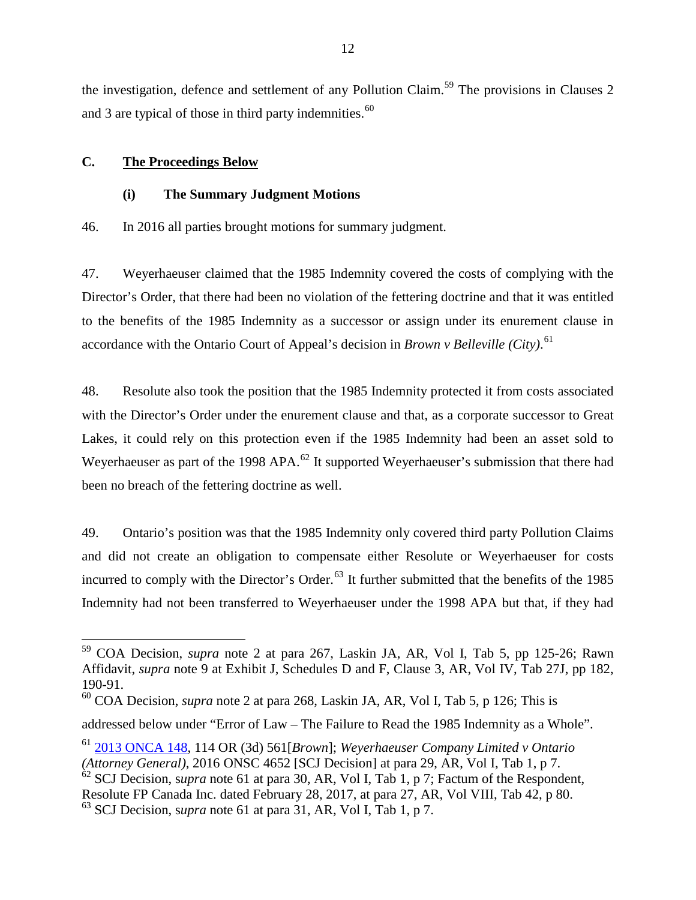the investigation, defence and settlement of any Pollution Claim.<sup>[59](#page-14-3)</sup> The provisions in Clauses 2 and 3 are typical of those in third party indemnities. $60$ 

# <span id="page-15-1"></span><span id="page-15-0"></span>**C. The Proceedings Below**

# **(i) The Summary Judgment Motions**

46. In 2016 all parties brought motions for summary judgment.

47. Weyerhaeuser claimed that the 1985 Indemnity covered the costs of complying with the Director's Order, that there had been no violation of the fettering doctrine and that it was entitled to the benefits of the 1985 Indemnity as a successor or assign under its enurement clause in accordance with the Ontario Court of Appeal's decision in *Brown v Belleville (City)*. [61](#page-15-3)

48. Resolute also took the position that the 1985 Indemnity protected it from costs associated with the Director's Order under the enurement clause and that, as a corporate successor to Great Lakes, it could rely on this protection even if the 1985 Indemnity had been an asset sold to Weyerhaeuser as part of the 1998 APA.<sup>[62](#page-15-4)</sup> It supported Weyerhaeuser's submission that there had been no breach of the fettering doctrine as well.

49. Ontario's position was that the 1985 Indemnity only covered third party Pollution Claims and did not create an obligation to compensate either Resolute or Weyerhaeuser for costs incurred to comply with the Director's Order.<sup>[63](#page-15-5)</sup> It further submitted that the benefits of the 1985 Indemnity had not been transferred to Weyerhaeuser under the 1998 APA but that, if they had

addressed below under "Error of Law – The Failure to Read the 1985 Indemnity as a Whole".

<span id="page-15-6"></span><sup>59</sup> COA Decision, *supra* note 2 at para 267, Laskin JA, AR, Vol I, Tab 5, pp 125-26; Rawn Affidavit, *supra* note 9 at Exhibit J, Schedules D and F, Clause 3, AR, Vol IV, Tab 27J, pp 182, 190-91.

<span id="page-15-2"></span><sup>60</sup> COA Decision, *supra* note 2 at para 268, Laskin JA, AR, Vol I, Tab 5, p 126; This is

<span id="page-15-5"></span><span id="page-15-4"></span><span id="page-15-3"></span><sup>61</sup> [2013 ONCA 148,](https://www.canlii.org/en/on/onca/doc/2013/2013onca148/2013onca148.html) 114 OR (3d) 561[*Brown*]; *Weyerhaeuser Company Limited v Ontario (Attorney General)*, 2016 ONSC 4652 [SCJ Decision] at para 29, AR, Vol I, Tab 1, p 7. <sup>62</sup> SCJ Decision, supra note 61 at para 30, AR, Vol I, Tab 1, p 7; Factum of the Respondent, Resolute FP Canada Inc. dated February 28, 2017, at para 27, AR, Vol VIII, Tab 42, p 80. <sup>63</sup> SCJ Decision, s*upra* note 61 at para 31, AR, Vol I, Tab 1, p 7.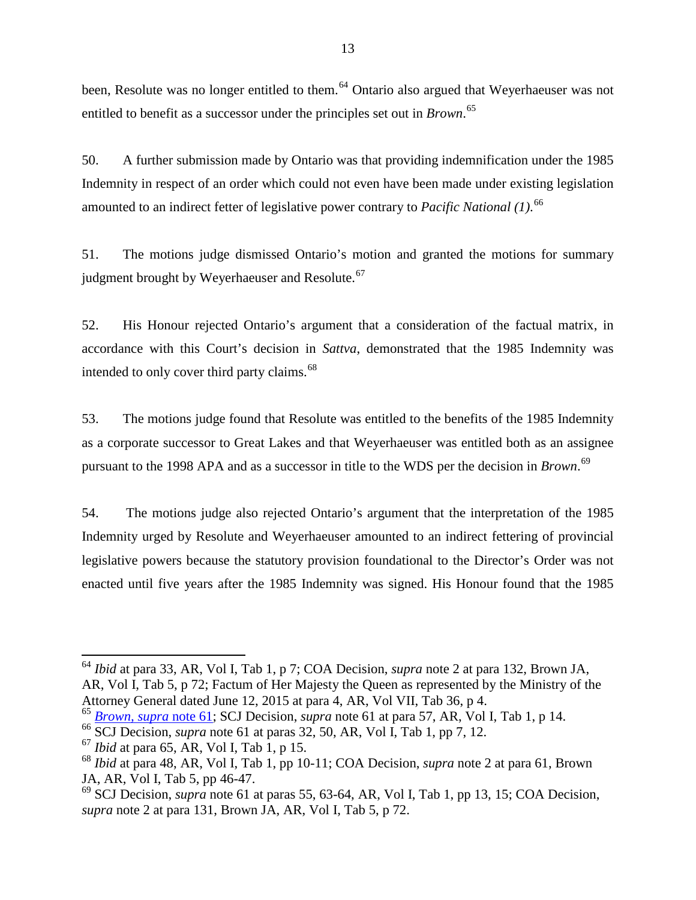been, Resolute was no longer entitled to them.<sup>[64](#page-15-6)</sup> Ontario also argued that Weyerhaeuser was not entitled to benefit as a successor under the principles set out in *Brown*. [65](#page-16-0)

50. A further submission made by Ontario was that providing indemnification under the 1985 Indemnity in respect of an order which could not even have been made under existing legislation amounted to an indirect fetter of legislative power contrary to *Pacific National (1)*. [66](#page-16-1)

51. The motions judge dismissed Ontario's motion and granted the motions for summary judgment brought by Weyerhaeuser and Resolute.<sup>[67](#page-16-2)</sup>

52. His Honour rejected Ontario's argument that a consideration of the factual matrix, in accordance with this Court's decision in *Sattva*, demonstrated that the 1985 Indemnity was intended to only cover third party claims.<sup>[68](#page-16-3)</sup>

53. The motions judge found that Resolute was entitled to the benefits of the 1985 Indemnity as a corporate successor to Great Lakes and that Weyerhaeuser was entitled both as an assignee pursuant to the 1998 APA and as a successor in title to the WDS per the decision in *Brown*. [69](#page-16-4)

54. The motions judge also rejected Ontario's argument that the interpretation of the 1985 Indemnity urged by Resolute and Weyerhaeuser amounted to an indirect fettering of provincial legislative powers because the statutory provision foundational to the Director's Order was not enacted until five years after the 1985 Indemnity was signed. His Honour found that the 1985

<span id="page-16-5"></span><sup>64</sup> *Ibid* at para 33, AR, Vol I, Tab 1, p 7; COA Decision, *supra* note 2 at para 132, Brown JA, AR, Vol I, Tab 5, p 72; Factum of Her Majesty the Queen as represented by the Ministry of the Attorney General dated June 12, 2015 at para 4, AR, Vol VII, Tab 36, p 4.

<span id="page-16-0"></span><sup>65</sup> *[Brown, supra](https://www.canlii.org/en/on/onca/doc/2013/2013onca148/2013onca148.html)* note 61; SCJ Decision, *supra* note 61 at para 57, AR, Vol I, Tab 1, p 14.

<span id="page-16-1"></span><sup>66</sup> SCJ Decision, *supra* note 61 at paras 32, 50, AR, Vol I, Tab 1, pp 7, 12.

<span id="page-16-2"></span><sup>67</sup> *Ibid* at para 65, AR, Vol I, Tab 1, p 15.

<span id="page-16-3"></span><sup>68</sup> *Ibid* at para 48, AR, Vol I, Tab 1, pp 10-11; COA Decision, *supra* note 2 at para 61, Brown JA, AR, Vol I, Tab 5, pp 46-47.

<span id="page-16-4"></span><sup>69</sup> SCJ Decision, *supra* note 61 at paras 55, 63-64, AR, Vol I, Tab 1, pp 13, 15; COA Decision, *supra* note 2 at para 131, Brown JA, AR, Vol I, Tab 5, p 72.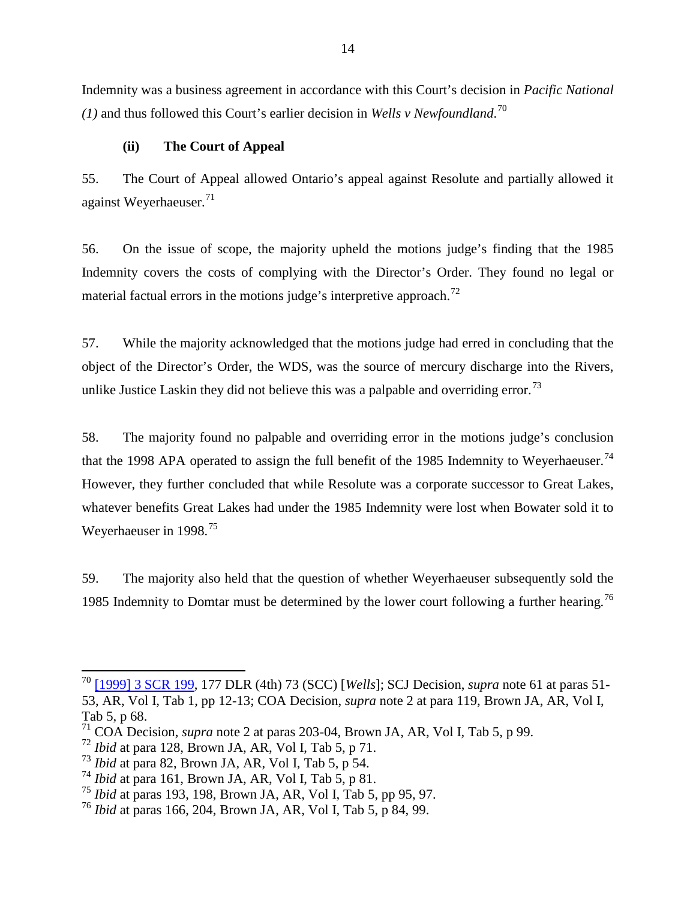Indemnity was a business agreement in accordance with this Court's decision in *Pacific National (1)* and thus followed this Court's earlier decision in *Wells v Newfoundland*. [70](#page-16-5)

# **(ii) The Court of Appeal**

<span id="page-17-0"></span>55. The Court of Appeal allowed Ontario's appeal against Resolute and partially allowed it against Weyerhaeuser. $71$ 

56. On the issue of scope, the majority upheld the motions judge's finding that the 1985 Indemnity covers the costs of complying with the Director's Order. They found no legal or material factual errors in the motions judge's interpretive approach.<sup>[72](#page-17-2)</sup>

57. While the majority acknowledged that the motions judge had erred in concluding that the object of the Director's Order, the WDS, was the source of mercury discharge into the Rivers, unlike Justice Laskin they did not believe this was a palpable and overriding error.<sup>[73](#page-17-3)</sup>

58. The majority found no palpable and overriding error in the motions judge's conclusion that the 1998 APA operated to assign the full benefit of the 1985 Indemnity to Weyerhaeuser.<sup>[74](#page-17-4)</sup> However, they further concluded that while Resolute was a corporate successor to Great Lakes, whatever benefits Great Lakes had under the 1985 Indemnity were lost when Bowater sold it to Weyerhaeuser in 1998.<sup>[75](#page-17-5)</sup>

59. The majority also held that the question of whether Weyerhaeuser subsequently sold the 1985 Indemnity to Domtar must be determined by the lower court following a further hearing.<sup>[76](#page-17-6)</sup>

<sup>70</sup> [\[1999\] 3 SCR 199,](https://www.canlii.org/en/ca/scc/doc/1999/1999canlii657/1999canlii657.html) 177 DLR (4th) 73 (SCC) [*Wells*]; SCJ Decision, *supra* note 61 at paras 51- 53, AR, Vol I, Tab 1, pp 12-13; COA Decision, *supra* note 2 at para 119, Brown JA, AR, Vol I, Tab 5, p 68.

<span id="page-17-7"></span><span id="page-17-1"></span><sup>71</sup> COA Decision, *supra* note 2 at paras 203-04, Brown JA, AR, Vol I, Tab 5, p 99.

<span id="page-17-2"></span><sup>72</sup> *Ibid* at para 128, Brown JA, AR, Vol I, Tab 5, p 71.

<span id="page-17-3"></span><sup>73</sup> *Ibid* at para 82, Brown JA, AR, Vol I, Tab 5, p 54.

<span id="page-17-4"></span><sup>74</sup> *Ibid* at para 161, Brown JA, AR, Vol I, Tab 5, p 81.

<span id="page-17-5"></span><sup>75</sup> *Ibid* at paras 193, 198, Brown JA, AR, Vol I, Tab 5, pp 95, 97.

<span id="page-17-6"></span><sup>76</sup> *Ibid* at paras 166, 204, Brown JA, AR, Vol I, Tab 5, p 84, 99.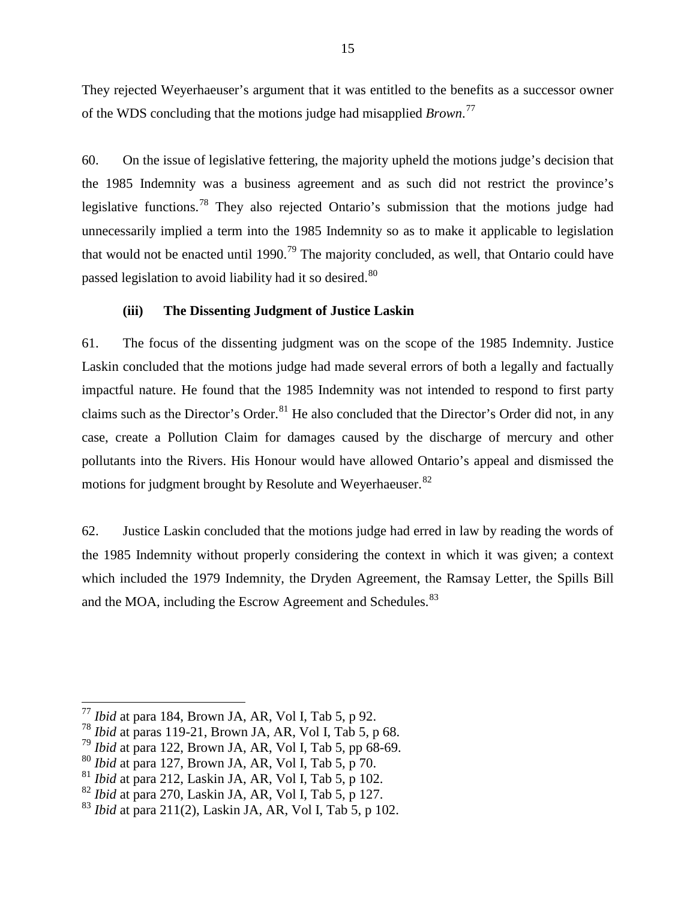They rejected Weyerhaeuser's argument that it was entitled to the benefits as a successor owner of the WDS concluding that the motions judge had misapplied *Brown*. [77](#page-17-7)

60. On the issue of legislative fettering, the majority upheld the motions judge's decision that the 1985 Indemnity was a business agreement and as such did not restrict the province's legislative functions.[78](#page-18-1) They also rejected Ontario's submission that the motions judge had unnecessarily implied a term into the 1985 Indemnity so as to make it applicable to legislation that would not be enacted until 1990.<sup>[79](#page-18-2)</sup> The majority concluded, as well, that Ontario could have passed legislation to avoid liability had it so desired.<sup>[80](#page-18-3)</sup>

# **(iii) The Dissenting Judgment of Justice Laskin**

<span id="page-18-0"></span>61. The focus of the dissenting judgment was on the scope of the 1985 Indemnity. Justice Laskin concluded that the motions judge had made several errors of both a legally and factually impactful nature. He found that the 1985 Indemnity was not intended to respond to first party claims such as the Director's Order.<sup>[81](#page-18-4)</sup> He also concluded that the Director's Order did not, in any case, create a Pollution Claim for damages caused by the discharge of mercury and other pollutants into the Rivers. His Honour would have allowed Ontario's appeal and dismissed the motions for judgment brought by Resolute and Weyerhaeuser.<sup>[82](#page-18-5)</sup>

62. Justice Laskin concluded that the motions judge had erred in law by reading the words of the 1985 Indemnity without properly considering the context in which it was given; a context which included the 1979 Indemnity, the Dryden Agreement, the Ramsay Letter, the Spills Bill and the MOA, including the Escrow Agreement and Schedules.<sup>[83](#page-18-6)</sup>

<sup>77</sup> *Ibid* at para 184, Brown JA, AR, Vol I, Tab 5, p 92.

<span id="page-18-1"></span><sup>78</sup> *Ibid* at paras 119-21, Brown JA, AR, Vol I, Tab 5, p 68.

<span id="page-18-2"></span><sup>79</sup> *Ibid* at para 122, Brown JA, AR, Vol I, Tab 5, pp 68-69.

<span id="page-18-3"></span><sup>80</sup> *Ibid* at para 127, Brown JA, AR, Vol I, Tab 5, p 70.

<span id="page-18-4"></span><sup>81</sup> *Ibid* at para 212, Laskin JA, AR, Vol I, Tab 5, p 102.

<span id="page-18-5"></span><sup>82</sup> *Ibid* at para 270, Laskin JA, AR, Vol I, Tab 5, p 127.

<span id="page-18-6"></span><sup>83</sup> *Ibid* at para 211(2), Laskin JA, AR, Vol I, Tab 5, p 102.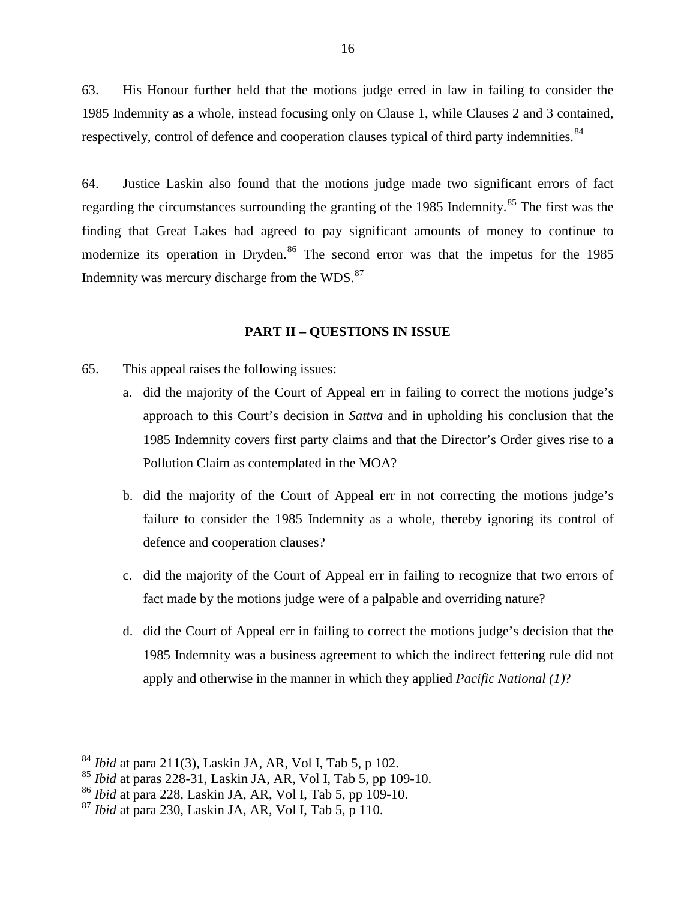63. His Honour further held that the motions judge erred in law in failing to consider the 1985 Indemnity as a whole, instead focusing only on Clause 1, while Clauses 2 and 3 contained, respectively, control of defence and cooperation clauses typical of third party indemnities.<sup>[84](#page-18-3)</sup>

64. Justice Laskin also found that the motions judge made two significant errors of fact regarding the circumstances surrounding the granting of the 19[85](#page-19-1) Indemnity.<sup>85</sup> The first was the finding that Great Lakes had agreed to pay significant amounts of money to continue to modernize its operation in Dryden.<sup>[86](#page-19-2)</sup> The second error was that the impetus for the 1985 Indemnity was mercury discharge from the WDS.<sup>[87](#page-19-3)</sup>

#### **PART II – QUESTIONS IN ISSUE**

- <span id="page-19-0"></span>65. This appeal raises the following issues:
	- a. did the majority of the Court of Appeal err in failing to correct the motions judge's approach to this Court's decision in *Sattva* and in upholding his conclusion that the 1985 Indemnity covers first party claims and that the Director's Order gives rise to a Pollution Claim as contemplated in the MOA?
	- b. did the majority of the Court of Appeal err in not correcting the motions judge's failure to consider the 1985 Indemnity as a whole, thereby ignoring its control of defence and cooperation clauses?
	- c. did the majority of the Court of Appeal err in failing to recognize that two errors of fact made by the motions judge were of a palpable and overriding nature?
	- d. did the Court of Appeal err in failing to correct the motions judge's decision that the 1985 Indemnity was a business agreement to which the indirect fettering rule did not apply and otherwise in the manner in which they applied *Pacific National (1)*?

<span id="page-19-4"></span><sup>&</sup>lt;sup>84</sup> *Ibid* at para 211(3), Laskin JA, AR, Vol I, Tab 5, p 102.<br><sup>85</sup> *Ibid* at paras 228-31, Laskin JA, AR, Vol I, Tab 5, pp 109-10.

<span id="page-19-2"></span><span id="page-19-1"></span><sup>86</sup> *Ibid* at para 228, Laskin JA, AR, Vol I, Tab 5, pp 109-10.

<span id="page-19-3"></span><sup>87</sup> *Ibid* at para 230, Laskin JA, AR, Vol I, Tab 5, p 110.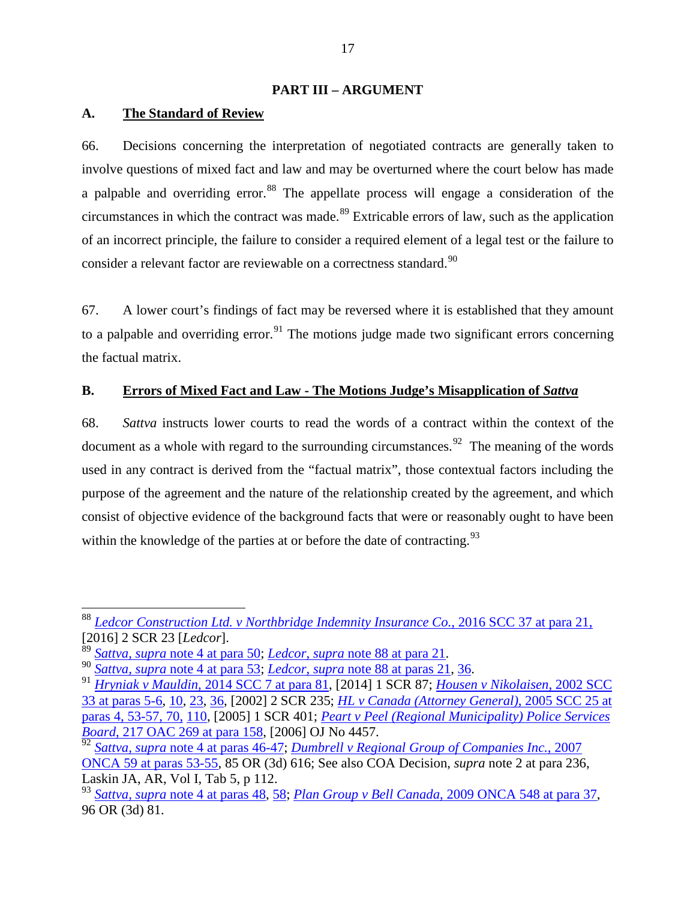#### **PART III – ARGUMENT**

### <span id="page-20-1"></span><span id="page-20-0"></span>**A. The Standard of Review**

66. Decisions concerning the interpretation of negotiated contracts are generally taken to involve questions of mixed fact and law and may be overturned where the court below has made a palpable and overriding error.<sup>[88](#page-19-4)</sup> The appellate process will engage a consideration of the circumstances in which the contract was made.<sup>[89](#page-20-3)</sup> Extricable errors of law, such as the application of an incorrect principle, the failure to consider a required element of a legal test or the failure to consider a relevant factor are reviewable on a correctness standard.<sup>[90](#page-20-4)</sup>

67. A lower court's findings of fact may be reversed where it is established that they amount to a palpable and overriding error.<sup>[91](#page-20-5)</sup> The motions judge made two significant errors concerning the factual matrix.

# <span id="page-20-2"></span>**B. Errors of Mixed Fact and Law - The Motions Judge's Misapplication of** *Sattva*

68. *Sattva* instructs lower courts to read the words of a contract within the context of the document as a whole with regard to the surrounding circumstances.<sup>92</sup> The meaning of the words used in any contract is derived from the "factual matrix", those contextual factors including the purpose of the agreement and the nature of the relationship created by the agreement, and which consist of objective evidence of the background facts that were or reasonably ought to have been within the knowledge of the parties at or before the date of contracting.<sup>[93](#page-20-7)</sup>

<sup>88</sup> *[Ledcor Construction Ltd. v Northbridge Indemnity Insurance Co.](https://www.canlii.org/en/ca/scc/doc/2016/2016scc37/2016scc37.html#par21)*, 2016 SCC 37 at para 21, [2016] 2 SCR 23 [*Ledcor*].<br><sup>89</sup> Sat<u>tva, supra note 4 at para 50; *Ledcor*, supra note 88 at para 21</u>.

<span id="page-20-5"></span><span id="page-20-4"></span><span id="page-20-3"></span><sup>&</sup>lt;sup>90</sup> Sattva, supra note 4 at para 53, Ledcor, supra [note 88 at paras 21,](https://www.canlii.org/en/ca/scc/doc/2016/2016scc37/2016scc37.html#par21) [36.](https://www.canlii.org/en/ca/scc/doc/2016/2016scc37/2016scc37.html#par36)<br><sup>91</sup> Hryniak v Mauldin, [2014 SCC 7 at para 81,](https://www.canlii.org/en/ca/scc/doc/2014/2014scc7/2014scc7.html#par81) [2014] 1 SCR 87; [Housen v Nikolaisen](https://www.canlii.org/en/ca/scc/doc/2002/2002scc33/2002scc33.html#par5), 2002 SCC [33 at paras 5-6,](https://www.canlii.org/en/ca/scc/doc/2002/2002scc33/2002scc33.html#par5) [10,](https://www.canlii.org/en/ca/scc/doc/2002/2002scc33/2002scc33.html#par10) [23,](https://www.canlii.org/en/ca/scc/doc/2002/2002scc33/2002scc33.html#par23) [36,](https://www.canlii.org/en/ca/scc/doc/2002/2002scc33/2002scc33.html#par36) [2002] 2 SCR 235; *[HL v Canada \(Attorney General\)](https://www.canlii.org/en/ca/scc/doc/2005/2005scc25/2005scc25.html#par4)*, 2005 SCC 25 at [paras 4,](https://www.canlii.org/en/ca/scc/doc/2005/2005scc25/2005scc25.html#par4) [53-57,](https://www.canlii.org/en/ca/scc/doc/2005/2005scc25/2005scc25.html#par53) [70,](https://www.canlii.org/en/ca/scc/doc/2005/2005scc25/2005scc25.html#par53) [110,](https://www.canlii.org/en/ca/scc/doc/2005/2005scc25/2005scc25.html#par110) [2005] 1 SCR 401; *[Peart v Peel \(Regional Municipality\) Police Services](https://www.canlii.org/en/on/onca/doc/2006/2006canlii37566/2006canlii37566.html#par158)  Board*[, 217 OAC 269 at para 158,](https://www.canlii.org/en/on/onca/doc/2006/2006canlii37566/2006canlii37566.html#par158) [2006] OJ No 4457.

<span id="page-20-6"></span><sup>92</sup> *Sattva, supra* [note 4 at paras 46-47;](https://www.canlii.org/en/ca/scc/doc/2014/2014scc53/2014scc53.html#par46) *[Dumbrell v Regional Group of Companies Inc.](https://www.canlii.org/en/on/onca/doc/2007/2007onca59/2007onca59.html#par53)*, 2007 [ONCA 59 at paras 53-55,](https://www.canlii.org/en/on/onca/doc/2007/2007onca59/2007onca59.html#par53) 85 OR (3d) 616; See also COA Decision, *supra* note 2 at para 236, Laskin JA, AR, Vol I, Tab 5, p 112.

<span id="page-20-7"></span><sup>93</sup> *Sattva, supra* [note 4 at paras 48,](https://www.canlii.org/en/ca/scc/doc/2014/2014scc53/2014scc53.html#par48) [58;](https://www.canlii.org/en/ca/scc/doc/2014/2014scc53/2014scc53.html#par58) *Plan Group v Bell Canada*[, 2009 ONCA 548 at para 37,](https://www.canlii.org/en/on/onca/doc/2009/2009onca548/2009onca548.html#par37) 96 OR (3d) 81.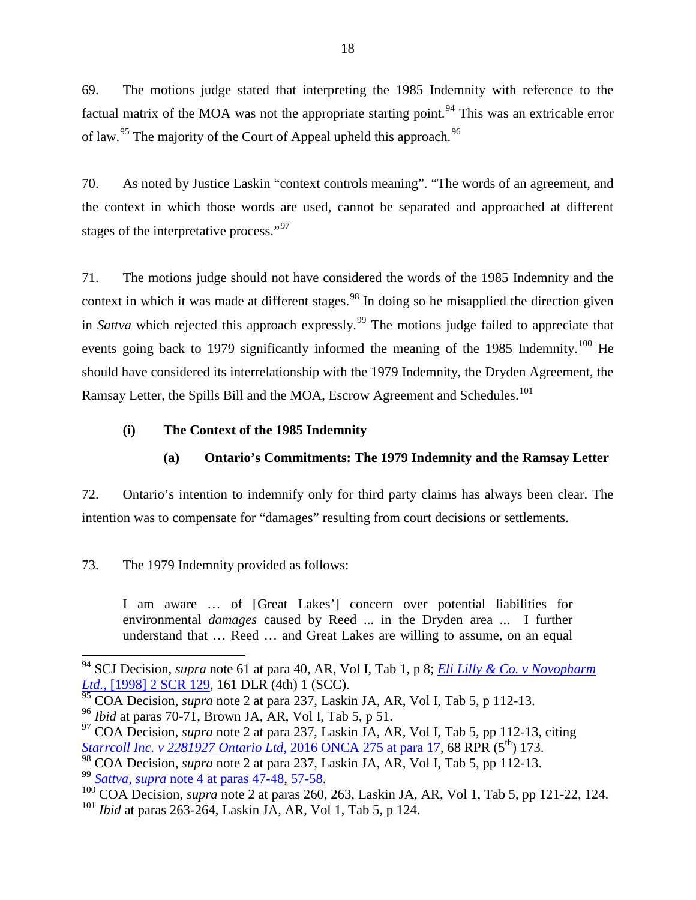69. The motions judge stated that interpreting the 1985 Indemnity with reference to the factual matrix of the MOA was not the appropriate starting point.<sup>[94](#page-20-4)</sup> This was an extricable error of law.<sup>[95](#page-21-1)</sup> The majority of the Court of Appeal upheld this approach.<sup>[96](#page-21-2)</sup>

70. As noted by Justice Laskin "context controls meaning". "The words of an agreement, and the context in which those words are used, cannot be separated and approached at different stages of the interpretative process."[97](#page-21-3)

71. The motions judge should not have considered the words of the 1985 Indemnity and the context in which it was made at different stages.<sup>[98](#page-21-4)</sup> In doing so he misapplied the direction given in *Sattva* which rejected this approach expressly. [99](#page-21-5) The motions judge failed to appreciate that events going back to 1979 significantly informed the meaning of the 1985 Indemnity.<sup>[100](#page-21-6)</sup> He should have considered its interrelationship with the 1979 Indemnity, the Dryden Agreement, the Ramsay Letter, the Spills Bill and the MOA, Escrow Agreement and Schedules.<sup>[101](#page-21-7)</sup>

#### <span id="page-21-0"></span>**(i) The Context of the 1985 Indemnity**

# **(a) Ontario's Commitments: The 1979 Indemnity and the Ramsay Letter**

72. Ontario's intention to indemnify only for third party claims has always been clear. The intention was to compensate for "damages" resulting from court decisions or settlements.

# 73. The 1979 Indemnity provided as follows:

I am aware … of [Great Lakes'] concern over potential liabilities for environmental *damages* caused by Reed ... in the Dryden area ... I further understand that … Reed … and Great Lakes are willing to assume, on an equal

<sup>94</sup> SCJ Decision, *supra* note 61 at para 40, AR, Vol I, Tab 1, p 8; *[Eli Lilly & Co.](https://www.canlii.org/en/ca/scc/doc/1998/1998canlii791/1998canlii791.html?resultIndex=1) v Novopharm* 

<span id="page-21-1"></span><sup>&</sup>lt;sup>95</sup> COA Decision, *supra* note 2 at para 237, Laskin JA, AR, Vol I, Tab 5, p 112-13.

<span id="page-21-2"></span><sup>96</sup> *Ibid* at paras 70-71, Brown JA, AR, Vol I, Tab 5, p 51.

<span id="page-21-3"></span><sup>97</sup> COA Decision, *supra* note 2 at para 237, Laskin JA, AR, Vol I, Tab 5, pp 112-13, citing *[Starrcoll Inc. v 2281927 Ontario Ltd](https://www.canlii.org/en/on/onca/doc/2016/2016onca275/2016onca275.html#par17), 2016 ONCA 275 at para 17, 68 RPR* (5<sup>th</sup>) 173.

<span id="page-21-5"></span><span id="page-21-4"></span><sup>98</sup> COA Decision, *supra* note 2 at para 237, Laskin JA, AR, Vol I, Tab 5, pp 112-13.<br><sup>99</sup> Sattva, supra note 4 at paras 47-48, 57-58.

<span id="page-21-6"></span><sup>&</sup>lt;sup>100</sup> COA Decision, *supra* note 2 at paras 260, 263, Laskin JA, AR, Vol 1, Tab 5, pp 121-22, 124.

<span id="page-21-7"></span><sup>101</sup> *Ibid* at paras 263-264, Laskin JA, AR, Vol 1, Tab 5, p 124.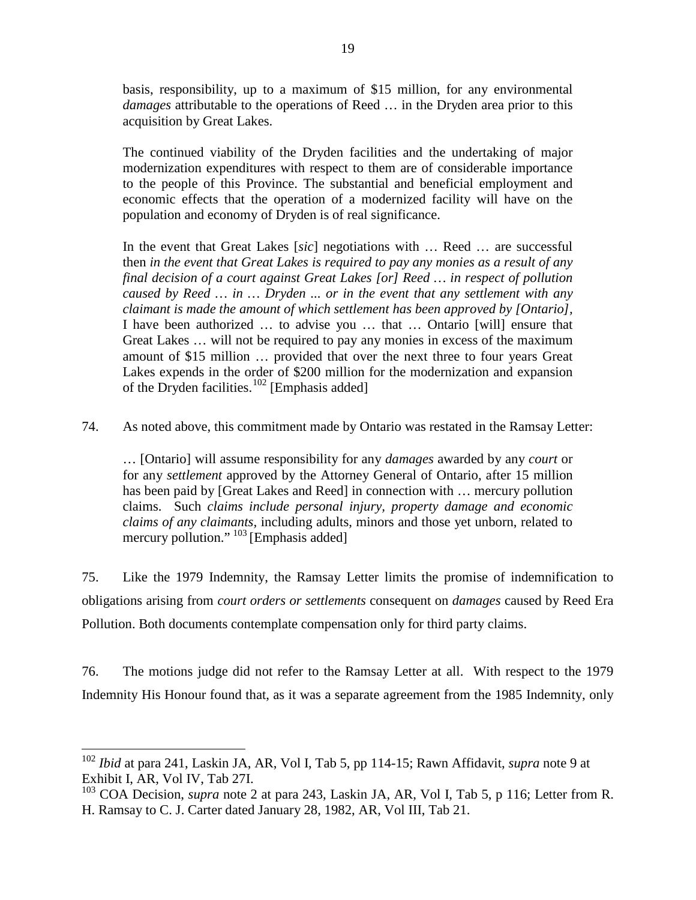basis, responsibility, up to a maximum of \$15 million, for any environmental *damages* attributable to the operations of Reed … in the Dryden area prior to this acquisition by Great Lakes.

The continued viability of the Dryden facilities and the undertaking of major modernization expenditures with respect to them are of considerable importance to the people of this Province. The substantial and beneficial employment and economic effects that the operation of a modernized facility will have on the population and economy of Dryden is of real significance.

In the event that Great Lakes [*sic*] negotiations with … Reed … are successful then *in the event that Great Lakes is required to pay any monies as a result of any final decision of a court against Great Lakes [or] Reed … in respect of pollution caused by Reed … in … Dryden ... or in the event that any settlement with any claimant is made the amount of which settlement has been approved by [Ontario],* I have been authorized … to advise you … that … Ontario [will] ensure that Great Lakes … will not be required to pay any monies in excess of the maximum amount of \$15 million … provided that over the next three to four years Great Lakes expends in the order of \$200 million for the modernization and expansion of the Dryden facilities.<sup>[102](#page-21-4)</sup> [Emphasis added]

74. As noted above, this commitment made by Ontario was restated in the Ramsay Letter:

… [Ontario] will assume responsibility for any *damages* awarded by any *court* or for any *settlement* approved by the Attorney General of Ontario, after 15 million has been paid by [Great Lakes and Reed] in connection with ... mercury pollution claims. Such *claims include personal injury, property damage and economic claims of any claimants,* including adults, minors and those yet unborn, related to mercury pollution." <sup>[103](#page-22-0)</sup> [Emphasis added]

75. Like the 1979 Indemnity, the Ramsay Letter limits the promise of indemnification to obligations arising from *court orders or settlements* consequent on *damages* caused by Reed Era Pollution. Both documents contemplate compensation only for third party claims.

76. The motions judge did not refer to the Ramsay Letter at all. With respect to the 1979 Indemnity His Honour found that, as it was a separate agreement from the 1985 Indemnity, only

<span id="page-22-1"></span><sup>102</sup> *Ibid* at para 241, Laskin JA, AR, Vol I, Tab 5, pp 114-15; Rawn Affidavit, *supra* note 9 at Exhibit I, AR, Vol IV, Tab 27I.

<span id="page-22-0"></span><sup>103</sup> COA Decision, *supra* note 2 at para 243, Laskin JA, AR, Vol I, Tab 5, p 116; Letter from R. H. Ramsay to C. J. Carter dated January 28, 1982, AR, Vol III, Tab 21.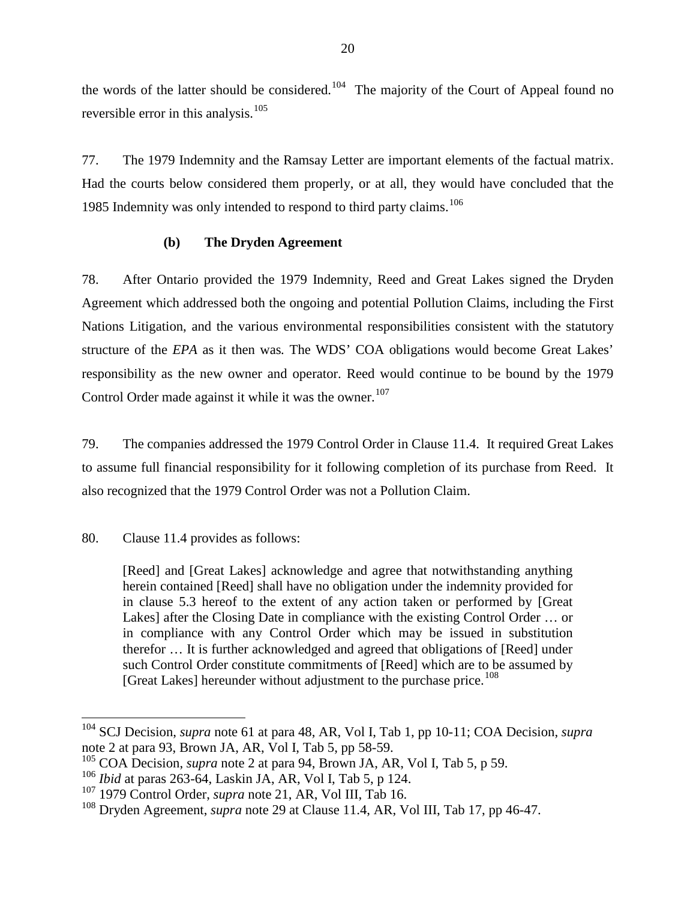the words of the latter should be considered.<sup>[104](#page-22-1)</sup> The majority of the Court of Appeal found no reversible error in this analysis.<sup>105</sup>

77. The 1979 Indemnity and the Ramsay Letter are important elements of the factual matrix. Had the courts below considered them properly, or at all, they would have concluded that the 1985 Indemnity was only intended to respond to third party claims.<sup>[106](#page-23-1)</sup>

# **(b) The Dryden Agreement**

78. After Ontario provided the 1979 Indemnity, Reed and Great Lakes signed the Dryden Agreement which addressed both the ongoing and potential Pollution Claims, including the First Nations Litigation, and the various environmental responsibilities consistent with the statutory structure of the *EPA* as it then was*.* The WDS' COA obligations would become Great Lakes' responsibility as the new owner and operator. Reed would continue to be bound by the 1979 Control Order made against it while it was the owner.<sup>107</sup>

79. The companies addressed the 1979 Control Order in Clause 11.4. It required Great Lakes to assume full financial responsibility for it following completion of its purchase from Reed. It also recognized that the 1979 Control Order was not a Pollution Claim.

# 80. Clause 11.4 provides as follows:

[Reed] and [Great Lakes] acknowledge and agree that notwithstanding anything herein contained [Reed] shall have no obligation under the indemnity provided for in clause 5.3 hereof to the extent of any action taken or performed by [Great Lakes] after the Closing Date in compliance with the existing Control Order … or in compliance with any Control Order which may be issued in substitution therefor … It is further acknowledged and agreed that obligations of [Reed] under such Control Order constitute commitments of [Reed] which are to be assumed by [Great Lakes] hereunder without adjustment to the purchase price.<sup>[108](#page-23-3)</sup>

<span id="page-23-4"></span><sup>104</sup> SCJ Decision, *supra* note 61 at para 48, AR, Vol I, Tab 1, pp 10-11; COA Decision, *supra* note 2 at para 93, Brown JA, AR, Vol I, Tab 5, pp 58-59.

<span id="page-23-0"></span><sup>105</sup> COA Decision, *supra* note 2 at para 94, Brown JA, AR, Vol I, Tab 5, p 59.

<span id="page-23-1"></span><sup>106</sup> *Ibid* at paras 263-64, Laskin JA, AR, Vol I, Tab 5, p 124.

<span id="page-23-2"></span><sup>107</sup> 1979 Control Order, *supra* note 21, AR, Vol III, Tab 16.

<span id="page-23-3"></span><sup>108</sup> Dryden Agreement, *supra* note 29 at Clause 11.4, AR, Vol III, Tab 17, pp 46-47.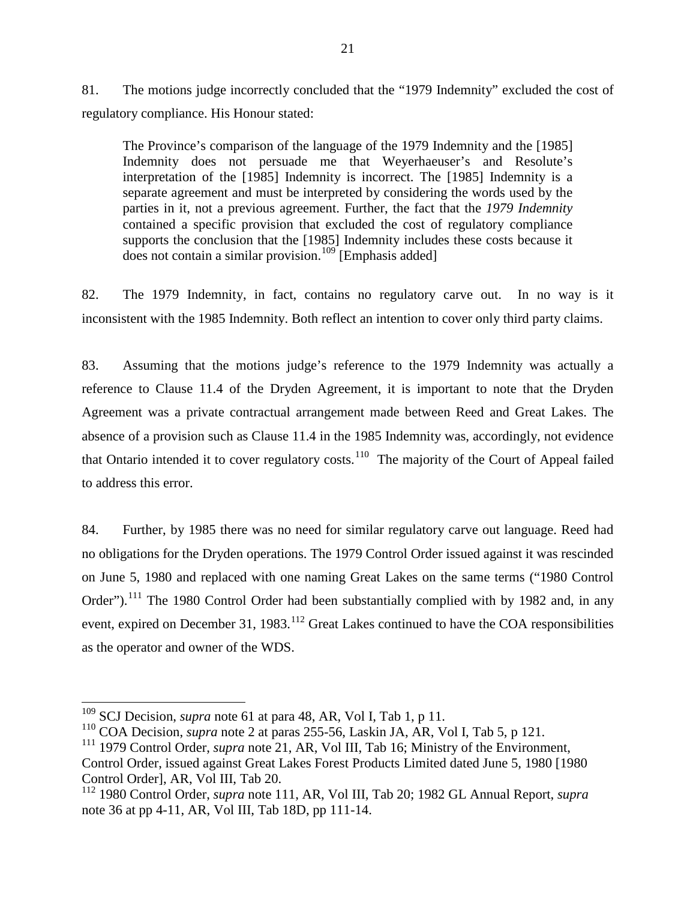81. The motions judge incorrectly concluded that the "1979 Indemnity" excluded the cost of regulatory compliance. His Honour stated:

The Province's comparison of the language of the 1979 Indemnity and the [1985] Indemnity does not persuade me that Weyerhaeuser's and Resolute's interpretation of the [1985] Indemnity is incorrect. The [1985] Indemnity is a separate agreement and must be interpreted by considering the words used by the parties in it, not a previous agreement. Further, the fact that the *1979 Indemnity* contained a specific provision that excluded the cost of regulatory compliance supports the conclusion that the [1985] Indemnity includes these costs because it does not contain a similar provision.<sup>[109](#page-23-4)</sup> [Emphasis added]

82. The 1979 Indemnity, in fact, contains no regulatory carve out. In no way is it inconsistent with the 1985 Indemnity. Both reflect an intention to cover only third party claims.

83. Assuming that the motions judge's reference to the 1979 Indemnity was actually a reference to Clause 11.4 of the Dryden Agreement, it is important to note that the Dryden Agreement was a private contractual arrangement made between Reed and Great Lakes. The absence of a provision such as Clause 11.4 in the 1985 Indemnity was, accordingly, not evidence that Ontario intended it to cover regulatory costs.<sup>110</sup> The majority of the Court of Appeal failed to address this error.

84. Further, by 1985 there was no need for similar regulatory carve out language. Reed had no obligations for the Dryden operations. The 1979 Control Order issued against it was rescinded on June 5, 1980 and replaced with one naming Great Lakes on the same terms ("1980 Control Order").<sup>[111](#page-24-1)</sup> The 1980 Control Order had been substantially complied with by 1982 and, in any event, expired on December 31, 1983.<sup>[112](#page-24-2)</sup> Great Lakes continued to have the COA responsibilities as the operator and owner of the WDS.

<sup>109</sup> SCJ Decision, *supra* note <sup>61</sup> at para 48, AR, Vol I, Tab 1, p 11.

<span id="page-24-0"></span><sup>110</sup> COA Decision, *supra* note 2 at paras 255-56, Laskin JA, AR, Vol I, Tab 5, p 121.

<span id="page-24-1"></span><sup>&</sup>lt;sup>111</sup> 1979 Control Order, *supra* note 21, AR, Vol III, Tab 16; Ministry of the Environment, Control Order, issued against Great Lakes Forest Products Limited dated June 5, 1980 [1980 Control Order], AR, Vol III, Tab 20.

<span id="page-24-3"></span><span id="page-24-2"></span><sup>112</sup> 1980 Control Order, *supra* note 111, AR, Vol III, Tab 20; 1982 GL Annual Report, *supra*  note 36 at pp 4-11, AR, Vol III, Tab 18D, pp 111-14.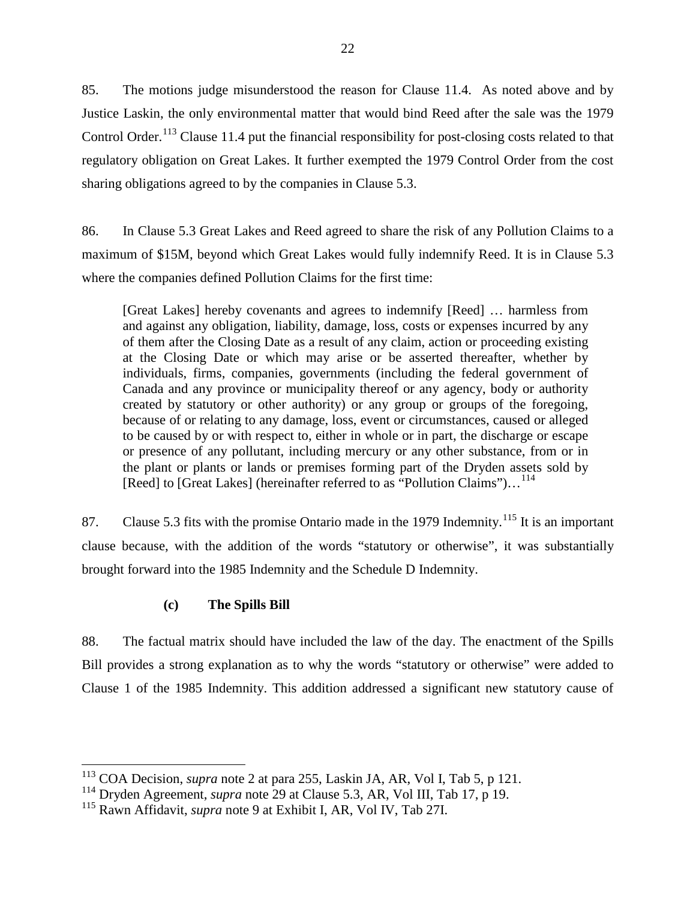85. The motions judge misunderstood the reason for Clause 11.4. As noted above and by Justice Laskin, the only environmental matter that would bind Reed after the sale was the 1979 Control Order.<sup>[113](#page-24-3)</sup> Clause 11.4 put the financial responsibility for post-closing costs related to that regulatory obligation on Great Lakes. It further exempted the 1979 Control Order from the cost sharing obligations agreed to by the companies in Clause 5.3.

86. In Clause 5.3 Great Lakes and Reed agreed to share the risk of any Pollution Claims to a maximum of \$15M, beyond which Great Lakes would fully indemnify Reed. It is in Clause 5.3 where the companies defined Pollution Claims for the first time:

[Great Lakes] hereby covenants and agrees to indemnify [Reed] … harmless from and against any obligation, liability, damage, loss, costs or expenses incurred by any of them after the Closing Date as a result of any claim, action or proceeding existing at the Closing Date or which may arise or be asserted thereafter, whether by individuals, firms, companies, governments (including the federal government of Canada and any province or municipality thereof or any agency, body or authority created by statutory or other authority) or any group or groups of the foregoing, because of or relating to any damage, loss, event or circumstances, caused or alleged to be caused by or with respect to, either in whole or in part, the discharge or escape or presence of any pollutant, including mercury or any other substance, from or in the plant or plants or lands or premises forming part of the Dryden assets sold by [Reed] to [Great Lakes] (hereinafter referred to as "Pollution Claims")...<sup>[114](#page-25-0)</sup>

87. Clause 5.3 fits with the promise Ontario made in the 1979 Indemnity.<sup>[115](#page-25-1)</sup> It is an important clause because, with the addition of the words "statutory or otherwise", it was substantially brought forward into the 1985 Indemnity and the Schedule D Indemnity.

# **(c) The Spills Bill**

88. The factual matrix should have included the law of the day. The enactment of the Spills Bill provides a strong explanation as to why the words "statutory or otherwise" were added to Clause 1 of the 1985 Indemnity. This addition addressed a significant new statutory cause of

<span id="page-25-2"></span><sup>113</sup> COA Decision, *supra* note 2 at para 255, Laskin JA, AR, Vol I, Tab 5, p 121.

<span id="page-25-0"></span><sup>114</sup> Dryden Agreement, *supra* note 29 at Clause 5.3, AR, Vol III, Tab 17, p 19.

<span id="page-25-1"></span><sup>115</sup> Rawn Affidavit, *supra* note 9 at Exhibit I, AR, Vol IV, Tab 27I.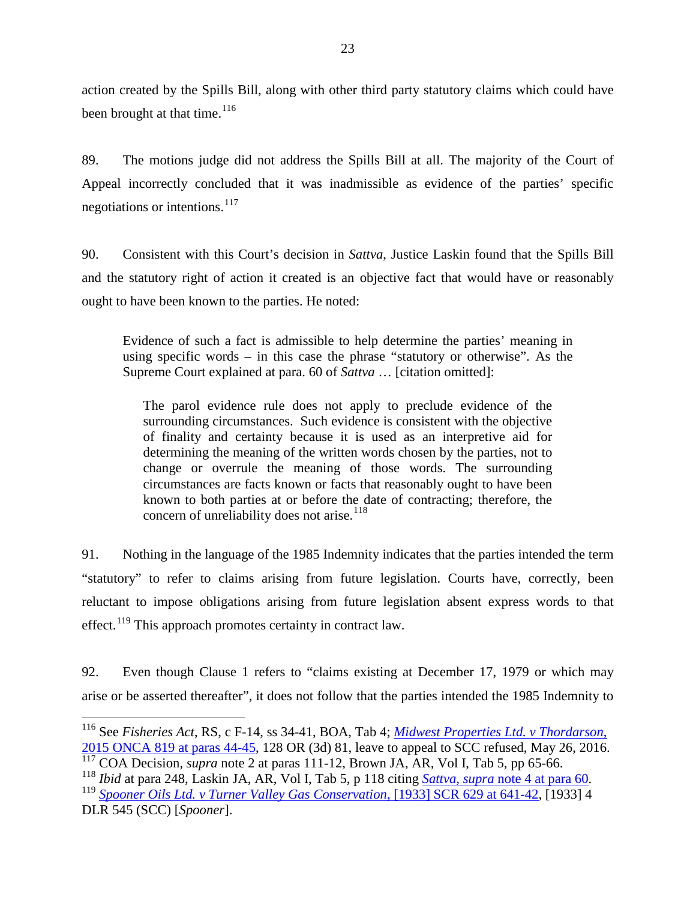action created by the Spills Bill, along with other third party statutory claims which could have been brought at that time. $^{116}$  $^{116}$  $^{116}$ 

89. The motions judge did not address the Spills Bill at all. The majority of the Court of Appeal incorrectly concluded that it was inadmissible as evidence of the parties' specific negotiations or intentions. $117$ 

90. Consistent with this Court's decision in *Sattva*, Justice Laskin found that the Spills Bill and the statutory right of action it created is an objective fact that would have or reasonably ought to have been known to the parties. He noted:

Evidence of such a fact is admissible to help determine the parties' meaning in using specific words – in this case the phrase "statutory or otherwise". As the Supreme Court explained at para. 60 of *Sattva* … [citation omitted]:

The parol evidence rule does not apply to preclude evidence of the surrounding circumstances. Such evidence is consistent with the objective of finality and certainty because it is used as an interpretive aid for determining the meaning of the written words chosen by the parties, not to change or overrule the meaning of those words. The surrounding circumstances are facts known or facts that reasonably ought to have been known to both parties at or before the date of contracting; therefore, the concern of unreliability does not arise.<sup>[118](#page-26-1)</sup>

91. Nothing in the language of the 1985 Indemnity indicates that the parties intended the term "statutory" to refer to claims arising from future legislation. Courts have, correctly, been reluctant to impose obligations arising from future legislation absent express words to that effect.<sup>[119](#page-26-2)</sup> This approach promotes certainty in contract law.

92. Even though Clause 1 refers to "claims existing at December 17, 1979 or which may arise or be asserted thereafter", it does not follow that the parties intended the 1985 Indemnity to

<sup>116</sup> See *Fisheries Act*, RS, c F-14, ss 34-41, BOA, Tab 4; *[Midwest Properties Ltd. v Thordarson](https://www.canlii.org/en/on/onca/doc/2015/2015onca819/2015onca819.html#par44)*, [2015 ONCA 819 at paras 44-45,](https://www.canlii.org/en/on/onca/doc/2015/2015onca819/2015onca819.html#par44) 128 OR (3d) 81, leave to appeal to SCC refused, May 26, 2016.

<span id="page-26-3"></span><span id="page-26-0"></span><sup>&</sup>lt;sup>117</sup> COA Decision, *supra* note 2 at paras 111-12, Brown JA, AR, Vol I, Tab 5, pp 65-66.

<span id="page-26-2"></span><span id="page-26-1"></span><sup>118</sup> *Ibid* at para 248, Laskin JA, AR, Vol I, Tab 5, p 118 citing *Sattva*, *supra* [note 4 at para 60.](https://www.canlii.org/en/ca/scc/doc/2014/2014scc53/2014scc53.html#par60) <sup>119</sup> *[Spooner Oils Ltd. v Turner Valley Gas Conservation](https://www.canlii.org/en/ca/scc/doc/1933/1933canlii86/1933canlii86.html?searchUrlHash=AAAAAQADNjQxAAAAAAE&offset=6680.7998046875)*, [1933] SCR 629 at 641-42, [1933] 4 DLR 545 (SCC) [*Spooner*].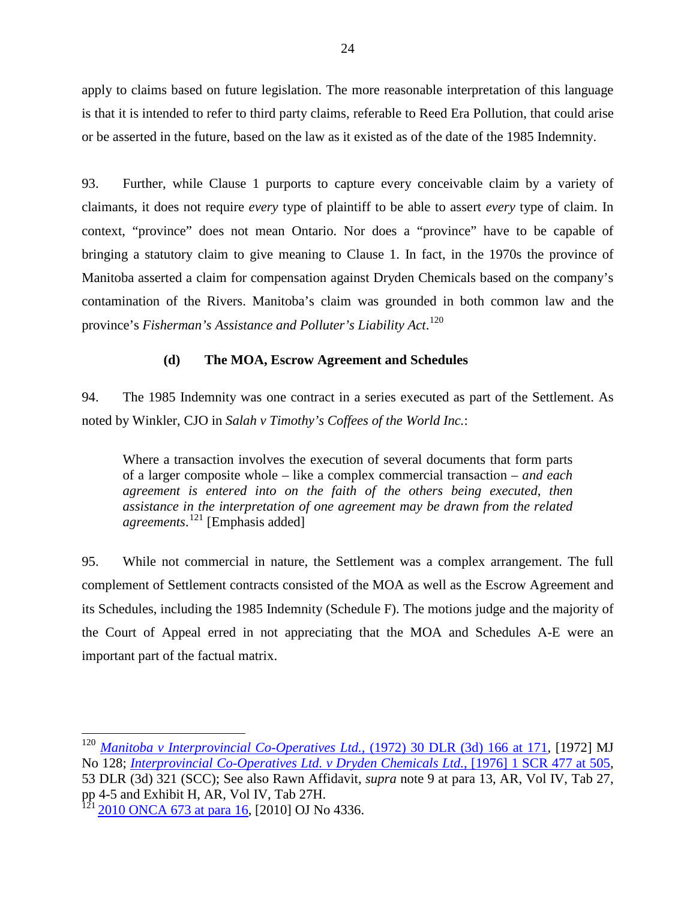apply to claims based on future legislation. The more reasonable interpretation of this language is that it is intended to refer to third party claims, referable to Reed Era Pollution, that could arise or be asserted in the future, based on the law as it existed as of the date of the 1985 Indemnity.

93. Further, while Clause 1 purports to capture every conceivable claim by a variety of claimants, it does not require *every* type of plaintiff to be able to assert *every* type of claim. In context, "province" does not mean Ontario. Nor does a "province" have to be capable of bringing a statutory claim to give meaning to Clause 1. In fact, in the 1970s the province of Manitoba asserted a claim for compensation against Dryden Chemicals based on the company's contamination of the Rivers. Manitoba's claim was grounded in both common law and the province's *Fisherman's Assistance and Polluter's Liability Act*. [120](#page-26-3)

# **(d) The MOA, Escrow Agreement and Schedules**

94. The 1985 Indemnity was one contract in a series executed as part of the Settlement. As noted by Winkler, CJO in *Salah v Timothy's Coffees of the World Inc.*:

Where a transaction involves the execution of several documents that form parts of a larger composite whole – like a complex commercial transaction – *and each agreement is entered into on the faith of the others being executed, then assistance in the interpretation of one agreement may be drawn from the related agreements*. [121](#page-27-0) [Emphasis added]

95. While not commercial in nature, the Settlement was a complex arrangement. The full complement of Settlement contracts consisted of the MOA as well as the Escrow Agreement and its Schedules, including the 1985 Indemnity (Schedule F). The motions judge and the majority of the Court of Appeal erred in not appreciating that the MOA and Schedules A-E were an important part of the factual matrix.

<span id="page-27-1"></span><sup>120</sup> *[Manitoba v Interprovincial Co-Operatives Ltd.,](https://www.canlii.org/en/mb/mbqb/doc/1972/1972canlii1009/1972canlii1009.html)* (1972) 30 DLR (3d) 166 at 171, [1972] MJ No 128; *[Interprovincial Co-Operatives Ltd. v Dryden Chemicals Ltd.](https://www.canlii.org/en/ca/scc/doc/1975/1975canlii212/1975canlii212.html?searchUrlHash=AAAAAQADNTA1AAAAAAE&offset=12693)*, [1976] 1 SCR 477 at 505, 53 DLR (3d) 321 (SCC); See also Rawn Affidavit, *supra* note 9 at para 13, AR, Vol IV, Tab 27, pp 4-5 and Exhibit H, AR, Vol IV, Tab 27H.

<span id="page-27-0"></span><sup>&</sup>lt;sup>121</sup> [2010 ONCA 673 at para 16,](https://www.canlii.org/en/on/onca/doc/2010/2010onca673/2010onca673.html#par16) [2010] OJ No 4336.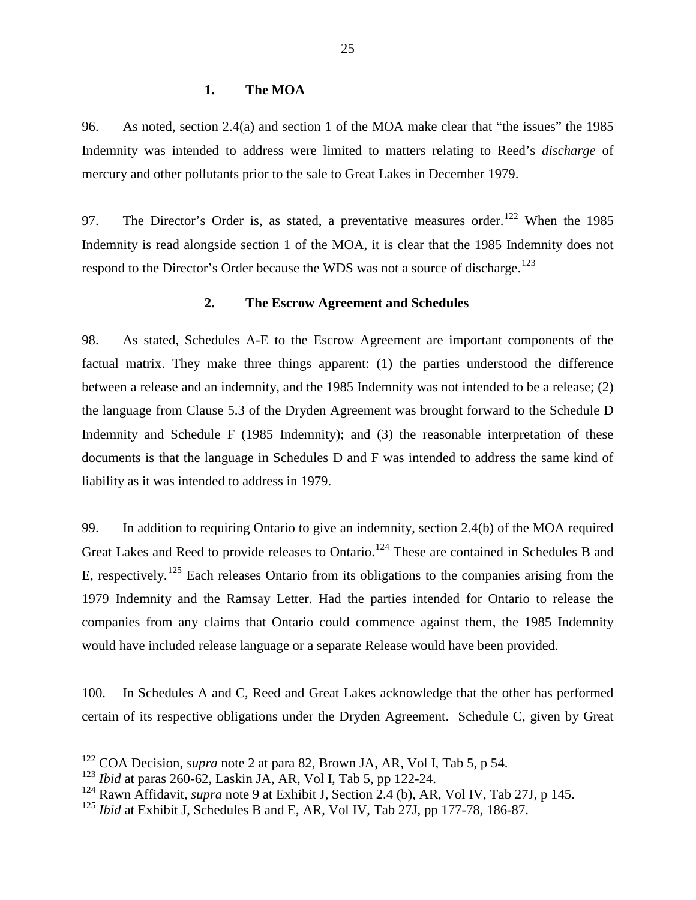#### **1. The MOA**

96. As noted, section 2.4(a) and section 1 of the MOA make clear that "the issues" the 1985 Indemnity was intended to address were limited to matters relating to Reed's *discharge* of mercury and other pollutants prior to the sale to Great Lakes in December 1979.

97. The Director's Order is, as stated, a preventative measures order.<sup>[122](#page-27-1)</sup> When the 1985 Indemnity is read alongside section 1 of the MOA, it is clear that the 1985 Indemnity does not respond to the Director's Order because the WDS was not a source of discharge.<sup>[123](#page-28-0)</sup>

#### **2. The Escrow Agreement and Schedules**

98. As stated, Schedules A-E to the Escrow Agreement are important components of the factual matrix. They make three things apparent: (1) the parties understood the difference between a release and an indemnity, and the 1985 Indemnity was not intended to be a release; (2) the language from Clause 5.3 of the Dryden Agreement was brought forward to the Schedule D Indemnity and Schedule F (1985 Indemnity); and (3) the reasonable interpretation of these documents is that the language in Schedules D and F was intended to address the same kind of liability as it was intended to address in 1979.

99. In addition to requiring Ontario to give an indemnity, section 2.4(b) of the MOA required Great Lakes and Reed to provide releases to Ontario.<sup>[124](#page-28-1)</sup> These are contained in Schedules B and E, respectively.<sup>[125](#page-28-2)</sup> Each releases Ontario from its obligations to the companies arising from the 1979 Indemnity and the Ramsay Letter. Had the parties intended for Ontario to release the companies from any claims that Ontario could commence against them, the 1985 Indemnity would have included release language or a separate Release would have been provided.

100. In Schedules A and C, Reed and Great Lakes acknowledge that the other has performed certain of its respective obligations under the Dryden Agreement. Schedule C, given by Great

<span id="page-28-3"></span><sup>&</sup>lt;sup>122</sup> COA Decision, *supra* note 2 at para 82, Brown JA, AR, Vol I, Tab 5, p 54.<br><sup>123</sup> *Ibid* at paras 260-62, Laskin JA, AR, Vol I, Tab 5, pp 122-24.

<span id="page-28-0"></span>

<span id="page-28-1"></span><sup>&</sup>lt;sup>124</sup> Rawn Affidavit, *supra* note 9 at Exhibit J, Section 2.4 (b), AR, Vol IV, Tab 27J, p 145.

<span id="page-28-2"></span><sup>125</sup> *Ibid* at Exhibit J, Schedules B and E, AR, Vol IV, Tab 27J, pp 177-78, 186-87.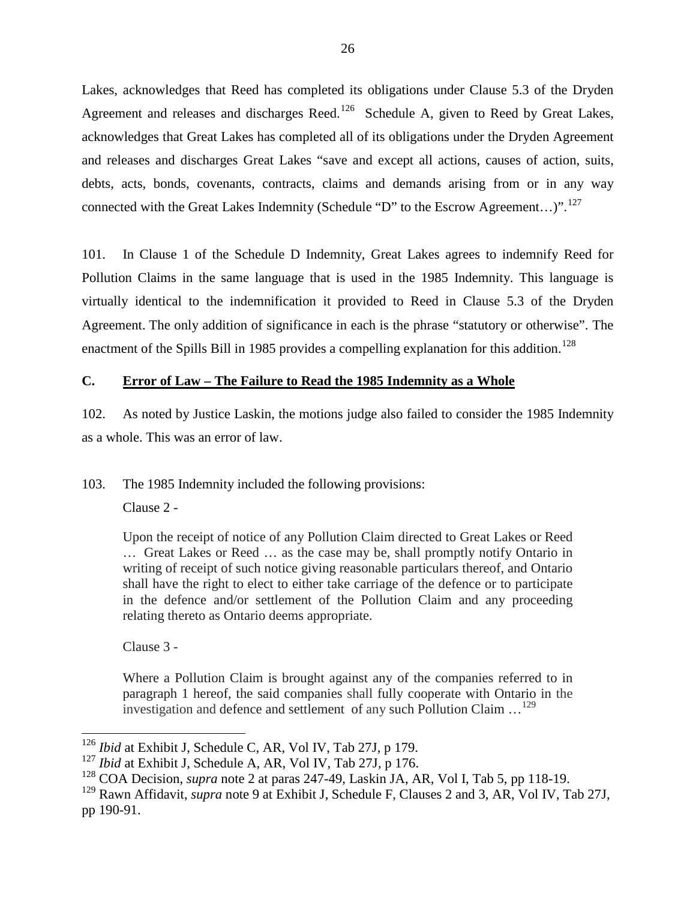Lakes, acknowledges that Reed has completed its obligations under Clause 5.3 of the Dryden Agreement and releases and discharges Reed.<sup>[126](#page-28-3)</sup> Schedule A, given to Reed by Great Lakes, acknowledges that Great Lakes has completed all of its obligations under the Dryden Agreement and releases and discharges Great Lakes "save and except all actions, causes of action, suits, debts, acts, bonds, covenants, contracts, claims and demands arising from or in any way connected with the Great Lakes Indemnity (Schedule "D" to the Escrow Agreement...)".<sup>[127](#page-29-1)</sup>

101. In Clause 1 of the Schedule D Indemnity, Great Lakes agrees to indemnify Reed for Pollution Claims in the same language that is used in the 1985 Indemnity. This language is virtually identical to the indemnification it provided to Reed in Clause 5.3 of the Dryden Agreement. The only addition of significance in each is the phrase "statutory or otherwise". The enactment of the Spills Bill in 1985 provides a compelling explanation for this addition.<sup>[128](#page-29-2)</sup>

# <span id="page-29-0"></span>**C. Error of Law – The Failure to Read the 1985 Indemnity as a Whole**

102. As noted by Justice Laskin, the motions judge also failed to consider the 1985 Indemnity as a whole. This was an error of law.

103. The 1985 Indemnity included the following provisions:

Clause 2 -

Upon the receipt of notice of any Pollution Claim directed to Great Lakes or Reed … Great Lakes or Reed … as the case may be, shall promptly notify Ontario in writing of receipt of such notice giving reasonable particulars thereof, and Ontario shall have the right to elect to either take carriage of the defence or to participate in the defence and/or settlement of the Pollution Claim and any proceeding relating thereto as Ontario deems appropriate.

<span id="page-29-4"></span>Clause 3 -

Where a Pollution Claim is brought against any of the companies referred to in paragraph 1 hereof, the said companies shall fully cooperate with Ontario in the investigation and defence and settlement of any such Pollution Claim …[129](#page-29-3)

<sup>126</sup> *Ibid* at Exhibit J, Schedule C, AR, Vol IV, Tab 27J, p 179.

<span id="page-29-1"></span><sup>127</sup> *Ibid* at Exhibit J, Schedule A, AR, Vol IV, Tab 27J, p 176.

<span id="page-29-2"></span><sup>128</sup> COA Decision, *supra* note 2 at paras 247-49, Laskin JA, AR, Vol I, Tab 5, pp 118-19.

<span id="page-29-3"></span><sup>129</sup> Rawn Affidavit, *supra* note 9 at Exhibit J, Schedule F, Clauses 2 and 3, AR, Vol IV, Tab 27J, pp 190-91.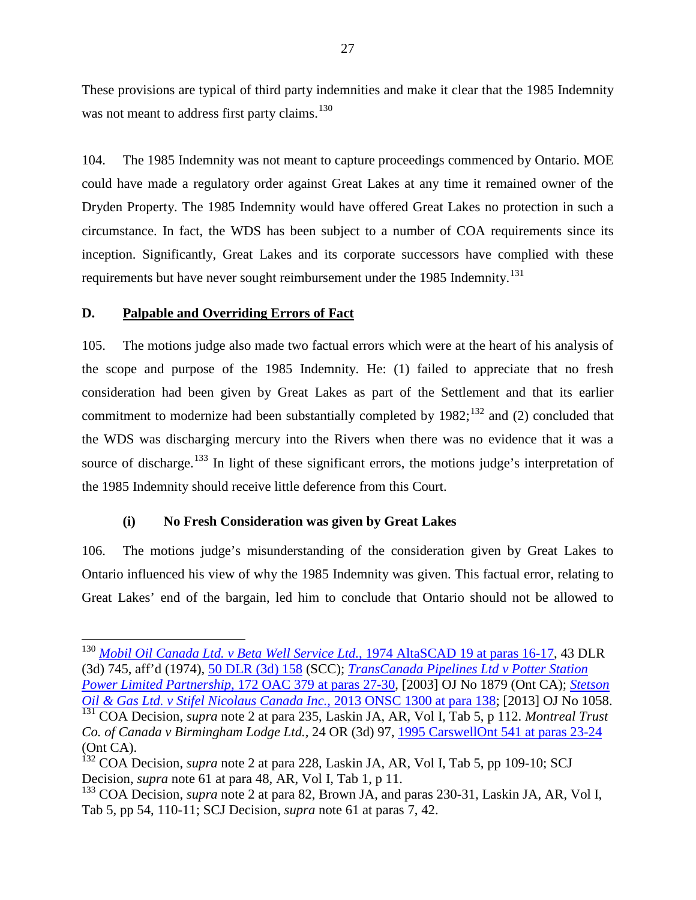These provisions are typical of third party indemnities and make it clear that the 1985 Indemnity was not meant to address first party claims.<sup>[130](#page-29-4)</sup>

104. The 1985 Indemnity was not meant to capture proceedings commenced by Ontario. MOE could have made a regulatory order against Great Lakes at any time it remained owner of the Dryden Property. The 1985 Indemnity would have offered Great Lakes no protection in such a circumstance. In fact, the WDS has been subject to a number of COA requirements since its inception. Significantly, Great Lakes and its corporate successors have complied with these requirements but have never sought reimbursement under the 1985 Indemnity.<sup>[131](#page-30-2)</sup>

# <span id="page-30-0"></span>**D. Palpable and Overriding Errors of Fact**

105. The motions judge also made two factual errors which were at the heart of his analysis of the scope and purpose of the 1985 Indemnity. He: (1) failed to appreciate that no fresh consideration had been given by Great Lakes as part of the Settlement and that its earlier commitment to modernize had been substantially completed by  $1982;^{132}$  $1982;^{132}$  $1982;^{132}$  and (2) concluded that the WDS was discharging mercury into the Rivers when there was no evidence that it was a source of discharge.<sup>[133](#page-30-4)</sup> In light of these significant errors, the motions judge's interpretation of the 1985 Indemnity should receive little deference from this Court.

# **(i) No Fresh Consideration was given by Great Lakes**

<span id="page-30-1"></span>106. The motions judge's misunderstanding of the consideration given by Great Lakes to Ontario influenced his view of why the 1985 Indemnity was given. This factual error, relating to Great Lakes' end of the bargain, led him to conclude that Ontario should not be allowed to

<sup>130</sup> *[Mobil Oil Canada Ltd. v Beta Well Service](https://www.canlii.org/en/ab/abca/doc/1974/1974altascad19/1974altascad19.html#par16) Ltd.*, 1974 AltaSCAD 19 at paras 16-17, 43 DLR (3d) 745, aff'd (1974), [50 DLR \(3d\) 158](https://www.canlii.org/en/ca/scc/doc/1974/1974canlii1385/1974canlii1385.html) (SCC); *[TransCanada Pipelines Ltd v Potter Station](https://www.canlii.org/en/on/onca/doc/2003/2003canlii32897/2003canlii32897.html#par27)  Power Limited Partnership*[, 172 OAC 379 at paras 27-30,](https://www.canlii.org/en/on/onca/doc/2003/2003canlii32897/2003canlii32897.html#par27) [2003] OJ No 1879 (Ont CA); *[Stetson](https://www.canlii.org/en/on/onsc/doc/2013/2013onsc1300/2013onsc1300.html#par138) [Oil & Gas Ltd. v Stifel Nicolaus Canada Inc.](https://www.canlii.org/en/on/onsc/doc/2013/2013onsc1300/2013onsc1300.html#par138)*, 2013 ONSC 1300 at para 138; [2013] OJ No 1058. <sup>131</sup> COA Decision, *supra* note 2 at para 235, Laskin JA, AR, Vol I, Tab 5, p 112. *Montreal Trust Co. of Canada v Birmingham Lodge Ltd.,* 24 OR (3d) 97, [1995 CarswellOnt 541 at paras 23-24](https://nextcanada.westlaw.com/Document/I10b717cb689e63f0e0440003ba0d6c6d/View/FullText.html?originationContext=docHeader&contextData=(sc.Default)&transitionType=Document&needToInjectTerms=False)

<span id="page-30-5"></span><span id="page-30-2"></span><sup>(</sup>Ont CA).

<span id="page-30-3"></span><sup>&</sup>lt;sup>132</sup> COA Decision, *supra* note 2 at para 228, Laskin JA, AR, Vol I, Tab 5, pp 109-10; SCJ Decision, *supra* note 61 at para 48, AR, Vol I, Tab 1, p 11.

<span id="page-30-4"></span><sup>&</sup>lt;sup>133</sup> COA Decision, *supra* note 2 at para 82, Brown JA, and paras 230-31, Laskin JA, AR, Vol I, Tab 5, pp 54, 110-11; SCJ Decision, *supra* note 61 at paras 7, 42.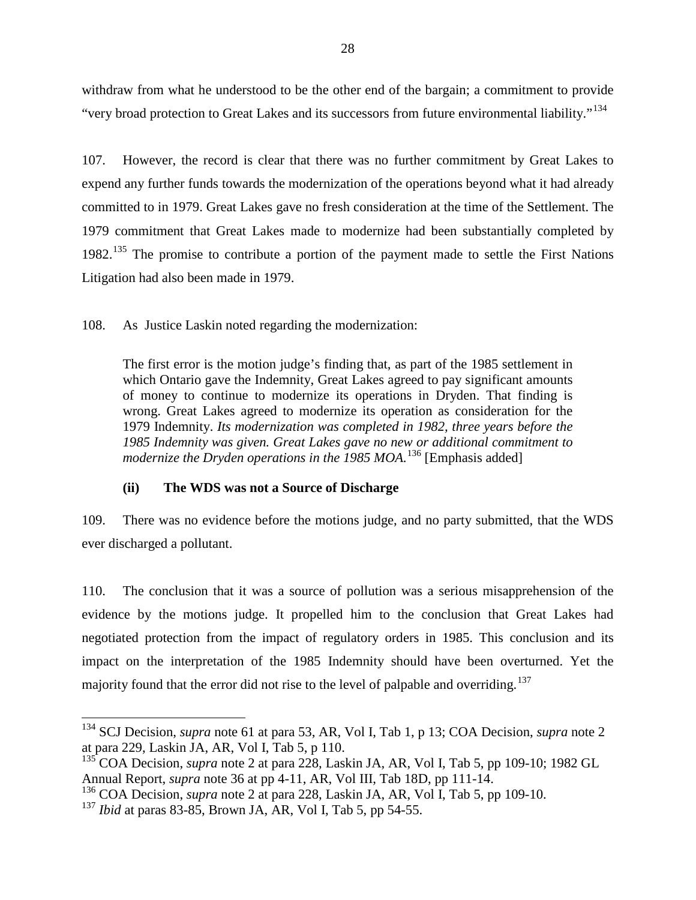withdraw from what he understood to be the other end of the bargain; a commitment to provide "very broad protection to Great Lakes and its successors from future environmental liability."<sup>[134](#page-30-5)</sup>

107. However, the record is clear that there was no further commitment by Great Lakes to expend any further funds towards the modernization of the operations beyond what it had already committed to in 1979. Great Lakes gave no fresh consideration at the time of the Settlement. The 1979 commitment that Great Lakes made to modernize had been substantially completed by 1982.<sup>[135](#page-31-1)</sup> The promise to contribute a portion of the payment made to settle the First Nations Litigation had also been made in 1979.

108. As Justice Laskin noted regarding the modernization:

The first error is the motion judge's finding that, as part of the 1985 settlement in which Ontario gave the Indemnity, Great Lakes agreed to pay significant amounts of money to continue to modernize its operations in Dryden. That finding is wrong. Great Lakes agreed to modernize its operation as consideration for the 1979 Indemnity. *Its modernization was completed in 1982, three years before the 1985 Indemnity was given. Great Lakes gave no new or additional commitment to modernize the Dryden operations in the 1985 MOA.*<sup>[136](#page-31-2)</sup> [Emphasis added]

# **(ii) The WDS was not a Source of Discharge**

<span id="page-31-0"></span>109. There was no evidence before the motions judge, and no party submitted, that the WDS ever discharged a pollutant.

110. The conclusion that it was a source of pollution was a serious misapprehension of the evidence by the motions judge. It propelled him to the conclusion that Great Lakes had negotiated protection from the impact of regulatory orders in 1985. This conclusion and its impact on the interpretation of the 1985 Indemnity should have been overturned. Yet the majority found that the error did not rise to the level of palpable and overriding.<sup>[137](#page-31-3)</sup>

<span id="page-31-4"></span><sup>134</sup> SCJ Decision, *supra* note 61 at para 53, AR, Vol I, Tab 1, p 13; COA Decision, *supra* note 2 at para 229, Laskin JA, AR, Vol I, Tab 5, p 110.

<span id="page-31-1"></span><sup>135</sup> COA Decision, *supra* note 2 at para 228, Laskin JA, AR, Vol I, Tab 5, pp 109-10; 1982 GL Annual Report, *supra* note 36 at pp 4-11, AR, Vol III, Tab 18D, pp 111-14.

<span id="page-31-2"></span><sup>136</sup> COA Decision, *supra* note 2 at para 228, Laskin JA, AR, Vol I, Tab 5, pp 109-10.

<span id="page-31-3"></span><sup>137</sup> *Ibid* at paras 83-85, Brown JA, AR, Vol I, Tab 5, pp 54-55.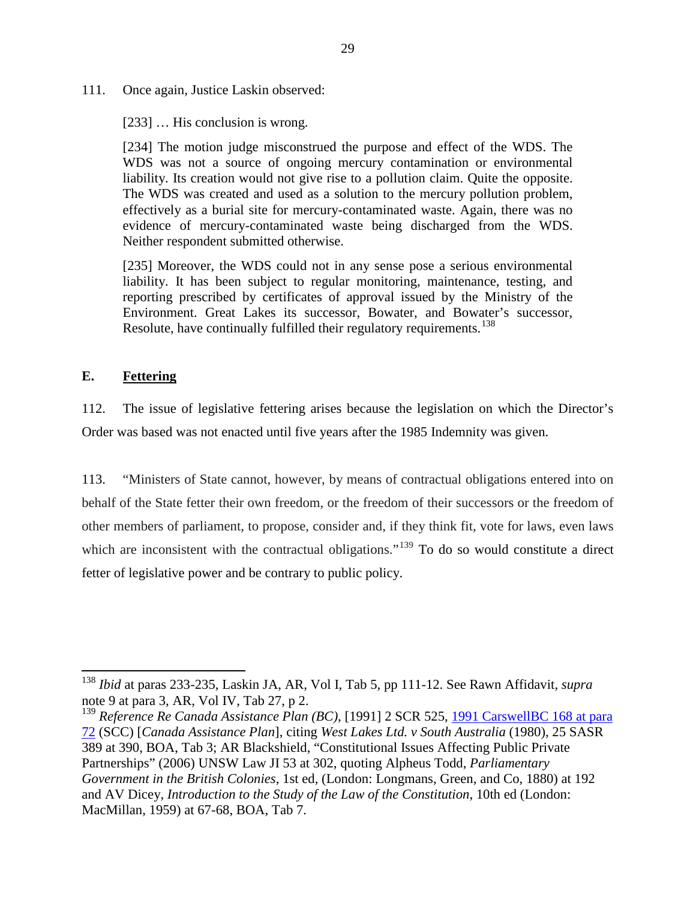111. Once again, Justice Laskin observed:

[233] … His conclusion is wrong.

[234] The motion judge misconstrued the purpose and effect of the WDS. The WDS was not a source of ongoing mercury contamination or environmental liability. Its creation would not give rise to a pollution claim. Quite the opposite. The WDS was created and used as a solution to the mercury pollution problem, effectively as a burial site for mercury-contaminated waste. Again, there was no evidence of mercury-contaminated waste being discharged from the WDS. Neither respondent submitted otherwise.

[235] Moreover, the WDS could not in any sense pose a serious environmental liability. It has been subject to regular monitoring, maintenance, testing, and reporting prescribed by certificates of approval issued by the Ministry of the Environment. Great Lakes its successor, Bowater, and Bowater's successor, Resolute, have continually fulfilled their regulatory requirements.<sup>[138](#page-31-4)</sup>

# <span id="page-32-0"></span>**E. Fettering**

112. The issue of legislative fettering arises because the legislation on which the Director's Order was based was not enacted until five years after the 1985 Indemnity was given.

113. "Ministers of State cannot, however, by means of contractual obligations entered into on behalf of the State fetter their own freedom, or the freedom of their successors or the freedom of other members of parliament, to propose, consider and, if they think fit, vote for laws, even laws which are inconsistent with the contractual obligations."<sup>[139](#page-32-1)</sup> To do so would constitute a direct fetter of legislative power and be contrary to public policy.

<sup>138</sup> *Ibid* at paras 233-235, Laskin JA, AR, Vol I, Tab 5, pp 111-12. See Rawn Affidavit, *supra*  note 9 at para 3, AR, Vol IV, Tab 27, p 2.

<span id="page-32-2"></span><span id="page-32-1"></span><sup>&</sup>lt;sup>139</sup> Reference Re Canada Assistance Plan (BC), [1991] 2 SCR 525, 1991 CarswellBC 168 at para [72](https://nextcanada.westlaw.com/Document/I10b717d0235963f0e0440003ba0d6c6d/View/FullText.html?originationContext=typeAhead&transitionType=Default&contextData=(sc.Default)) (SCC) [*Canada Assistance Plan*], citing *West Lakes Ltd. v South Australia* (1980), 25 SASR 389 at 390, BOA, Tab 3; AR Blackshield, "Constitutional Issues Affecting Public Private Partnerships" (2006) UNSW Law JI 53 at 302, quoting Alpheus Todd, *Parliamentary Government in the British Colonies*, 1st ed, (London: Longmans, Green, and Co, 1880) at 192 and AV Dicey, *Introduction to the Study of the Law of the Constitution*, 10th ed (London: MacMillan, 1959) at 67-68, BOA, Tab 7.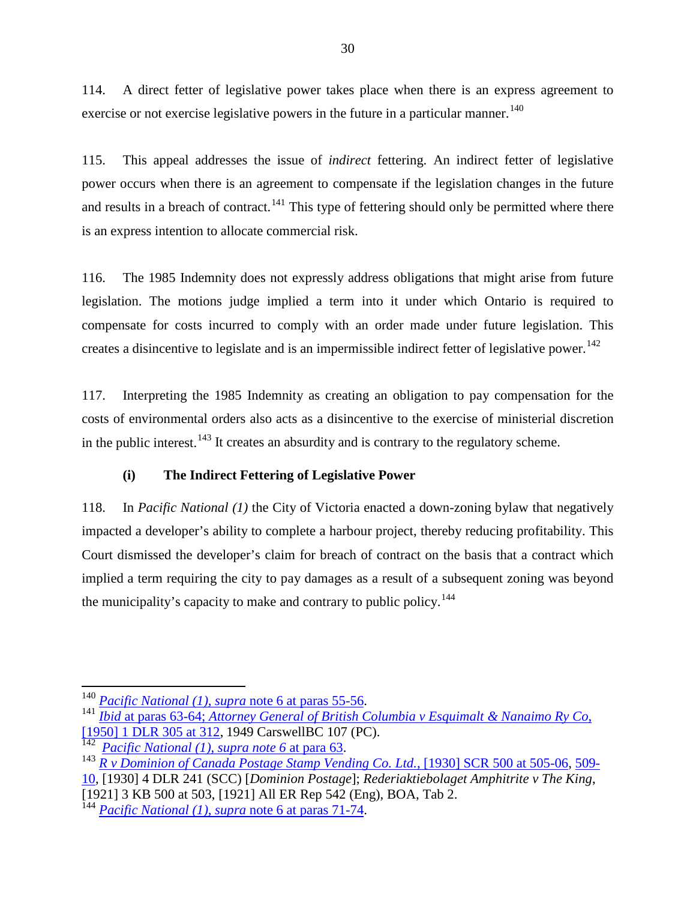114. A direct fetter of legislative power takes place when there is an express agreement to exercise or not exercise legislative powers in the future in a particular manner.<sup>[140](#page-32-2)</sup>

115. This appeal addresses the issue of *indirect* fettering. An indirect fetter of legislative power occurs when there is an agreement to compensate if the legislation changes in the future and results in a breach of contract.<sup>[141](#page-33-1)</sup> This type of fettering should only be permitted where there is an express intention to allocate commercial risk.

116. The 1985 Indemnity does not expressly address obligations that might arise from future legislation. The motions judge implied a term into it under which Ontario is required to compensate for costs incurred to comply with an order made under future legislation. This creates a disincentive to legislate and is an impermissible indirect fetter of legislative power. [142](#page-33-2)

117. Interpreting the 1985 Indemnity as creating an obligation to pay compensation for the costs of environmental orders also acts as a disincentive to the exercise of ministerial discretion in the public interest.<sup>[143](#page-33-3)</sup> It creates an absurdity and is contrary to the regulatory scheme.

# **(i) The Indirect Fettering of Legislative Power**

<span id="page-33-0"></span>118. In *Pacific National (1)* the City of Victoria enacted a down-zoning bylaw that negatively impacted a developer's ability to complete a harbour project, thereby reducing profitability. This Court dismissed the developer's claim for breach of contract on the basis that a contract which implied a term requiring the city to pay damages as a result of a subsequent zoning was beyond the municipality's capacity to make and contrary to public policy.<sup>[144](#page-33-4)</sup>

<span id="page-33-5"></span><span id="page-33-1"></span><sup>&</sup>lt;sup>140</sup> *[Pacific National \(1\), supra](https://www.canlii.org/en/ca/scc/doc/2000/2000scc64/2000scc64.html#par55) note 6 at paras 55-56.*<br><sup>141</sup> *Ibid at [paras 63-64;](https://www.canlii.org/en/ca/scc/doc/2000/2000scc64/2000scc64.html#par63) [Attorney General of British Columbia v Esquimalt & Nanaimo Ry Co](https://www.canlii.org/en/ca/ukjcpc/doc/1949/1949canlii324/1949canlii324.html?resultIndex=1)*, [1950] 1 DLR 305 at 312, 1949 CarswellBC 107 (PC).

<span id="page-33-3"></span>

<span id="page-33-2"></span><sup>142&</sup>lt;br><sup>142</sup> *[Pacific National \(1\), supra note 6](https://www.canlii.org/en/ca/scc/doc/2000/2000scc64/2000scc64.html#par63)* at para 63.<br><sup>143</sup> *[R v Dominion of Canada Postage Stamp Vending Co. Ltd.](https://www.canlii.org/en/ca/scc/doc/1930/1930canlii87/1930canlii87.html?searchUrlHash=AAAAAQADNTA1AAAAAAE&offset=3142)*, [1930] SCR 500 at 505-06, [509-](https://www.canlii.org/en/ca/scc/doc/1930/1930canlii87/1930canlii87.html?searchUrlHash=AAAAAQADNTA5AAAAAAE&offset=5935) [10,](https://www.canlii.org/en/ca/scc/doc/1930/1930canlii87/1930canlii87.html?searchUrlHash=AAAAAQADNTA5AAAAAAE&offset=5935) [1930] 4 DLR 241 (SCC) [*Dominion Postage*]; *Rederiaktiebolaget Amphitrite v The King*,

<sup>[1921] 3</sup> KB 500 at 503, [1921] All ER Rep 542 (Eng), BOA, Tab 2. <sup>144</sup> *Pacific National (1), supra* [note 6 at paras 71-74.](https://www.canlii.org/en/ca/scc/doc/2000/2000scc64/2000scc64.html#par71)

<span id="page-33-4"></span>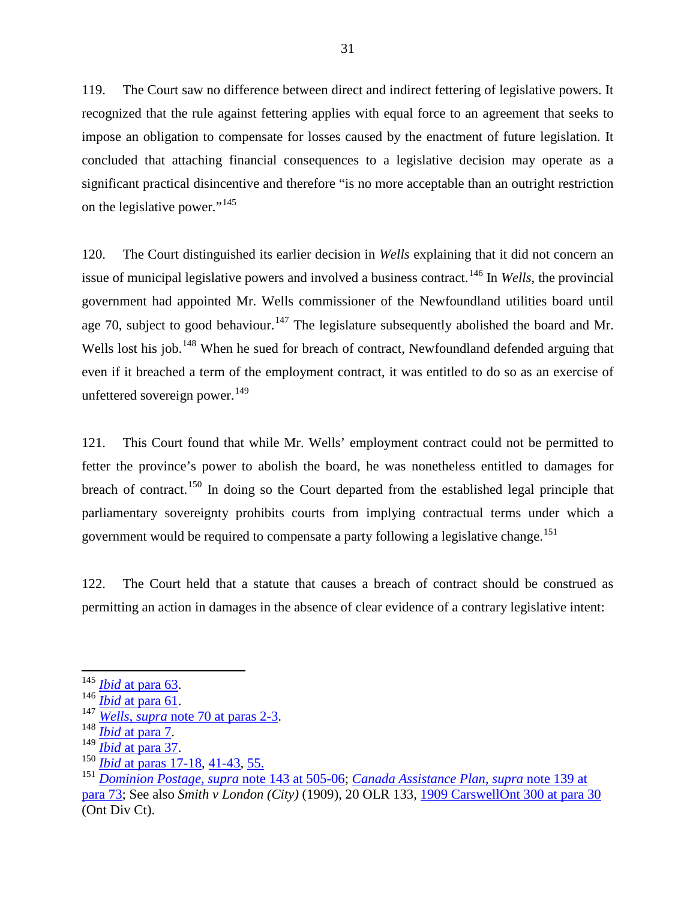119. The Court saw no difference between direct and indirect fettering of legislative powers. It recognized that the rule against fettering applies with equal force to an agreement that seeks to impose an obligation to compensate for losses caused by the enactment of future legislation. It concluded that attaching financial consequences to a legislative decision may operate as a significant practical disincentive and therefore "is no more acceptable than an outright restriction on the legislative power."<sup>[145](#page-33-5)</sup>

120. The Court distinguished its earlier decision in *Wells* explaining that it did not concern an issue of municipal legislative powers and involved a business contract.<sup>[146](#page-34-0)</sup> In *Wells*, the provincial government had appointed Mr. Wells commissioner of the Newfoundland utilities board until age 70, subject to good behaviour.<sup>[147](#page-34-1)</sup> The legislature subsequently abolished the board and Mr. Wells lost his job.<sup>[148](#page-34-2)</sup> When he sued for breach of contract, Newfoundland defended arguing that even if it breached a term of the employment contract, it was entitled to do so as an exercise of unfettered sovereign power. $^{149}$  $^{149}$  $^{149}$ 

121. This Court found that while Mr. Wells' employment contract could not be permitted to fetter the province's power to abolish the board, he was nonetheless entitled to damages for breach of contract.<sup>[150](#page-34-4)</sup> In doing so the Court departed from the established legal principle that parliamentary sovereignty prohibits courts from implying contractual terms under which a government would be required to compensate a party following a legislative change.<sup>[151](#page-34-5)</sup>

122. The Court held that a statute that causes a breach of contract should be construed as permitting an action in damages in the absence of clear evidence of a contrary legislative intent:

<span id="page-34-5"></span><span id="page-34-4"></span>

<span id="page-34-0"></span>

<span id="page-34-1"></span>

<span id="page-34-2"></span>

<span id="page-34-3"></span>

<sup>&</sup>lt;sup>145</sup> *Ibid* [at para 63.](https://www.canlii.org/en/ca/scc/doc/2000/2000scc64/2000scc64.html#par63)<br>
<sup>146</sup> *Ibid* [at para 61.](https://www.canlii.org/en/ca/scc/doc/2000/2000scc64/2000scc64.html#par61)<br>
<sup>147</sup> *Wells, supra* note 70 [at paras 2-3.](https://www.canlii.org/en/ca/scc/doc/1999/1999canlii657/1999canlii657.html#par2)<br>
<sup>148</sup> *Ibid* [at para 7.](https://www.canlii.org/en/ca/scc/doc/1999/1999canlii657/1999canlii657.html#par7)<br>
<sup>150</sup> *Ibid* [at paras 17-18,](https://www.canlii.org/en/ca/scc/doc/1999/1999canlii657/1999canlii657.html#par17) [41-43,](https://www.canlii.org/en/ca/scc/doc/1999/1999canlii657/1999canlii657.html#par41) [55.](https://www.canlii.org/en/ca/scc/doc/1999/1999canlii657/1999canlii657.html#par55)<br>
<sup>150</sup> *Ibid* at paras 17-18, 41-43, 55.<br>
<sup>150</sup> *Ibid* at par [para 73;](https://nextcanada.westlaw.com/Document/I10b717d0235963f0e0440003ba0d6c6d/View/FullText.html?listSource=Foldering&originationContext=clientid&transitionType=MyResearchHistoryItem&contextData=%28oc.Default%29&VR=3.0&RS=WLCA1.0) See also *Smith v London (City)* (1909), 20 OLR 133, [1909 CarswellOnt 300 at para 30](https://nextcanada.westlaw.com/Document/I10b717d2616263f0e0440003ba0d6c6d/View/FullText.html?docFamilyGuid=Idf8cde00746c11d79b9bc4eeac1c0b2d&transitionType=History&contextData=%28sc.Default%29) (Ont Div Ct).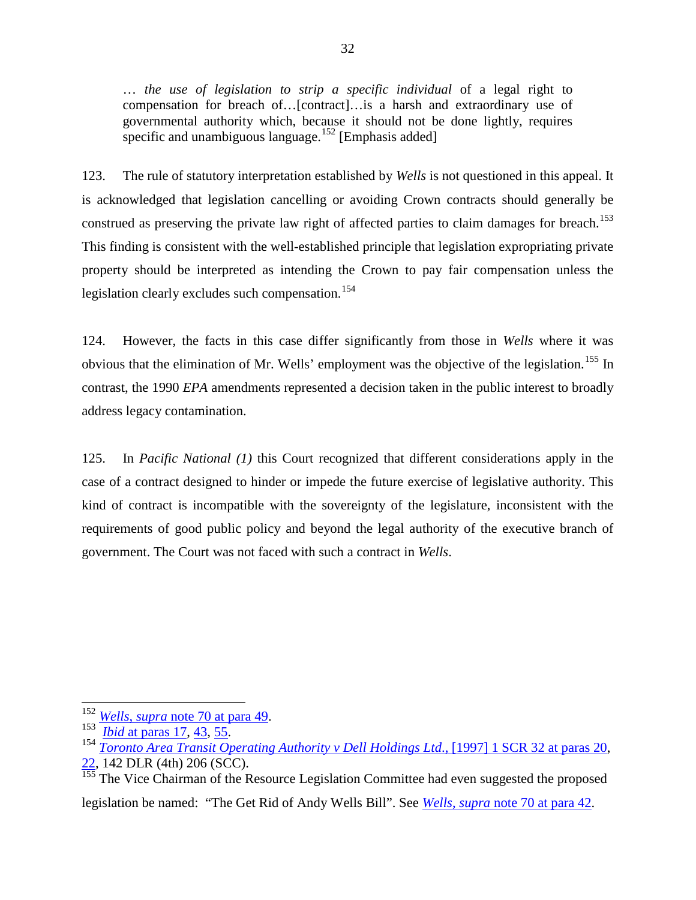… *the use of legislation to strip a specific individual* of a legal right to compensation for breach of…[contract]…is a harsh and extraordinary use of governmental authority which, because it should not be done lightly, requires specific and unambiguous language.<sup>[152](#page-34-1)</sup> [Emphasis added]

123. The rule of statutory interpretation established by *Wells* is not questioned in this appeal. It is acknowledged that legislation cancelling or avoiding Crown contracts should generally be construed as preserving the private law right of affected parties to claim damages for breach.<sup>[153](#page-35-0)</sup> This finding is consistent with the well-established principle that legislation expropriating private property should be interpreted as intending the Crown to pay fair compensation unless the legislation clearly excludes such compensation. [154](#page-35-1)

124. However, the facts in this case differ significantly from those in *Wells* where it was obvious that the elimination of Mr. Wells' employment was the objective of the legislation.<sup>[155](#page-35-2)</sup> In contrast, the 1990 *EPA* amendments represented a decision taken in the public interest to broadly address legacy contamination.

125. In *Pacific National (1)* this Court recognized that different considerations apply in the case of a contract designed to hinder or impede the future exercise of legislative authority. This kind of contract is incompatible with the sovereignty of the legislature, inconsistent with the requirements of good public policy and beyond the legal authority of the executive branch of government. The Court was not faced with such a contract in *Wells*.

<span id="page-35-1"></span><span id="page-35-0"></span>

<sup>&</sup>lt;sup>152</sup> *Wells, supra* note 70 [at para 49.](https://www.canlii.org/en/ca/scc/doc/1999/1999canlii657/1999canlii657.html#par49)<br><sup>153</sup> *Ibid* [at paras 17,](https://www.canlii.org/en/ca/scc/doc/1999/1999canlii657/1999canlii657.html#par17) [43,](https://www.canlii.org/en/ca/scc/doc/1999/1999canlii657/1999canlii657.html#par43) [55.](https://www.canlii.org/en/ca/scc/doc/1999/1999canlii657/1999canlii657.html#par55)<br><sup>154</sup> *[Toronto Area Transit Operating Authority v Dell Holdings Ltd](https://www.canlii.org/en/ca/scc/doc/1997/1997canlii400/1997canlii400.html#par20).*, [1997] 1 SCR 32 at paras 20, [22,](https://www.canlii.org/en/ca/scc/doc/1997/1997canlii400/1997canlii400.html#par22) 142 DLR (4th) 206 (SCC).<br><sup>155</sup> The Vice Chairman of the Resource Legislation Committee had even suggested the proposed

<span id="page-35-3"></span><span id="page-35-2"></span>legislation be named: "The Get Rid of Andy Wells Bill". See *Wells*, *supra* [note 70 at para 42.](https://www.canlii.org/en/ca/scc/doc/1999/1999canlii657/1999canlii657.html#par42)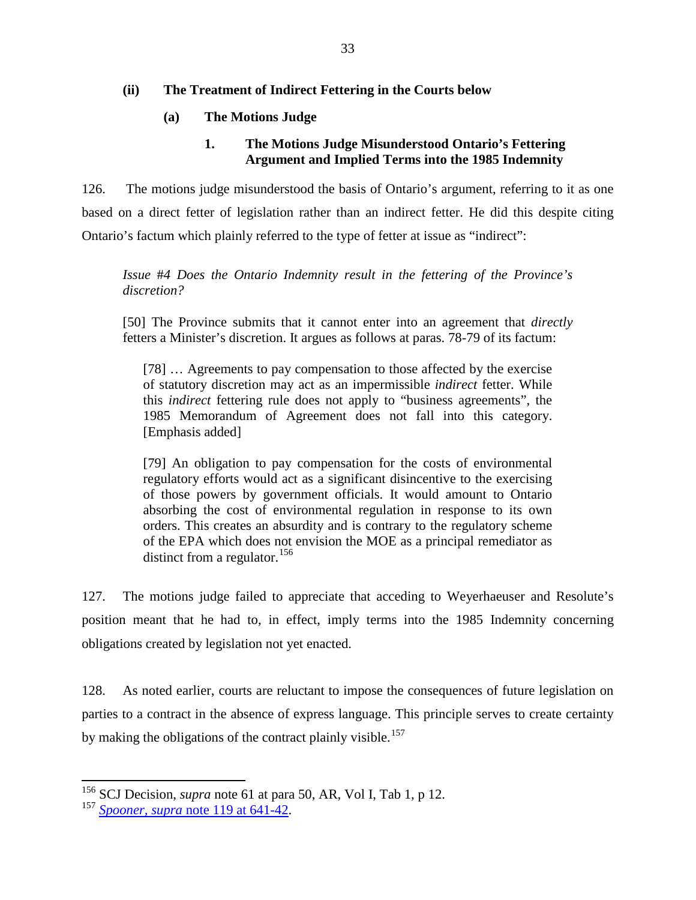# <span id="page-36-0"></span>**(ii) The Treatment of Indirect Fettering in the Courts below**

# **(a) The Motions Judge**

# **1. The Motions Judge Misunderstood Ontario's Fettering Argument and Implied Terms into the 1985 Indemnity**

126. The motions judge misunderstood the basis of Ontario's argument, referring to it as one based on a direct fetter of legislation rather than an indirect fetter. He did this despite citing Ontario's factum which plainly referred to the type of fetter at issue as "indirect":

*Issue* #*4 Does the Ontario Indemnity result in the fettering of the Province's discretion?*

[50] The Province submits that it cannot enter into an agreement that *directly* fetters a Minister's discretion. It argues as follows at paras. 78-79 of its factum:

[78] … Agreements to pay compensation to those affected by the exercise of statutory discretion may act as an impermissible *indirect* fetter. While this *indirect* fettering rule does not apply to "business agreements", the 1985 Memorandum of Agreement does not fall into this category. [Emphasis added]

[79] An obligation to pay compensation for the costs of environmental regulatory efforts would act as a significant disincentive to the exercising of those powers by government officials. It would amount to Ontario absorbing the cost of environmental regulation in response to its own orders. This creates an absurdity and is contrary to the regulatory scheme of the EPA which does not envision the MOE as a principal remediator as distinct from a regulator.<sup>[156](#page-35-3)</sup>

127. The motions judge failed to appreciate that acceding to Weyerhaeuser and Resolute's position meant that he had to, in effect, imply terms into the 1985 Indemnity concerning obligations created by legislation not yet enacted.

<span id="page-36-2"></span>128. As noted earlier, courts are reluctant to impose the consequences of future legislation on parties to a contract in the absence of express language. This principle serves to create certainty by making the obligations of the contract plainly visible.<sup>[157](#page-36-1)</sup>

<sup>156</sup> SCJ Decision, *supra* note 61 at para 50, AR, Vol I, Tab 1, p 12.

<span id="page-36-1"></span><sup>157</sup> *Spooner, supra* [note 119 at 641-42.](https://www.canlii.org/en/ca/scc/doc/1933/1933canlii86/1933canlii86.html?searchUrlHash=AAAAAQADNjQxAAAAAAE&offset=6680.7998046875)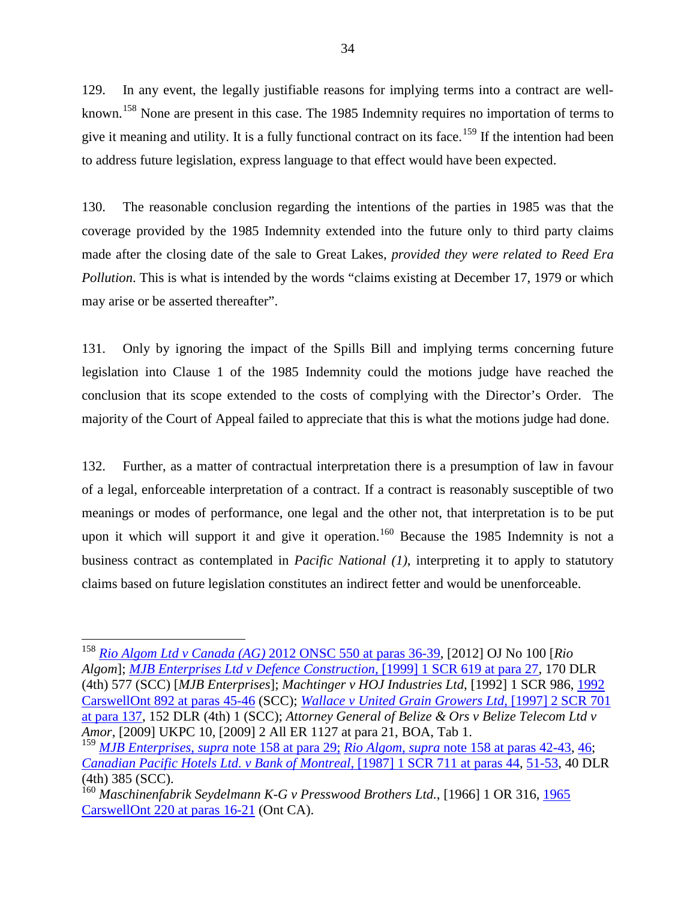129. In any event, the legally justifiable reasons for implying terms into a contract are wellknown.[158](#page-36-2) None are present in this case. The 1985 Indemnity requires no importation of terms to give it meaning and utility. It is a fully functional contract on its face.<sup>[159](#page-37-0)</sup> If the intention had been to address future legislation, express language to that effect would have been expected.

130. The reasonable conclusion regarding the intentions of the parties in 1985 was that the coverage provided by the 1985 Indemnity extended into the future only to third party claims made after the closing date of the sale to Great Lakes, *provided they were related to Reed Era Pollution*. This is what is intended by the words "claims existing at December 17, 1979 or which may arise or be asserted thereafter".

131. Only by ignoring the impact of the Spills Bill and implying terms concerning future legislation into Clause 1 of the 1985 Indemnity could the motions judge have reached the conclusion that its scope extended to the costs of complying with the Director's Order. The majority of the Court of Appeal failed to appreciate that this is what the motions judge had done.

132. Further, as a matter of contractual interpretation there is a presumption of law in favour of a legal, enforceable interpretation of a contract. If a contract is reasonably susceptible of two meanings or modes of performance, one legal and the other not, that interpretation is to be put upon it which will support it and give it operation.<sup>[160](#page-37-1)</sup> Because the 1985 Indemnity is not a business contract as contemplated in *Pacific National (1)*, interpreting it to apply to statutory claims based on future legislation constitutes an indirect fetter and would be unenforceable.

<sup>158</sup> *Rio Algom Ltd v Canada (AG)* [2012 ONSC 550 at paras 36-39,](https://www.canlii.org/en/on/onsc/doc/2012/2012onsc550/2012onsc550.html#par36) [2012] OJ No 100 [*Rio Algom*]; *[MJB Enterprises Ltd v Defence Construction,](https://www.canlii.org/en/ca/scc/doc/1999/1999canlii677/1999canlii677.html#par27)* [1999] 1 SCR 619 at para 27, 170 DLR (4th) 577 (SCC) [*MJB Enterprises*]; *Machtinger v HOJ Industries Ltd*, [1992] 1 SCR 986, [1992](https://nextcanada.westlaw.com/Document/I10b717ce99a463f0e0440003ba0d6c6d/View/FullText.html?navigationPath=Search%2Fv3%2Fsearch%2Fresults%2Fnavigation%2Fi0ad62d2e00000168011c06f9636ffe5f%3FNav%3DMULTIPLECITATIONS%26fragmentIdentifier%3DI10b717ce99a463f0e0440003ba0d6c6d%26startIndex%3D1%26contextData%3D%2528sc.Search%2529%26transitionType%3DUniqueDocItem&listSource=Search&listPageSource=85b62fc42556eb4b8f384cf08aee49e1&list=MULTIPLECITATIONS&rank=0&sessionScopeId=bbb628b77251d698a06f76a592545b4a66984975b28de53b7bae38d210bff6b1&originationContext=NonUniqueFindSelected&transitionType=UniqueDocItem&contextData=%28sc.Search%29)  [CarswellOnt 892 at paras 45-46](https://nextcanada.westlaw.com/Document/I10b717ce99a463f0e0440003ba0d6c6d/View/FullText.html?navigationPath=Search%2Fv3%2Fsearch%2Fresults%2Fnavigation%2Fi0ad62d2e00000168011c06f9636ffe5f%3FNav%3DMULTIPLECITATIONS%26fragmentIdentifier%3DI10b717ce99a463f0e0440003ba0d6c6d%26startIndex%3D1%26contextData%3D%2528sc.Search%2529%26transitionType%3DUniqueDocItem&listSource=Search&listPageSource=85b62fc42556eb4b8f384cf08aee49e1&list=MULTIPLECITATIONS&rank=0&sessionScopeId=bbb628b77251d698a06f76a592545b4a66984975b28de53b7bae38d210bff6b1&originationContext=NonUniqueFindSelected&transitionType=UniqueDocItem&contextData=%28sc.Search%29) (SCC); *[Wallace v United Grain Growers Ltd](https://www.canlii.org/en/ca/scc/doc/1997/1997canlii332/1997canlii332.html#par137)*, [1997] 2 SCR 701 [at para 137,](https://www.canlii.org/en/ca/scc/doc/1997/1997canlii332/1997canlii332.html#par137) 152 DLR (4th) 1 (SCC); *Attorney General of Belize & Ors v Belize Telecom Ltd v* 

<span id="page-37-2"></span><span id="page-37-0"></span><sup>&</sup>lt;sup>159</sup> MJB Enterprises, *supra* [note 158 at para 29;](https://www.canlii.org/en/ca/scc/doc/1999/1999canlii677/1999canlii677.html#par29) *Rio Algom*, *supra* [note 158 at paras 42-43,](https://www.canlii.org/en/on/onsc/doc/2012/2012onsc550/2012onsc550.html#par42) [46;](https://www.canlii.org/en/on/onsc/doc/2012/2012onsc550/2012onsc550.html#par46) *[Canadian Pacific Hotels Ltd. v Bank of Montreal](https://www.canlii.org/en/ca/scc/doc/1987/1987canlii55/1987canlii55.html#par44)*, [1987] 1 SCR 711 at paras 44, [51-53,](https://www.canlii.org/en/ca/scc/doc/1987/1987canlii55/1987canlii55.html#par51) 40 DLR (4th) 385 (SCC).<br><sup>160</sup> Maschinenfabrik Seydelmann K-G v Presswood Brothers Ltd., [1966] 1 OR 316, <u>1965</u>

<span id="page-37-1"></span>[CarswellOnt 220 at paras 16-21](https://nextcanada.westlaw.com/Document/I10b717cb9d2c63f0e0440003ba0d6c6d/View/FullText.html?originationContext=typeAhead&transitionType=Default&contextData=(sc.Default)) (Ont CA).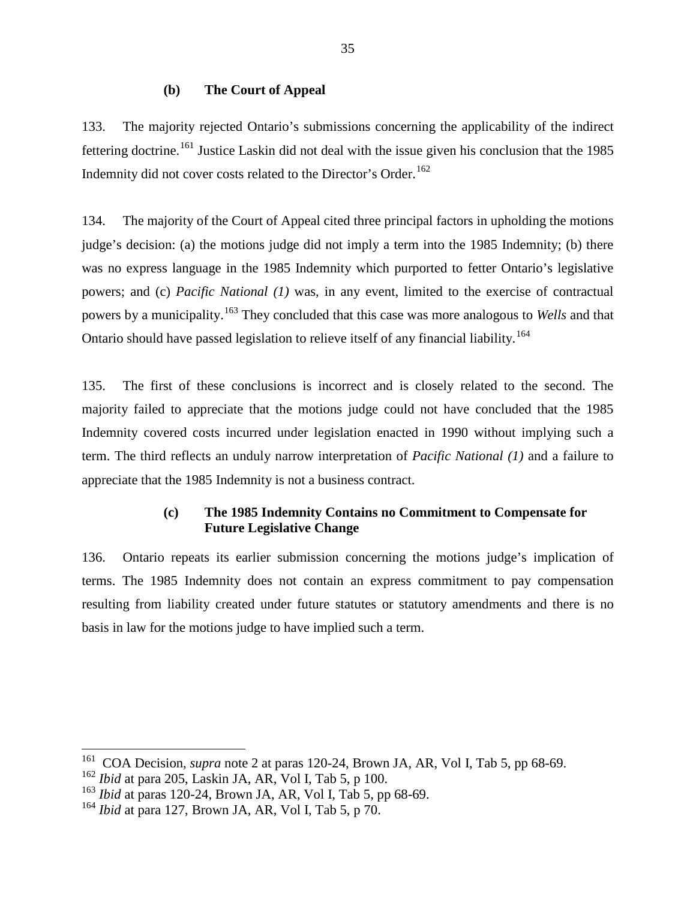#### **(b) The Court of Appeal**

133. The majority rejected Ontario's submissions concerning the applicability of the indirect fettering doctrine.<sup>[161](#page-37-2)</sup> Justice Laskin did not deal with the issue given his conclusion that the 1985 Indemnity did not cover costs related to the Director's Order.<sup>[162](#page-38-0)</sup>

134. The majority of the Court of Appeal cited three principal factors in upholding the motions judge's decision: (a) the motions judge did not imply a term into the 1985 Indemnity; (b) there was no express language in the 1985 Indemnity which purported to fetter Ontario's legislative powers; and (c) *Pacific National (1)* was, in any event, limited to the exercise of contractual powers by a municipality.[163](#page-38-1) They concluded that this case was more analogous to *Wells* and that Ontario should have passed legislation to relieve itself of any financial liability.<sup>[164](#page-38-2)</sup>

135. The first of these conclusions is incorrect and is closely related to the second. The majority failed to appreciate that the motions judge could not have concluded that the 1985 Indemnity covered costs incurred under legislation enacted in 1990 without implying such a term. The third reflects an unduly narrow interpretation of *Pacific National (1)* and a failure to appreciate that the 1985 Indemnity is not a business contract.

# **(c) The 1985 Indemnity Contains no Commitment to Compensate for Future Legislative Change**

136. Ontario repeats its earlier submission concerning the motions judge's implication of terms. The 1985 Indemnity does not contain an express commitment to pay compensation resulting from liability created under future statutes or statutory amendments and there is no basis in law for the motions judge to have implied such a term.

<span id="page-38-3"></span>161 COA Decision, *supra* note 2 at paras 120-24, Brown JA, AR, Vol I, Tab 5, pp 68-69.

<span id="page-38-0"></span><sup>162</sup> *Ibid* at para 205, Laskin JA, AR, Vol I, Tab 5, p 100.

<span id="page-38-1"></span><sup>163</sup> *Ibid* at paras 120-24, Brown JA, AR, Vol I, Tab 5, pp 68-69.

<span id="page-38-2"></span><sup>164</sup> *Ibid* at para 127, Brown JA, AR, Vol I, Tab 5, p 70.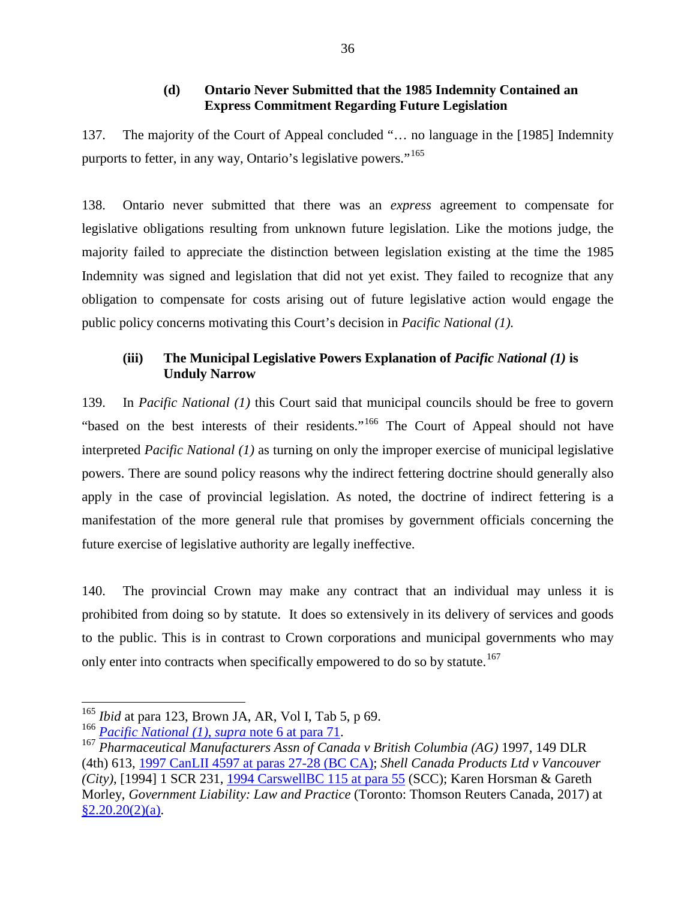# **(d) Ontario Never Submitted that the 1985 Indemnity Contained an Express Commitment Regarding Future Legislation**

137. The majority of the Court of Appeal concluded "… no language in the [1985] Indemnity purports to fetter, in any way, Ontario's legislative powers."<sup>[165](#page-38-3)</sup>

138. Ontario never submitted that there was an *express* agreement to compensate for legislative obligations resulting from unknown future legislation. Like the motions judge, the majority failed to appreciate the distinction between legislation existing at the time the 1985 Indemnity was signed and legislation that did not yet exist. They failed to recognize that any obligation to compensate for costs arising out of future legislative action would engage the public policy concerns motivating this Court's decision in *Pacific National (1).*

# <span id="page-39-0"></span>**(iii) The Municipal Legislative Powers Explanation of** *Pacific National (1)* **is Unduly Narrow**

139. In *Pacific National (1)* this Court said that municipal councils should be free to govern "based on the best interests of their residents."[166](#page-39-1) The Court of Appeal should not have interpreted *Pacific National (1)* as turning on only the improper exercise of municipal legislative powers. There are sound policy reasons why the indirect fettering doctrine should generally also apply in the case of provincial legislation. As noted, the doctrine of indirect fettering is a manifestation of the more general rule that promises by government officials concerning the future exercise of legislative authority are legally ineffective.

140. The provincial Crown may make any contract that an individual may unless it is prohibited from doing so by statute. It does so extensively in its delivery of services and goods to the public. This is in contrast to Crown corporations and municipal governments who may only enter into contracts when specifically empowered to do so by statute.<sup>167</sup>

<sup>&</sup>lt;sup>165</sup> *Ibid* at para 123, Brown JA, AR, Vol I, Tab 5, p 69.<br><sup>166</sup> *Pac<u>ific National (1), supra note 6 at para 71</u>.* 

<span id="page-39-1"></span>

<span id="page-39-3"></span><span id="page-39-2"></span><sup>&</sup>lt;sup>167</sup> *Pharmaceutical Manufacturers Assn of Canada v British Columbia (AG)* 1997, 149 DLR (4th) 613, [1997 CanLII 4597 at paras 27-28 \(BC CA\);](https://www.canlii.org/en/bc/bcca/doc/1997/1997canlii4597/1997canlii4597.html#par27) *Shell Canada Products Ltd v Vancouver (City)*, [1994] 1 SCR 231, [1994 CarswellBC 115 at para 55](https://nextcanada.westlaw.com/Document/I10b717ce7ea363f0e0440003ba0d6c6d/View/FullText.html?transitionType=Default&contextData=(sc.Default)) (SCC); Karen Horsman & Gareth Morley, *Government Liability: Law and Practice* (Toronto: Thomson Reuters Canada, 2017) at  $§2.20.20(2)(a)$ .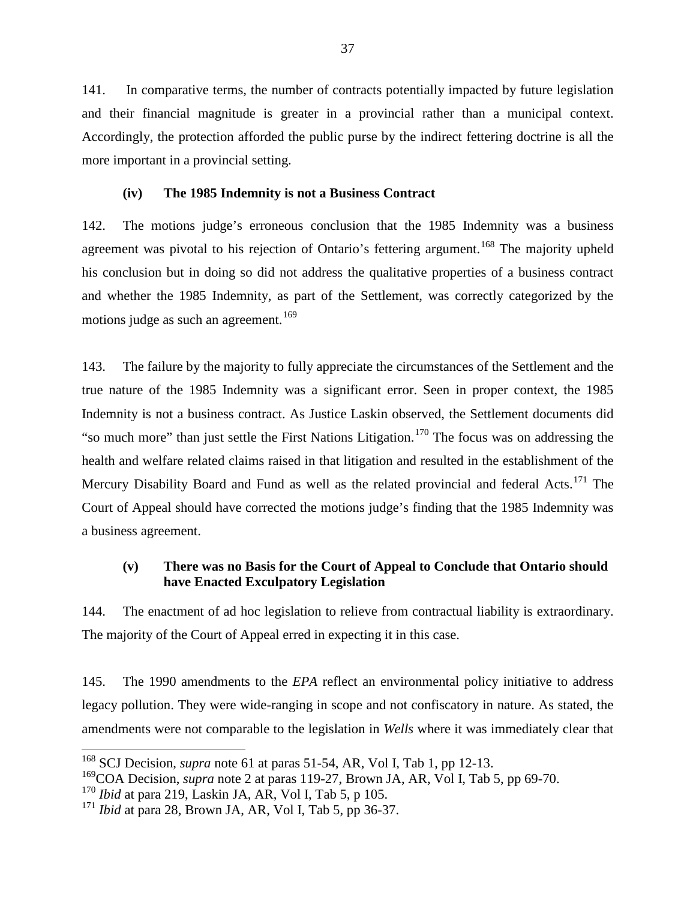141. In comparative terms, the number of contracts potentially impacted by future legislation and their financial magnitude is greater in a provincial rather than a municipal context. Accordingly, the protection afforded the public purse by the indirect fettering doctrine is all the more important in a provincial setting.

#### **(iv) The 1985 Indemnity is not a Business Contract**

<span id="page-40-0"></span>142. The motions judge's erroneous conclusion that the 1985 Indemnity was a business agreement was pivotal to his rejection of Ontario's fettering argument.<sup>[168](#page-39-3)</sup> The majority upheld his conclusion but in doing so did not address the qualitative properties of a business contract and whether the 1985 Indemnity, as part of the Settlement, was correctly categorized by the motions judge as such an agreement.<sup>[169](#page-40-2)</sup>

143. The failure by the majority to fully appreciate the circumstances of the Settlement and the true nature of the 1985 Indemnity was a significant error. Seen in proper context, the 1985 Indemnity is not a business contract. As Justice Laskin observed, the Settlement documents did "so much more" than just settle the First Nations Litigation.<sup>[170](#page-40-3)</sup> The focus was on addressing the health and welfare related claims raised in that litigation and resulted in the establishment of the Mercury Disability Board and Fund as well as the related provincial and federal Acts.<sup>[171](#page-40-4)</sup> The Court of Appeal should have corrected the motions judge's finding that the 1985 Indemnity was a business agreement.

# <span id="page-40-1"></span>**(v) There was no Basis for the Court of Appeal to Conclude that Ontario should have Enacted Exculpatory Legislation**

144. The enactment of ad hoc legislation to relieve from contractual liability is extraordinary. The majority of the Court of Appeal erred in expecting it in this case.

145. The 1990 amendments to the *EPA* reflect an environmental policy initiative to address legacy pollution. They were wide-ranging in scope and not confiscatory in nature. As stated, the amendments were not comparable to the legislation in *Wells* where it was immediately clear that

<sup>&</sup>lt;sup>168</sup> SCJ Decision, *supra* note 61 at paras 51-54, AR, Vol I, Tab 1, pp 12-13.

<span id="page-40-2"></span><sup>169</sup>COA Decision, *supra* note 2 at paras 119-27, Brown JA, AR, Vol I, Tab 5, pp 69-70.

<span id="page-40-3"></span><sup>170</sup> *Ibid* at para 219, Laskin JA, AR, Vol I, Tab 5, p 105.

<span id="page-40-4"></span><sup>171</sup> *Ibid* at para 28, Brown JA, AR, Vol I, Tab 5, pp 36-37.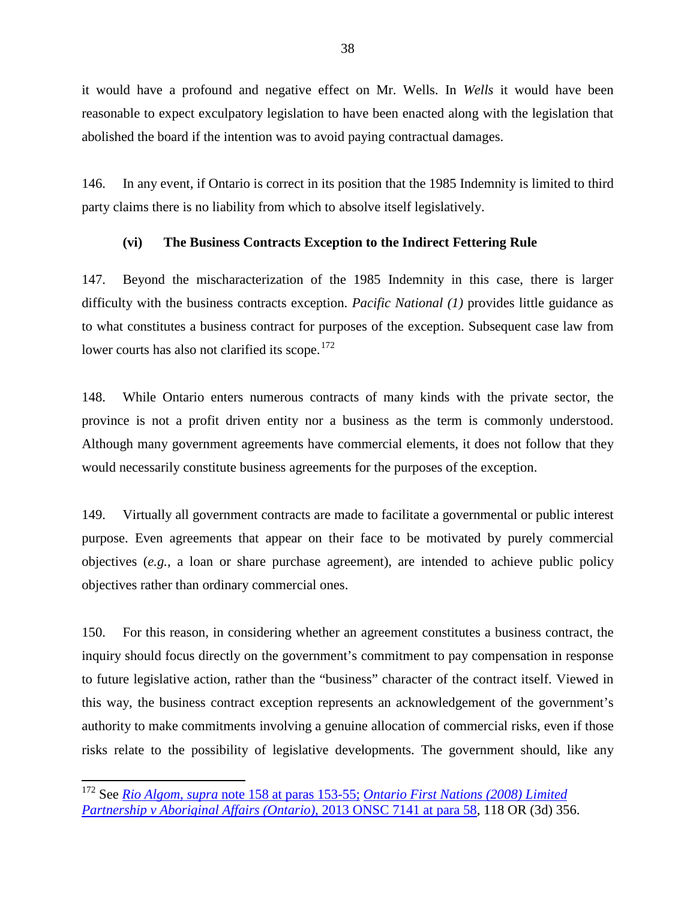it would have a profound and negative effect on Mr. Wells. In *Wells* it would have been reasonable to expect exculpatory legislation to have been enacted along with the legislation that abolished the board if the intention was to avoid paying contractual damages.

146. In any event, if Ontario is correct in its position that the 1985 Indemnity is limited to third party claims there is no liability from which to absolve itself legislatively.

# **(vi) The Business Contracts Exception to the Indirect Fettering Rule**

<span id="page-41-0"></span>147. Beyond the mischaracterization of the 1985 Indemnity in this case, there is larger difficulty with the business contracts exception. *Pacific National (1)* provides little guidance as to what constitutes a business contract for purposes of the exception. Subsequent case law from lower courts has also not clarified its scope.<sup>[172](#page-40-3)</sup>

148. While Ontario enters numerous contracts of many kinds with the private sector, the province is not a profit driven entity nor a business as the term is commonly understood. Although many government agreements have commercial elements, it does not follow that they would necessarily constitute business agreements for the purposes of the exception.

149. Virtually all government contracts are made to facilitate a governmental or public interest purpose. Even agreements that appear on their face to be motivated by purely commercial objectives (*e.g.*, a loan or share purchase agreement), are intended to achieve public policy objectives rather than ordinary commercial ones.

150. For this reason, in considering whether an agreement constitutes a business contract, the inquiry should focus directly on the government's commitment to pay compensation in response to future legislative action, rather than the "business" character of the contract itself. Viewed in this way, the business contract exception represents an acknowledgement of the government's authority to make commitments involving a genuine allocation of commercial risks, even if those risks relate to the possibility of legislative developments. The government should, like any

<span id="page-41-1"></span><sup>172</sup> See *Rio Algom*, *supra* [note 158 at paras 153-55;](https://www.canlii.org/en/on/onsc/doc/2012/2012onsc550/2012onsc550.html#par153) *[Ontario First Nations \(2008\) Limited](https://www.canlii.org/en/on/onsc/doc/2013/2013onsc7141/2013onsc7141.html#par58)  [Partnership v Aboriginal Affairs \(Ontario\)](https://www.canlii.org/en/on/onsc/doc/2013/2013onsc7141/2013onsc7141.html#par58)*, 2013 ONSC 7141 at para 58, 118 OR (3d) 356.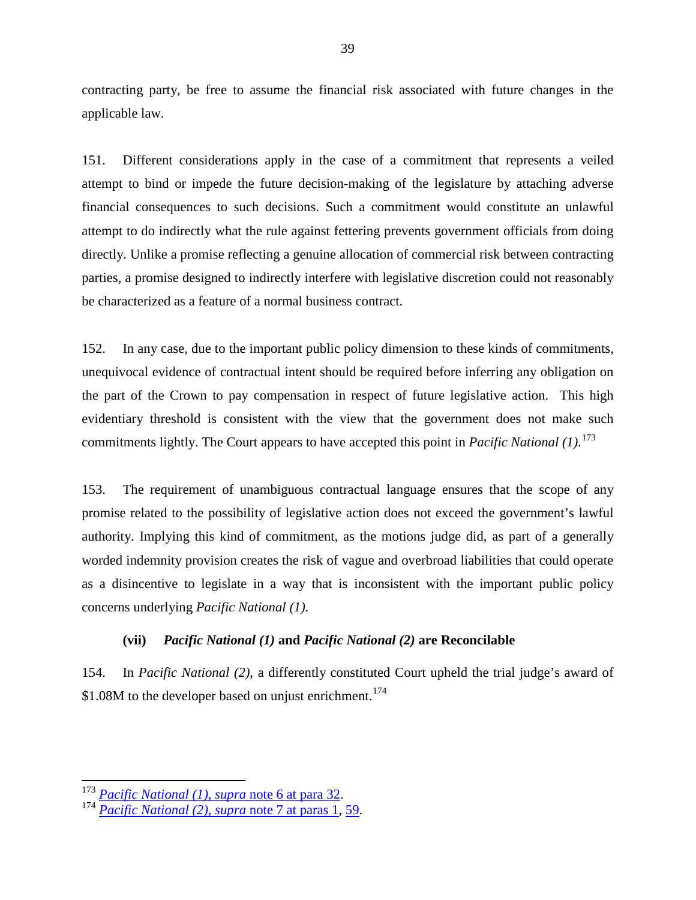contracting party, be free to assume the financial risk associated with future changes in the applicable law.

151. Different considerations apply in the case of a commitment that represents a veiled attempt to bind or impede the future decision-making of the legislature by attaching adverse financial consequences to such decisions. Such a commitment would constitute an unlawful attempt to do indirectly what the rule against fettering prevents government officials from doing directly. Unlike a promise reflecting a genuine allocation of commercial risk between contracting parties, a promise designed to indirectly interfere with legislative discretion could not reasonably be characterized as a feature of a normal business contract.

152. In any case, due to the important public policy dimension to these kinds of commitments, unequivocal evidence of contractual intent should be required before inferring any obligation on the part of the Crown to pay compensation in respect of future legislative action. This high evidentiary threshold is consistent with the view that the government does not make such commitments lightly. The Court appears to have accepted this point in *Pacific National (1)*. [173](#page-41-1)

153. The requirement of unambiguous contractual language ensures that the scope of any promise related to the possibility of legislative action does not exceed the government's lawful authority. Implying this kind of commitment, as the motions judge did, as part of a generally worded indemnity provision creates the risk of vague and overbroad liabilities that could operate as a disincentive to legislate in a way that is inconsistent with the important public policy concerns underlying *Pacific National (1)*.

#### **(vii)** *Pacific National (1)* **and** *Pacific National (2)* **are Reconcilable**

<span id="page-42-0"></span>154. In *Pacific National (2)*, a differently constituted Court upheld the trial judge's award of \$1.08M to the developer based on unjust enrichment.<sup>[174](#page-42-1)</sup>

<sup>173</sup> *[Pacific National \(1\)](https://www.canlii.org/en/ca/scc/doc/2000/2000scc64/2000scc64.html#par32)*, *supra* note 6 at para 32. <sup>174</sup> *[Pacific National \(2\)](https://www.canlii.org/en/ca/scc/doc/2004/2004scc75/2004scc75.html#par1)*, *supra* note 7 at paras 1, [59.](https://www.canlii.org/en/ca/scc/doc/2004/2004scc75/2004scc75.html#par59)

<span id="page-42-1"></span>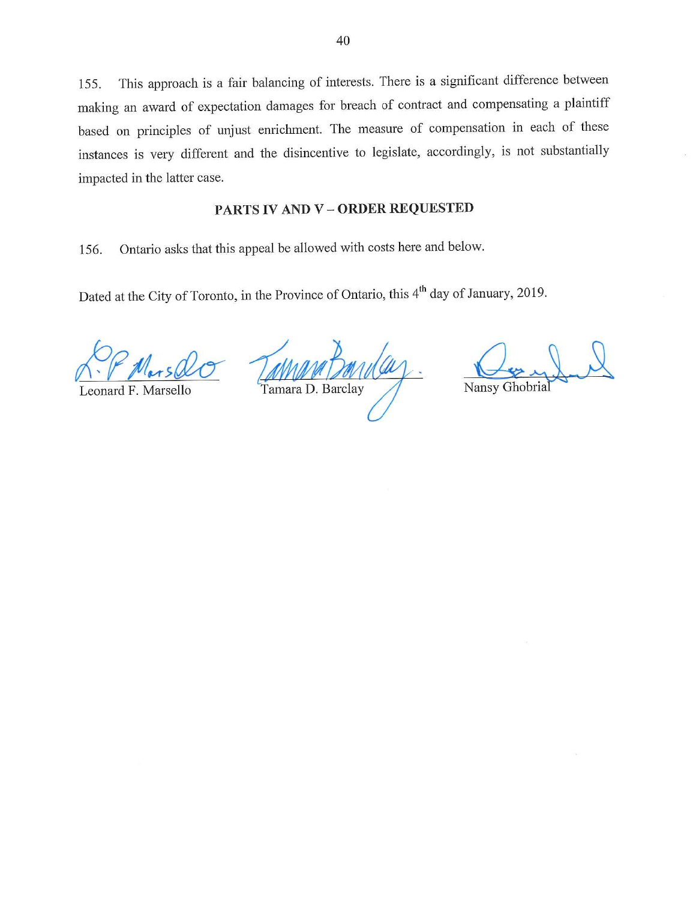This approach is a fair balancing of interests. There is a significant difference between 155. making an award of expectation damages for breach of contract and compensating a plaintiff based on principles of unjust enrichment. The measure of compensation in each of these instances is very different and the disincentive to legislate, accordingly, is not substantially impacted in the latter case.

# **PARTS IV AND V - ORDER REQUESTED**

Ontario asks that this appeal be allowed with costs here and below. 156.

Dated at the City of Toronto, in the Province of Ontario, this 4<sup>th</sup> day of January, 2019.

Marsh

Leonard F. Marsello

Tamara D. Barclay

Nansy Ghobrial

40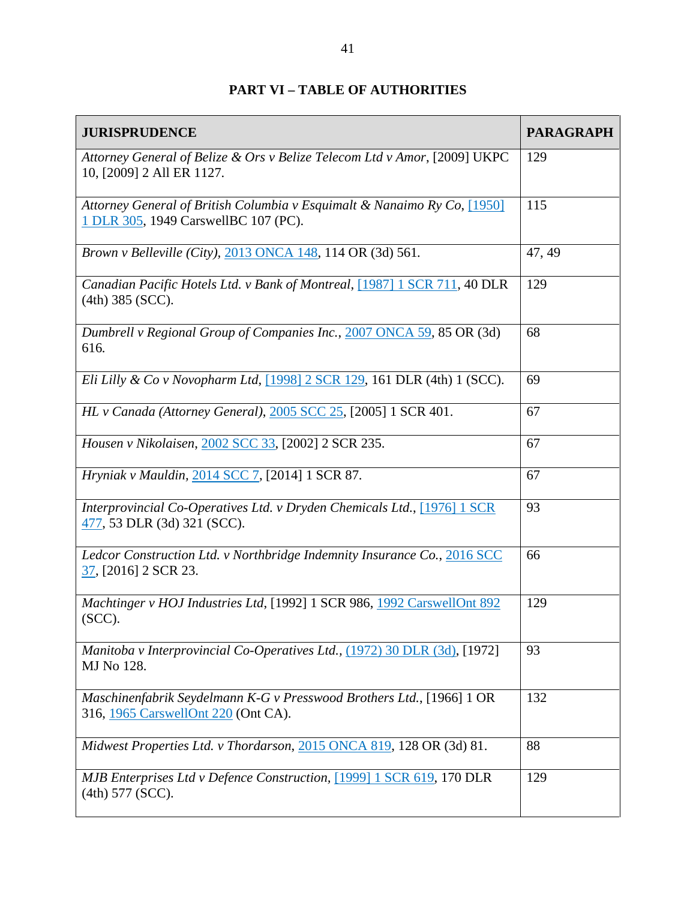<span id="page-44-0"></span>

| <b>JURISPRUDENCE</b>                                                                                             | <b>PARAGRAPH</b> |
|------------------------------------------------------------------------------------------------------------------|------------------|
| Attorney General of Belize & Ors v Belize Telecom Ltd v Amor, [2009] UKPC<br>10, [2009] 2 All ER 1127.           | 129              |
| Attorney General of British Columbia v Esquimalt & Nanaimo Ry Co, [1950]<br>1 DLR 305, 1949 CarswellBC 107 (PC). | 115              |
| Brown v Belleville (City), 2013 ONCA 148, 114 OR (3d) 561.                                                       | 47, 49           |
| Canadian Pacific Hotels Ltd. v Bank of Montreal, [1987] 1 SCR 711, 40 DLR<br>$(4th)$ 385 (SCC).                  | 129              |
| Dumbrell v Regional Group of Companies Inc., 2007 ONCA 59, 85 OR (3d)<br>616.                                    | 68               |
| Eli Lilly & Co v Novopharm Ltd, [1998] 2 SCR 129, 161 DLR (4th) 1 (SCC).                                         | 69               |
| HL v Canada (Attorney General), 2005 SCC 25, [2005] 1 SCR 401.                                                   | 67               |
| Housen v Nikolaisen, 2002 SCC 33, [2002] 2 SCR 235.                                                              | 67               |
| Hryniak v Mauldin, 2014 SCC 7, [2014] 1 SCR 87.                                                                  | 67               |
| Interprovincial Co-Operatives Ltd. v Dryden Chemicals Ltd., [1976] 1 SCR<br>477, 53 DLR (3d) 321 (SCC).          | 93               |
| Ledcor Construction Ltd. v Northbridge Indemnity Insurance Co., 2016 SCC<br>$37,$ [2016] 2 SCR 23.               | 66               |
| Machtinger v HOJ Industries Ltd, [1992] 1 SCR 986, 1992 CarswellOnt 892<br>$(SCC)$ .                             | 129              |
| Manitoba v Interprovincial Co-Operatives Ltd., (1972) 30 DLR (3d), [1972]<br>MJ No 128.                          | 93               |
| Maschinenfabrik Seydelmann K-G v Presswood Brothers Ltd., [1966] 1 OR<br>316, 1965 CarswellOnt 220 (Ont CA).     | 132              |
| Midwest Properties Ltd. v Thordarson, 2015 ONCA 819, 128 OR (3d) 81.                                             | 88               |
| MJB Enterprises Ltd v Defence Construction, [1999] 1 SCR 619, 170 DLR<br>(4th) 577 (SCC).                        | 129              |

# **PART VI – TABLE OF AUTHORITIES**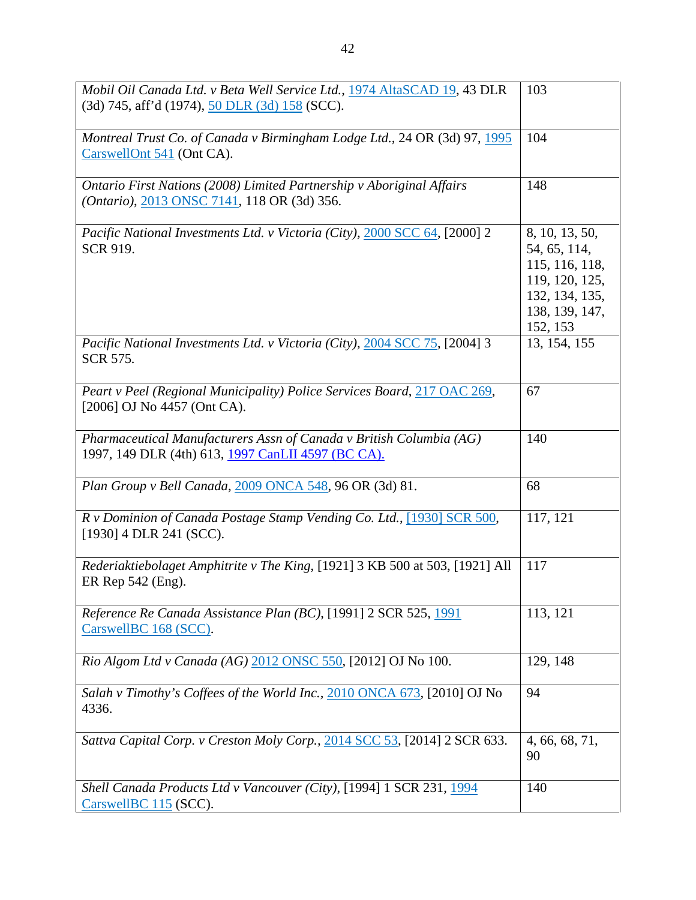| Mobil Oil Canada Ltd. v Beta Well Service Ltd., 1974 AltaSCAD 19, 43 DLR<br>(3d) 745, aff'd (1974), 50 DLR (3d) 158 (SCC). | 103                                                                                                                |
|----------------------------------------------------------------------------------------------------------------------------|--------------------------------------------------------------------------------------------------------------------|
| Montreal Trust Co. of Canada v Birmingham Lodge Ltd., 24 OR (3d) 97, 1995<br>CarswellOnt 541 (Ont CA).                     | 104                                                                                                                |
| Ontario First Nations (2008) Limited Partnership v Aboriginal Affairs<br>(Ontario), 2013 ONSC 7141, 118 OR (3d) 356.       | 148                                                                                                                |
| Pacific National Investments Ltd. v Victoria (City), 2000 SCC 64, [2000] 2<br>SCR 919.                                     | 8, 10, 13, 50,<br>54, 65, 114,<br>115, 116, 118,<br>119, 120, 125,<br>132, 134, 135,<br>138, 139, 147,<br>152, 153 |
| Pacific National Investments Ltd. v Victoria (City), 2004 SCC 75, [2004] 3<br>SCR 575.                                     | 13, 154, 155                                                                                                       |
| Peart v Peel (Regional Municipality) Police Services Board, 217 OAC 269,<br>[2006] OJ No 4457 (Ont CA).                    | 67                                                                                                                 |
| Pharmaceutical Manufacturers Assn of Canada v British Columbia (AG)<br>1997, 149 DLR (4th) 613, 1997 CanLII 4597 (BC CA).  | 140                                                                                                                |
| Plan Group v Bell Canada, 2009 ONCA 548, 96 OR (3d) 81.                                                                    | 68                                                                                                                 |
| R v Dominion of Canada Postage Stamp Vending Co. Ltd., [1930] SCR 500,<br>[1930] 4 DLR 241 (SCC).                          | 117, 121                                                                                                           |
| Rederiaktiebolaget Amphitrite v The King, [1921] 3 KB 500 at 503, [1921] All<br>ER Rep 542 (Eng).                          | 117                                                                                                                |
| Reference Re Canada Assistance Plan (BC), [1991] 2 SCR 525, 1991<br>CarswellBC 168 (SCC).                                  | 113, 121                                                                                                           |
| Rio Algom Ltd v Canada (AG) 2012 ONSC 550, [2012] OJ No 100.                                                               | 129, 148                                                                                                           |
| Salah v Timothy's Coffees of the World Inc., 2010 ONCA 673, [2010] OJ No<br>4336.                                          | 94                                                                                                                 |
| Sattva Capital Corp. v Creston Moly Corp., 2014 SCC 53, [2014] 2 SCR 633.                                                  | 4, 66, 68, 71,<br>90                                                                                               |
| Shell Canada Products Ltd v Vancouver (City), [1994] 1 SCR 231, 1994<br>CarswellBC 115 (SCC).                              | 140                                                                                                                |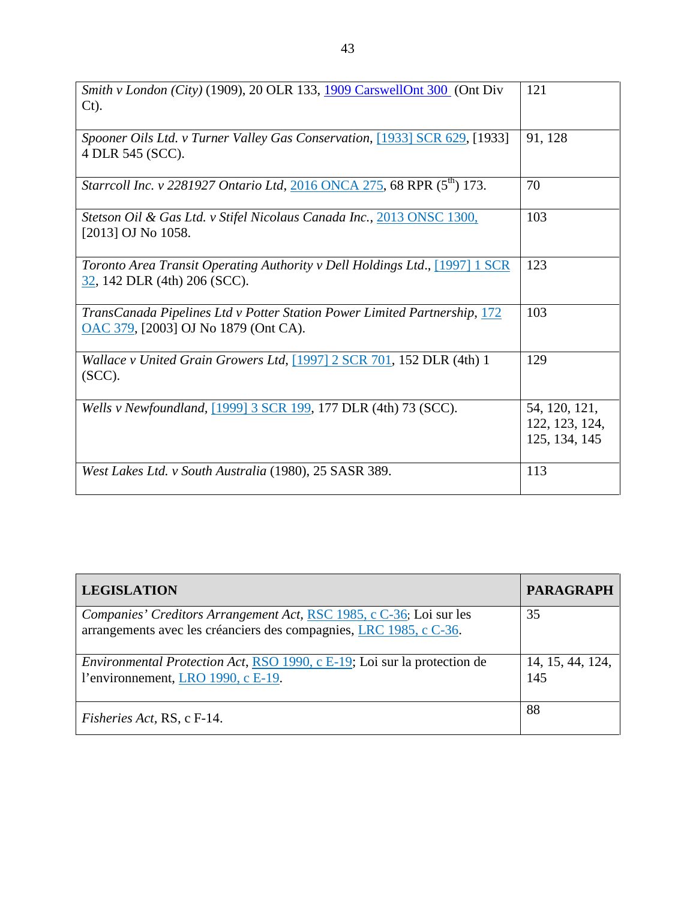| Smith v London (City) (1909), 20 OLR 133, 1909 CarswellOnt 300 (Ont Div<br>$Ct$ ).                                 | 121                                              |
|--------------------------------------------------------------------------------------------------------------------|--------------------------------------------------|
| Spooner Oils Ltd. v Turner Valley Gas Conservation, [1933] SCR 629, [1933]<br>4 DLR 545 (SCC).                     | 91, 128                                          |
| <i>Starrcoll Inc. v 2281927 Ontario Ltd, 2016 ONCA 275, 68 RPR (5<sup>th</sup>) 173.</i>                           | 70                                               |
| Stetson Oil & Gas Ltd. v Stifel Nicolaus Canada Inc., 2013 ONSC 1300,<br>[2013] OJ No 1058.                        | 103                                              |
| <i>Toronto Area Transit Operating Authority v Dell Holdings Ltd.,</i> [1997] 1 SCR<br>32, 142 DLR (4th) 206 (SCC). | 123                                              |
| TransCanada Pipelines Ltd v Potter Station Power Limited Partnership, 172<br>OAC 379, [2003] OJ No 1879 (Ont CA).  | 103                                              |
| Wallace v United Grain Growers Ltd, [1997] 2 SCR 701, 152 DLR (4th) 1<br>$(SCC)$ .                                 | 129                                              |
| Wells v Newfoundland, [1999] 3 SCR 199, 177 DLR (4th) 73 (SCC).                                                    | 54, 120, 121,<br>122, 123, 124,<br>125, 134, 145 |
| West Lakes Ltd. v South Australia (1980), 25 SASR 389.                                                             | 113                                              |

| <b>LEGISLATION</b>                                                                                                                        | <b>PARAGRAPH</b>        |
|-------------------------------------------------------------------------------------------------------------------------------------------|-------------------------|
| Companies' Creditors Arrangement Act, RSC 1985, c C-36; Loi sur les<br>arrangements avec les créanciers des compagnies, LRC 1985, c C-36. | 35                      |
| <i>Environmental Protection Act, RSO 1990, c E-19; Loi sur la protection de</i><br>l'environnement, LRO 1990, c E-19.                     | 14, 15, 44, 124,<br>145 |
| <i>Fisheries Act, RS, c F-14.</i>                                                                                                         | 88                      |